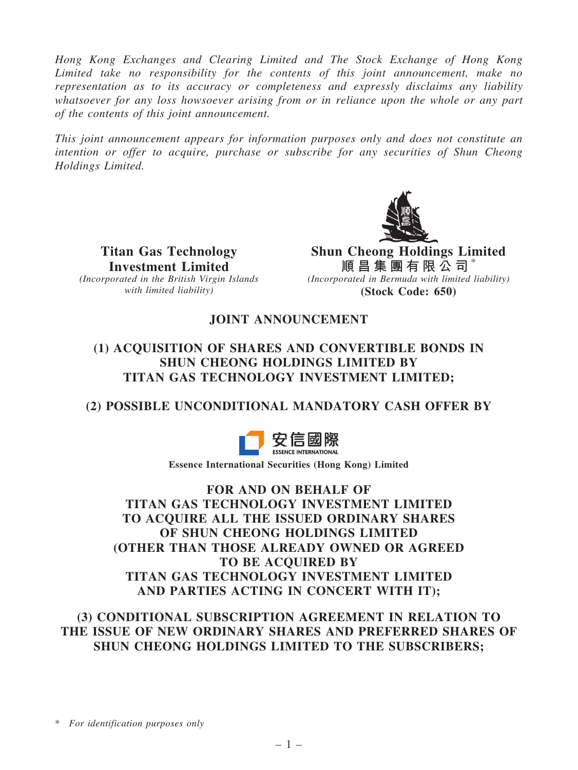Hong Kong Exchanges and Clearing Limited and The Stock Exchange of Hong Kong Limited take no responsibility for the contents of this joint announcement, make no representation as to its accuracy or completeness and expressly disclaims any liability whatsoever for any loss howsoever arising from or in reliance upon the whole or any part of the contents of this joint announcement.

This joint announcement appears for information purposes only and does not constitute an intention or offer to acquire, purchase or subscribe for any securities of Shun Cheong Holdings Limited.



Titan Gas Technology Investment Limited (Incorporated in the British Virgin Islands with limited liability)

Shun Cheong Holdings Limited 順 昌 集 團 有 限 公 司  $^*$ (Incorporated in Bermuda with limited liability) (Stock Code: 650)

# JOINT ANNOUNCEMENT

## (1) ACQUISITION OF SHARES AND CONVERTIBLE BONDS IN SHUN CHEONG HOLDINGS LIMITED BY TITAN GAS TECHNOLOGY INVESTMENT LIMITED;

# (2) POSSIBLE UNCONDITIONAL MANDATORY CASH OFFER BY



Essence International Securities (Hong Kong) Limited

FOR AND ON BEHALF OF TITAN GAS TECHNOLOGY INVESTMENT LIMITED TO ACQUIRE ALL THE ISSUED ORDINARY SHARES OF SHUN CHEONG HOLDINGS LIMITED (OTHER THAN THOSE ALREADY OWNED OR AGREED TO BE ACQUIRED BY TITAN GAS TECHNOLOGY INVESTMENT LIMITED AND PARTIES ACTING IN CONCERT WITH IT);

(3) CONDITIONAL SUBSCRIPTION AGREEMENT IN RELATION TO THE ISSUE OF NEW ORDINARY SHARES AND PREFERRED SHARES OF SHUN CHEONG HOLDINGS LIMITED TO THE SUBSCRIBERS;

\* For identification purposes only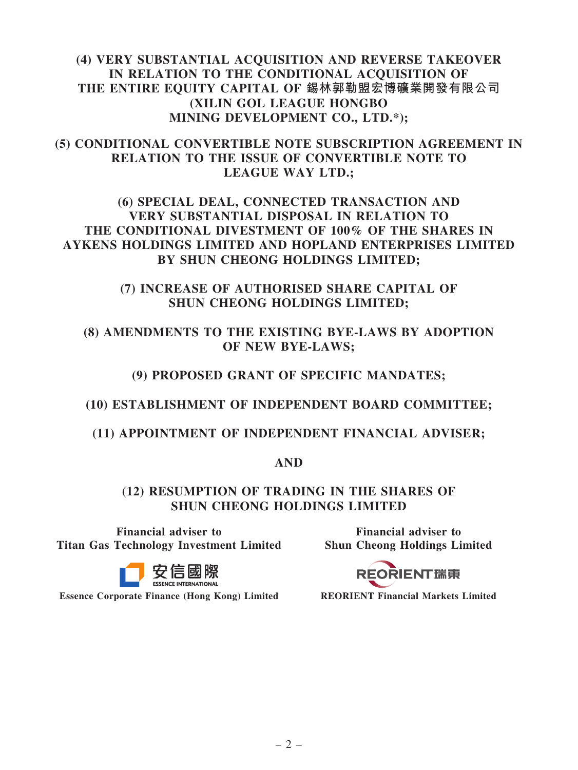## (4) VERY SUBSTANTIAL ACQUISITION AND REVERSE TAKEOVER IN RELATION TO THE CONDITIONAL ACQUISITION OF THE ENTIRE EQUITY CAPITAL OF 錫林郭勒盟宏博礦業開發有限公司 (XILIN GOL LEAGUE HONGBO MINING DEVELOPMENT CO., LTD.\*);

## (5) CONDITIONAL CONVERTIBLE NOTE SUBSCRIPTION AGREEMENT IN RELATION TO THE ISSUE OF CONVERTIBLE NOTE TO LEAGUE WAY LTD.;

## (6) SPECIAL DEAL, CONNECTED TRANSACTION AND VERY SUBSTANTIAL DISPOSAL IN RELATION TO THE CONDITIONAL DIVESTMENT OF 100% OF THE SHARES IN AYKENS HOLDINGS LIMITED AND HOPLAND ENTERPRISES LIMITED BY SHUN CHEONG HOLDINGS LIMITED;

## (7) INCREASE OF AUTHORISED SHARE CAPITAL OF SHUN CHEONG HOLDINGS LIMITED;

# (8) AMENDMENTS TO THE EXISTING BYE-LAWS BY ADOPTION OF NEW BYE-LAWS;

# (9) PROPOSED GRANT OF SPECIFIC MANDATES;

## (10) ESTABLISHMENT OF INDEPENDENT BOARD COMMITTEE;

## (11) APPOINTMENT OF INDEPENDENT FINANCIAL ADVISER;

## AND

## (12) RESUMPTION OF TRADING IN THE SHARES OF SHUN CHEONG HOLDINGS LIMITED

Financial adviser to Titan Gas Technology Investment Limited



Essence Corporate Finance (Hong Kong) Limited REORIENT Financial Markets Limited

Financial adviser to Shun Cheong Holdings Limited

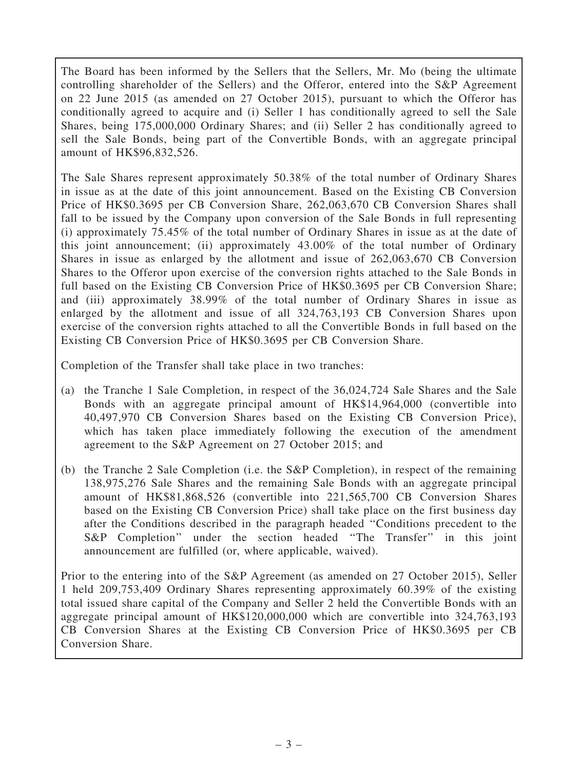The Board has been informed by the Sellers that the Sellers, Mr. Mo (being the ultimate controlling shareholder of the Sellers) and the Offeror, entered into the S&P Agreement on 22 June 2015 (as amended on 27 October 2015), pursuant to which the Offeror has conditionally agreed to acquire and (i) Seller 1 has conditionally agreed to sell the Sale Shares, being 175,000,000 Ordinary Shares; and (ii) Seller 2 has conditionally agreed to sell the Sale Bonds, being part of the Convertible Bonds, with an aggregate principal amount of HK\$96,832,526.

The Sale Shares represent approximately 50.38% of the total number of Ordinary Shares in issue as at the date of this joint announcement. Based on the Existing CB Conversion Price of HK\$0.3695 per CB Conversion Share, 262,063,670 CB Conversion Shares shall fall to be issued by the Company upon conversion of the Sale Bonds in full representing (i) approximately 75.45% of the total number of Ordinary Shares in issue as at the date of this joint announcement; (ii) approximately 43.00% of the total number of Ordinary Shares in issue as enlarged by the allotment and issue of 262,063,670 CB Conversion Shares to the Offeror upon exercise of the conversion rights attached to the Sale Bonds in full based on the Existing CB Conversion Price of HK\$0.3695 per CB Conversion Share; and (iii) approximately 38.99% of the total number of Ordinary Shares in issue as enlarged by the allotment and issue of all 324,763,193 CB Conversion Shares upon exercise of the conversion rights attached to all the Convertible Bonds in full based on the Existing CB Conversion Price of HK\$0.3695 per CB Conversion Share.

Completion of the Transfer shall take place in two tranches:

- (a) the Tranche 1 Sale Completion, in respect of the 36,024,724 Sale Shares and the Sale Bonds with an aggregate principal amount of HK\$14,964,000 (convertible into 40,497,970 CB Conversion Shares based on the Existing CB Conversion Price), which has taken place immediately following the execution of the amendment agreement to the S&P Agreement on 27 October 2015; and
- (b) the Tranche 2 Sale Completion (i.e. the S&P Completion), in respect of the remaining 138,975,276 Sale Shares and the remaining Sale Bonds with an aggregate principal amount of HK\$81,868,526 (convertible into 221,565,700 CB Conversion Shares based on the Existing CB Conversion Price) shall take place on the first business day after the Conditions described in the paragraph headed ''Conditions precedent to the S&P Completion'' under the section headed ''The Transfer'' in this joint announcement are fulfilled (or, where applicable, waived).

Prior to the entering into of the S&P Agreement (as amended on 27 October 2015), Seller 1 held 209,753,409 Ordinary Shares representing approximately 60.39% of the existing total issued share capital of the Company and Seller 2 held the Convertible Bonds with an aggregate principal amount of HK\$120,000,000 which are convertible into 324,763,193 CB Conversion Shares at the Existing CB Conversion Price of HK\$0.3695 per CB Conversion Share.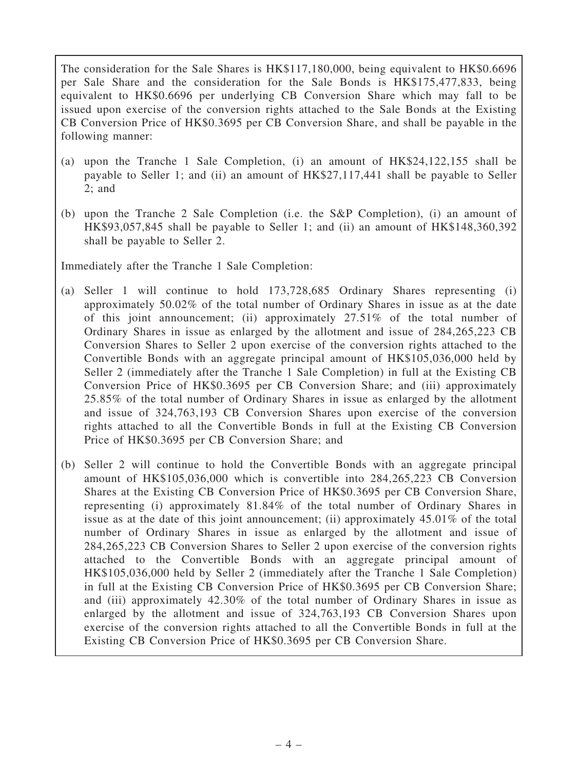The consideration for the Sale Shares is HK\$117,180,000, being equivalent to HK\$0.6696 per Sale Share and the consideration for the Sale Bonds is HK\$175,477,833, being equivalent to HK\$0.6696 per underlying CB Conversion Share which may fall to be issued upon exercise of the conversion rights attached to the Sale Bonds at the Existing CB Conversion Price of HK\$0.3695 per CB Conversion Share, and shall be payable in the following manner:

- (a) upon the Tranche 1 Sale Completion, (i) an amount of HK\$24,122,155 shall be payable to Seller 1; and (ii) an amount of HK\$27,117,441 shall be payable to Seller  $2:$  and
- (b) upon the Tranche 2 Sale Completion (i.e. the S&P Completion), (i) an amount of HK\$93,057,845 shall be payable to Seller 1; and (ii) an amount of HK\$148,360,392 shall be payable to Seller 2.

Immediately after the Tranche 1 Sale Completion:

- (a) Seller 1 will continue to hold 173,728,685 Ordinary Shares representing (i) approximately 50.02% of the total number of Ordinary Shares in issue as at the date of this joint announcement; (ii) approximately 27.51% of the total number of Ordinary Shares in issue as enlarged by the allotment and issue of 284,265,223 CB Conversion Shares to Seller 2 upon exercise of the conversion rights attached to the Convertible Bonds with an aggregate principal amount of HK\$105,036,000 held by Seller 2 (immediately after the Tranche 1 Sale Completion) in full at the Existing CB Conversion Price of HK\$0.3695 per CB Conversion Share; and (iii) approximately 25.85% of the total number of Ordinary Shares in issue as enlarged by the allotment and issue of 324,763,193 CB Conversion Shares upon exercise of the conversion rights attached to all the Convertible Bonds in full at the Existing CB Conversion Price of HK\$0.3695 per CB Conversion Share; and
- (b) Seller 2 will continue to hold the Convertible Bonds with an aggregate principal amount of HK\$105,036,000 which is convertible into 284,265,223 CB Conversion Shares at the Existing CB Conversion Price of HK\$0.3695 per CB Conversion Share, representing (i) approximately 81.84% of the total number of Ordinary Shares in issue as at the date of this joint announcement; (ii) approximately 45.01% of the total number of Ordinary Shares in issue as enlarged by the allotment and issue of 284,265,223 CB Conversion Shares to Seller 2 upon exercise of the conversion rights attached to the Convertible Bonds with an aggregate principal amount of HK\$105,036,000 held by Seller 2 (immediately after the Tranche 1 Sale Completion) in full at the Existing CB Conversion Price of HK\$0.3695 per CB Conversion Share; and (iii) approximately 42.30% of the total number of Ordinary Shares in issue as enlarged by the allotment and issue of 324,763,193 CB Conversion Shares upon exercise of the conversion rights attached to all the Convertible Bonds in full at the Existing CB Conversion Price of HK\$0.3695 per CB Conversion Share.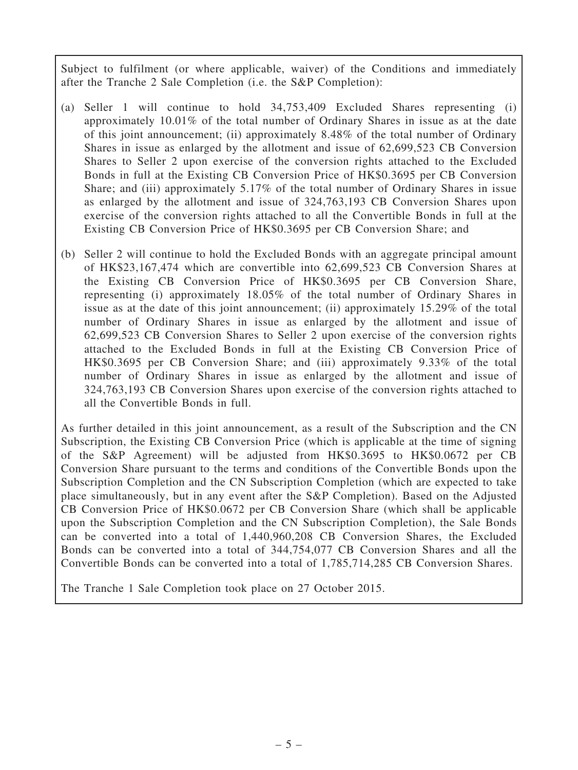Subject to fulfilment (or where applicable, waiver) of the Conditions and immediately after the Tranche 2 Sale Completion (i.e. the S&P Completion):

- (a) Seller 1 will continue to hold 34,753,409 Excluded Shares representing (i) approximately 10.01% of the total number of Ordinary Shares in issue as at the date of this joint announcement; (ii) approximately 8.48% of the total number of Ordinary Shares in issue as enlarged by the allotment and issue of 62,699,523 CB Conversion Shares to Seller 2 upon exercise of the conversion rights attached to the Excluded Bonds in full at the Existing CB Conversion Price of HK\$0.3695 per CB Conversion Share; and (iii) approximately 5.17% of the total number of Ordinary Shares in issue as enlarged by the allotment and issue of 324,763,193 CB Conversion Shares upon exercise of the conversion rights attached to all the Convertible Bonds in full at the Existing CB Conversion Price of HK\$0.3695 per CB Conversion Share; and
- (b) Seller 2 will continue to hold the Excluded Bonds with an aggregate principal amount of HK\$23,167,474 which are convertible into 62,699,523 CB Conversion Shares at the Existing CB Conversion Price of HK\$0.3695 per CB Conversion Share, representing (i) approximately 18.05% of the total number of Ordinary Shares in issue as at the date of this joint announcement; (ii) approximately 15.29% of the total number of Ordinary Shares in issue as enlarged by the allotment and issue of 62,699,523 CB Conversion Shares to Seller 2 upon exercise of the conversion rights attached to the Excluded Bonds in full at the Existing CB Conversion Price of HK\$0.3695 per CB Conversion Share; and (iii) approximately 9.33% of the total number of Ordinary Shares in issue as enlarged by the allotment and issue of 324,763,193 CB Conversion Shares upon exercise of the conversion rights attached to all the Convertible Bonds in full.

As further detailed in this joint announcement, as a result of the Subscription and the CN Subscription, the Existing CB Conversion Price (which is applicable at the time of signing of the S&P Agreement) will be adjusted from HK\$0.3695 to HK\$0.0672 per CB Conversion Share pursuant to the terms and conditions of the Convertible Bonds upon the Subscription Completion and the CN Subscription Completion (which are expected to take place simultaneously, but in any event after the S&P Completion). Based on the Adjusted CB Conversion Price of HK\$0.0672 per CB Conversion Share (which shall be applicable upon the Subscription Completion and the CN Subscription Completion), the Sale Bonds can be converted into a total of 1,440,960,208 CB Conversion Shares, the Excluded Bonds can be converted into a total of 344,754,077 CB Conversion Shares and all the Convertible Bonds can be converted into a total of 1,785,714,285 CB Conversion Shares.

The Tranche 1 Sale Completion took place on 27 October 2015.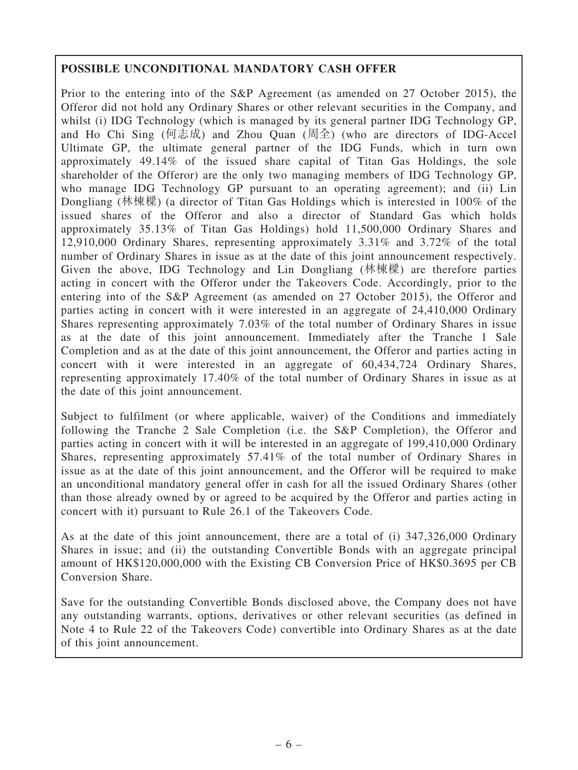# POSSIBLE UNCONDITIONAL MANDATORY CASH OFFER

Prior to the entering into of the S&P Agreement (as amended on 27 October 2015), the Offeror did not hold any Ordinary Shares or other relevant securities in the Company, and whilst (i) IDG Technology (which is managed by its general partner IDG Technology GP, and Ho Chi Sing (何志成) and Zhou Quan (周全) (who are directors of IDG-Accel Ultimate GP, the ultimate general partner of the IDG Funds, which in turn own approximately 49.14% of the issued share capital of Titan Gas Holdings, the sole shareholder of the Offeror) are the only two managing members of IDG Technology GP, who manage IDG Technology GP pursuant to an operating agreement); and (ii) Lin Dongliang (林棟樑) (a director of Titan Gas Holdings which is interested in 100% of the issued shares of the Offeror and also a director of Standard Gas which holds approximately 35.13% of Titan Gas Holdings) hold 11,500,000 Ordinary Shares and 12,910,000 Ordinary Shares, representing approximately 3.31% and 3.72% of the total number of Ordinary Shares in issue as at the date of this joint announcement respectively. Given the above, IDG Technology and Lin Dongliang (林棟樑) are therefore parties acting in concert with the Offeror under the Takeovers Code. Accordingly, prior to the entering into of the S&P Agreement (as amended on 27 October 2015), the Offeror and parties acting in concert with it were interested in an aggregate of 24,410,000 Ordinary Shares representing approximately 7.03% of the total number of Ordinary Shares in issue as at the date of this joint announcement. Immediately after the Tranche 1 Sale Completion and as at the date of this joint announcement, the Offeror and parties acting in concert with it were interested in an aggregate of 60,434,724 Ordinary Shares, representing approximately 17.40% of the total number of Ordinary Shares in issue as at the date of this joint announcement.

Subject to fulfilment (or where applicable, waiver) of the Conditions and immediately following the Tranche 2 Sale Completion (i.e. the S&P Completion), the Offeror and parties acting in concert with it will be interested in an aggregate of 199,410,000 Ordinary Shares, representing approximately 57.41% of the total number of Ordinary Shares in issue as at the date of this joint announcement, and the Offeror will be required to make an unconditional mandatory general offer in cash for all the issued Ordinary Shares (other than those already owned by or agreed to be acquired by the Offeror and parties acting in concert with it) pursuant to Rule 26.1 of the Takeovers Code.

As at the date of this joint announcement, there are a total of (i) 347,326,000 Ordinary Shares in issue; and (ii) the outstanding Convertible Bonds with an aggregate principal amount of HK\$120,000,000 with the Existing CB Conversion Price of HK\$0.3695 per CB Conversion Share.

Save for the outstanding Convertible Bonds disclosed above, the Company does not have any outstanding warrants, options, derivatives or other relevant securities (as defined in Note 4 to Rule 22 of the Takeovers Code) convertible into Ordinary Shares as at the date of this joint announcement.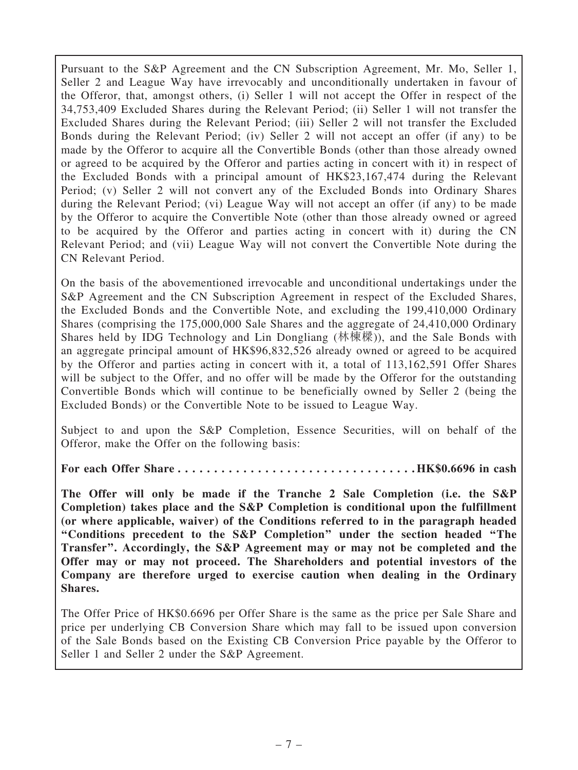Pursuant to the S&P Agreement and the CN Subscription Agreement, Mr. Mo, Seller 1, Seller 2 and League Way have irrevocably and unconditionally undertaken in favour of the Offeror, that, amongst others, (i) Seller 1 will not accept the Offer in respect of the 34,753,409 Excluded Shares during the Relevant Period; (ii) Seller 1 will not transfer the Excluded Shares during the Relevant Period; (iii) Seller 2 will not transfer the Excluded Bonds during the Relevant Period; (iv) Seller 2 will not accept an offer (if any) to be made by the Offeror to acquire all the Convertible Bonds (other than those already owned or agreed to be acquired by the Offeror and parties acting in concert with it) in respect of the Excluded Bonds with a principal amount of HK\$23,167,474 during the Relevant Period; (v) Seller 2 will not convert any of the Excluded Bonds into Ordinary Shares during the Relevant Period; (vi) League Way will not accept an offer (if any) to be made by the Offeror to acquire the Convertible Note (other than those already owned or agreed to be acquired by the Offeror and parties acting in concert with it) during the CN Relevant Period; and (vii) League Way will not convert the Convertible Note during the CN Relevant Period.

On the basis of the abovementioned irrevocable and unconditional undertakings under the S&P Agreement and the CN Subscription Agreement in respect of the Excluded Shares, the Excluded Bonds and the Convertible Note, and excluding the 199,410,000 Ordinary Shares (comprising the 175,000,000 Sale Shares and the aggregate of 24,410,000 Ordinary Shares held by IDG Technology and Lin Dongliang (林棟樑)), and the Sale Bonds with an aggregate principal amount of HK\$96,832,526 already owned or agreed to be acquired by the Offeror and parties acting in concert with it, a total of 113,162,591 Offer Shares will be subject to the Offer, and no offer will be made by the Offeror for the outstanding Convertible Bonds which will continue to be beneficially owned by Seller 2 (being the Excluded Bonds) or the Convertible Note to be issued to League Way.

Subject to and upon the S&P Completion, Essence Securities, will on behalf of the Offeror, make the Offer on the following basis:

For each Offer Share . . . . . . . . . . . . . . . . . . . . . . . . . . . . . . . . . HK\$0.6696 in cash

The Offer will only be made if the Tranche 2 Sale Completion (i.e. the S&P Completion) takes place and the S&P Completion is conditional upon the fulfillment (or where applicable, waiver) of the Conditions referred to in the paragraph headed ''Conditions precedent to the S&P Completion'' under the section headed ''The Transfer''. Accordingly, the S&P Agreement may or may not be completed and the Offer may or may not proceed. The Shareholders and potential investors of the Company are therefore urged to exercise caution when dealing in the Ordinary Shares.

The Offer Price of HK\$0.6696 per Offer Share is the same as the price per Sale Share and price per underlying CB Conversion Share which may fall to be issued upon conversion of the Sale Bonds based on the Existing CB Conversion Price payable by the Offeror to Seller 1 and Seller 2 under the S&P Agreement.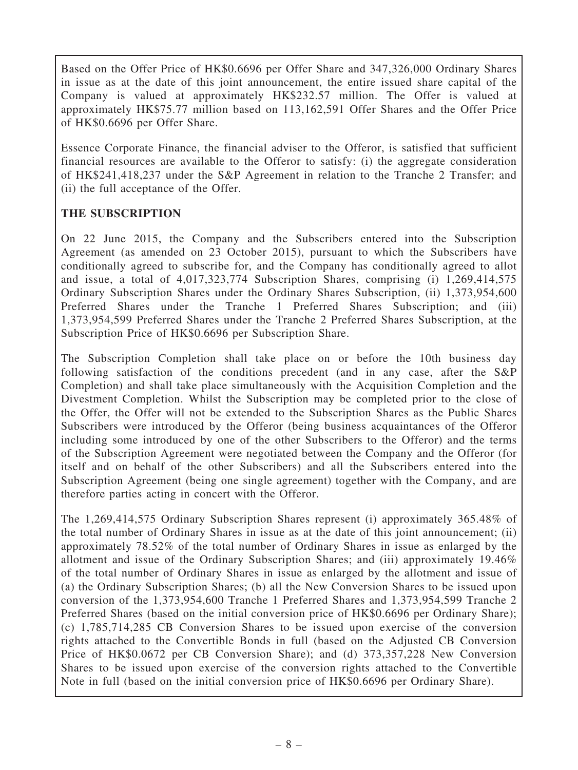Based on the Offer Price of HK\$0.6696 per Offer Share and 347,326,000 Ordinary Shares in issue as at the date of this joint announcement, the entire issued share capital of the Company is valued at approximately HK\$232.57 million. The Offer is valued at approximately HK\$75.77 million based on 113,162,591 Offer Shares and the Offer Price of HK\$0.6696 per Offer Share.

Essence Corporate Finance, the financial adviser to the Offeror, is satisfied that sufficient financial resources are available to the Offeror to satisfy: (i) the aggregate consideration of HK\$241,418,237 under the S&P Agreement in relation to the Tranche 2 Transfer; and (ii) the full acceptance of the Offer.

## THE SUBSCRIPTION

On 22 June 2015, the Company and the Subscribers entered into the Subscription Agreement (as amended on 23 October 2015), pursuant to which the Subscribers have conditionally agreed to subscribe for, and the Company has conditionally agreed to allot and issue, a total of 4,017,323,774 Subscription Shares, comprising (i) 1,269,414,575 Ordinary Subscription Shares under the Ordinary Shares Subscription, (ii) 1,373,954,600 Preferred Shares under the Tranche 1 Preferred Shares Subscription; and (iii) 1,373,954,599 Preferred Shares under the Tranche 2 Preferred Shares Subscription, at the Subscription Price of HK\$0.6696 per Subscription Share.

The Subscription Completion shall take place on or before the 10th business day following satisfaction of the conditions precedent (and in any case, after the S&P Completion) and shall take place simultaneously with the Acquisition Completion and the Divestment Completion. Whilst the Subscription may be completed prior to the close of the Offer, the Offer will not be extended to the Subscription Shares as the Public Shares Subscribers were introduced by the Offeror (being business acquaintances of the Offeror including some introduced by one of the other Subscribers to the Offeror) and the terms of the Subscription Agreement were negotiated between the Company and the Offeror (for itself and on behalf of the other Subscribers) and all the Subscribers entered into the Subscription Agreement (being one single agreement) together with the Company, and are therefore parties acting in concert with the Offeror.

The 1,269,414,575 Ordinary Subscription Shares represent (i) approximately 365.48% of the total number of Ordinary Shares in issue as at the date of this joint announcement; (ii) approximately 78.52% of the total number of Ordinary Shares in issue as enlarged by the allotment and issue of the Ordinary Subscription Shares; and (iii) approximately 19.46% of the total number of Ordinary Shares in issue as enlarged by the allotment and issue of (a) the Ordinary Subscription Shares; (b) all the New Conversion Shares to be issued upon conversion of the 1,373,954,600 Tranche 1 Preferred Shares and 1,373,954,599 Tranche 2 Preferred Shares (based on the initial conversion price of HK\$0.6696 per Ordinary Share); (c) 1,785,714,285 CB Conversion Shares to be issued upon exercise of the conversion rights attached to the Convertible Bonds in full (based on the Adjusted CB Conversion Price of HK\$0.0672 per CB Conversion Share); and (d) 373,357,228 New Conversion Shares to be issued upon exercise of the conversion rights attached to the Convertible Note in full (based on the initial conversion price of HK\$0.6696 per Ordinary Share).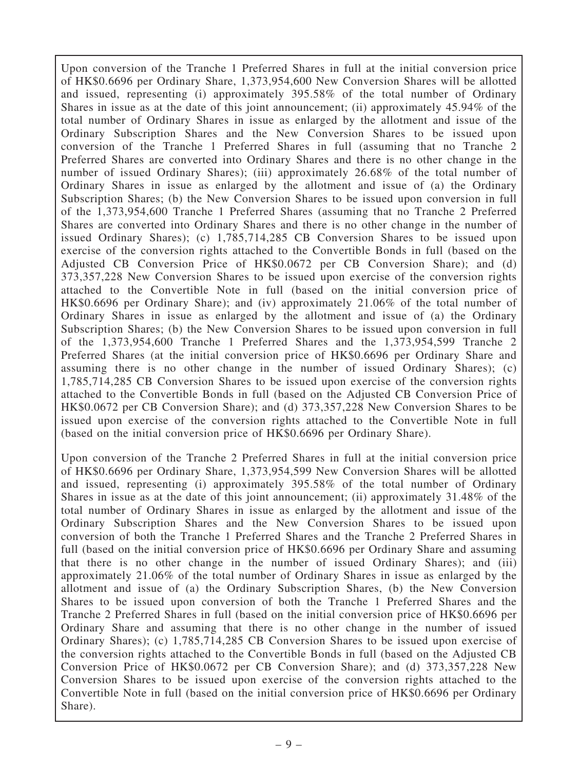Upon conversion of the Tranche 1 Preferred Shares in full at the initial conversion price of HK\$0.6696 per Ordinary Share, 1,373,954,600 New Conversion Shares will be allotted and issued, representing (i) approximately 395.58% of the total number of Ordinary Shares in issue as at the date of this joint announcement; (ii) approximately 45.94% of the total number of Ordinary Shares in issue as enlarged by the allotment and issue of the Ordinary Subscription Shares and the New Conversion Shares to be issued upon conversion of the Tranche 1 Preferred Shares in full (assuming that no Tranche 2 Preferred Shares are converted into Ordinary Shares and there is no other change in the number of issued Ordinary Shares); (iii) approximately 26.68% of the total number of Ordinary Shares in issue as enlarged by the allotment and issue of (a) the Ordinary Subscription Shares; (b) the New Conversion Shares to be issued upon conversion in full of the 1,373,954,600 Tranche 1 Preferred Shares (assuming that no Tranche 2 Preferred Shares are converted into Ordinary Shares and there is no other change in the number of issued Ordinary Shares); (c) 1,785,714,285 CB Conversion Shares to be issued upon exercise of the conversion rights attached to the Convertible Bonds in full (based on the Adjusted CB Conversion Price of HK\$0.0672 per CB Conversion Share); and (d) 373,357,228 New Conversion Shares to be issued upon exercise of the conversion rights attached to the Convertible Note in full (based on the initial conversion price of HK\$0.6696 per Ordinary Share); and (iv) approximately 21.06% of the total number of Ordinary Shares in issue as enlarged by the allotment and issue of (a) the Ordinary Subscription Shares; (b) the New Conversion Shares to be issued upon conversion in full of the 1,373,954,600 Tranche 1 Preferred Shares and the 1,373,954,599 Tranche 2 Preferred Shares (at the initial conversion price of HK\$0.6696 per Ordinary Share and assuming there is no other change in the number of issued Ordinary Shares); (c) 1,785,714,285 CB Conversion Shares to be issued upon exercise of the conversion rights attached to the Convertible Bonds in full (based on the Adjusted CB Conversion Price of HK\$0.0672 per CB Conversion Share); and (d) 373,357,228 New Conversion Shares to be issued upon exercise of the conversion rights attached to the Convertible Note in full (based on the initial conversion price of HK\$0.6696 per Ordinary Share).

Upon conversion of the Tranche 2 Preferred Shares in full at the initial conversion price of HK\$0.6696 per Ordinary Share, 1,373,954,599 New Conversion Shares will be allotted and issued, representing (i) approximately 395.58% of the total number of Ordinary Shares in issue as at the date of this joint announcement; (ii) approximately 31.48% of the total number of Ordinary Shares in issue as enlarged by the allotment and issue of the Ordinary Subscription Shares and the New Conversion Shares to be issued upon conversion of both the Tranche 1 Preferred Shares and the Tranche 2 Preferred Shares in full (based on the initial conversion price of HK\$0.6696 per Ordinary Share and assuming that there is no other change in the number of issued Ordinary Shares); and (iii) approximately 21.06% of the total number of Ordinary Shares in issue as enlarged by the allotment and issue of (a) the Ordinary Subscription Shares, (b) the New Conversion Shares to be issued upon conversion of both the Tranche 1 Preferred Shares and the Tranche 2 Preferred Shares in full (based on the initial conversion price of HK\$0.6696 per Ordinary Share and assuming that there is no other change in the number of issued Ordinary Shares); (c) 1,785,714,285 CB Conversion Shares to be issued upon exercise of the conversion rights attached to the Convertible Bonds in full (based on the Adjusted CB Conversion Price of HK\$0.0672 per CB Conversion Share); and (d) 373,357,228 New Conversion Shares to be issued upon exercise of the conversion rights attached to the Convertible Note in full (based on the initial conversion price of HK\$0.6696 per Ordinary Share).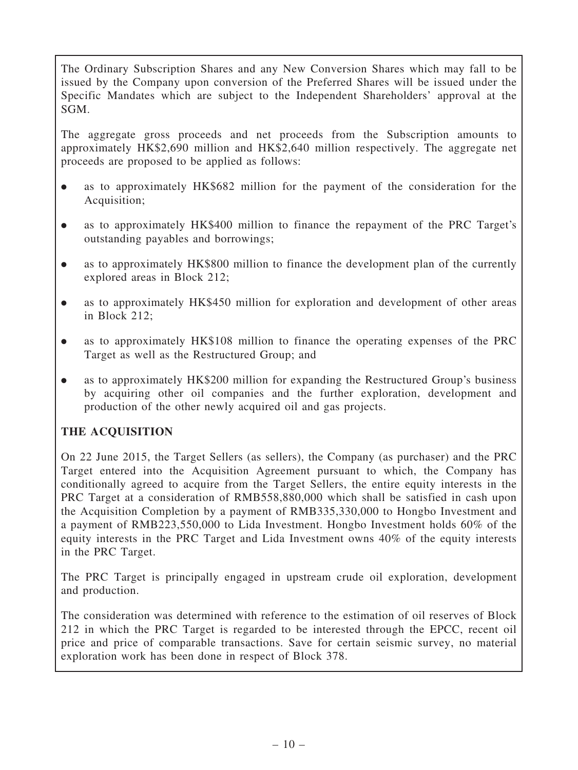The Ordinary Subscription Shares and any New Conversion Shares which may fall to be issued by the Company upon conversion of the Preferred Shares will be issued under the Specific Mandates which are subject to the Independent Shareholders' approval at the SGM.

The aggregate gross proceeds and net proceeds from the Subscription amounts to approximately HK\$2,690 million and HK\$2,640 million respectively. The aggregate net proceeds are proposed to be applied as follows:

- . as to approximately HK\$682 million for the payment of the consideration for the Acquisition;
- . as to approximately HK\$400 million to finance the repayment of the PRC Target's outstanding payables and borrowings;
- . as to approximately HK\$800 million to finance the development plan of the currently explored areas in Block 212;
- . as to approximately HK\$450 million for exploration and development of other areas in Block 212;
- . as to approximately HK\$108 million to finance the operating expenses of the PRC Target as well as the Restructured Group; and
- . as to approximately HK\$200 million for expanding the Restructured Group's business by acquiring other oil companies and the further exploration, development and production of the other newly acquired oil and gas projects.

# THE ACQUISITION

On 22 June 2015, the Target Sellers (as sellers), the Company (as purchaser) and the PRC Target entered into the Acquisition Agreement pursuant to which, the Company has conditionally agreed to acquire from the Target Sellers, the entire equity interests in the PRC Target at a consideration of RMB558,880,000 which shall be satisfied in cash upon the Acquisition Completion by a payment of RMB335,330,000 to Hongbo Investment and a payment of RMB223,550,000 to Lida Investment. Hongbo Investment holds 60% of the equity interests in the PRC Target and Lida Investment owns 40% of the equity interests in the PRC Target.

The PRC Target is principally engaged in upstream crude oil exploration, development and production.

The consideration was determined with reference to the estimation of oil reserves of Block 212 in which the PRC Target is regarded to be interested through the EPCC, recent oil price and price of comparable transactions. Save for certain seismic survey, no material exploration work has been done in respect of Block 378.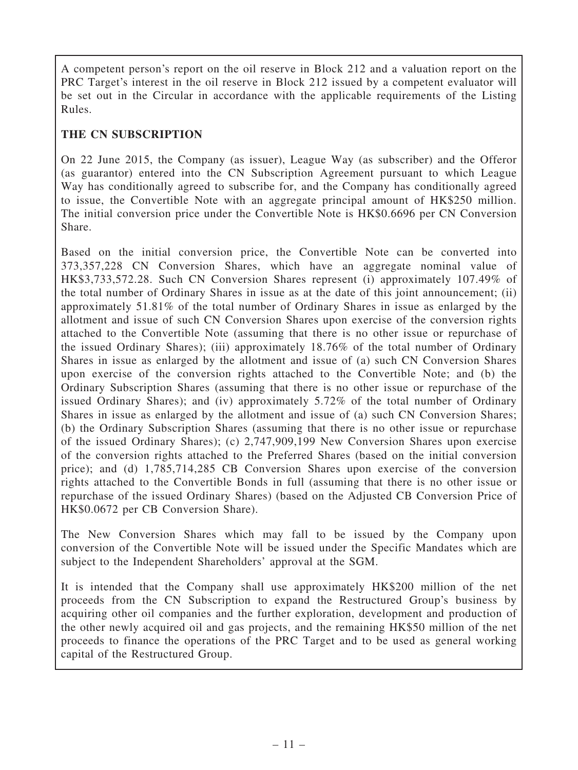A competent person's report on the oil reserve in Block 212 and a valuation report on the PRC Target's interest in the oil reserve in Block 212 issued by a competent evaluator will be set out in the Circular in accordance with the applicable requirements of the Listing Rules.

## THE CN SUBSCRIPTION

On 22 June 2015, the Company (as issuer), League Way (as subscriber) and the Offeror (as guarantor) entered into the CN Subscription Agreement pursuant to which League Way has conditionally agreed to subscribe for, and the Company has conditionally agreed to issue, the Convertible Note with an aggregate principal amount of HK\$250 million. The initial conversion price under the Convertible Note is HK\$0.6696 per CN Conversion Share.

Based on the initial conversion price, the Convertible Note can be converted into 373,357,228 CN Conversion Shares, which have an aggregate nominal value of HK\$3,733,572.28. Such CN Conversion Shares represent (i) approximately 107.49% of the total number of Ordinary Shares in issue as at the date of this joint announcement; (ii) approximately 51.81% of the total number of Ordinary Shares in issue as enlarged by the allotment and issue of such CN Conversion Shares upon exercise of the conversion rights attached to the Convertible Note (assuming that there is no other issue or repurchase of the issued Ordinary Shares); (iii) approximately 18.76% of the total number of Ordinary Shares in issue as enlarged by the allotment and issue of (a) such CN Conversion Shares upon exercise of the conversion rights attached to the Convertible Note; and (b) the Ordinary Subscription Shares (assuming that there is no other issue or repurchase of the issued Ordinary Shares); and (iv) approximately 5.72% of the total number of Ordinary Shares in issue as enlarged by the allotment and issue of (a) such CN Conversion Shares; (b) the Ordinary Subscription Shares (assuming that there is no other issue or repurchase of the issued Ordinary Shares); (c) 2,747,909,199 New Conversion Shares upon exercise of the conversion rights attached to the Preferred Shares (based on the initial conversion price); and (d) 1,785,714,285 CB Conversion Shares upon exercise of the conversion rights attached to the Convertible Bonds in full (assuming that there is no other issue or repurchase of the issued Ordinary Shares) (based on the Adjusted CB Conversion Price of HK\$0.0672 per CB Conversion Share).

The New Conversion Shares which may fall to be issued by the Company upon conversion of the Convertible Note will be issued under the Specific Mandates which are subject to the Independent Shareholders' approval at the SGM.

It is intended that the Company shall use approximately HK\$200 million of the net proceeds from the CN Subscription to expand the Restructured Group's business by acquiring other oil companies and the further exploration, development and production of the other newly acquired oil and gas projects, and the remaining HK\$50 million of the net proceeds to finance the operations of the PRC Target and to be used as general working capital of the Restructured Group.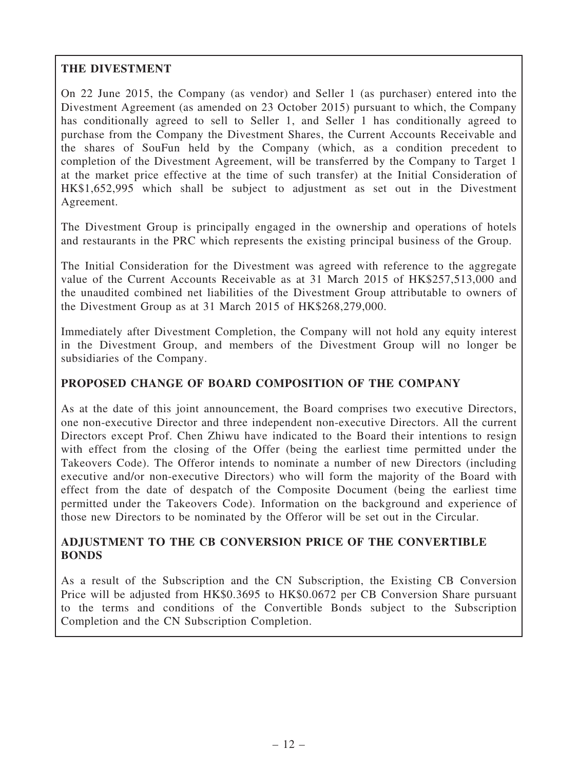# THE DIVESTMENT

On 22 June 2015, the Company (as vendor) and Seller 1 (as purchaser) entered into the Divestment Agreement (as amended on 23 October 2015) pursuant to which, the Company has conditionally agreed to sell to Seller 1, and Seller 1 has conditionally agreed to purchase from the Company the Divestment Shares, the Current Accounts Receivable and the shares of SouFun held by the Company (which, as a condition precedent to completion of the Divestment Agreement, will be transferred by the Company to Target 1 at the market price effective at the time of such transfer) at the Initial Consideration of HK\$1,652,995 which shall be subject to adjustment as set out in the Divestment Agreement.

The Divestment Group is principally engaged in the ownership and operations of hotels and restaurants in the PRC which represents the existing principal business of the Group.

The Initial Consideration for the Divestment was agreed with reference to the aggregate value of the Current Accounts Receivable as at 31 March 2015 of HK\$257,513,000 and the unaudited combined net liabilities of the Divestment Group attributable to owners of the Divestment Group as at 31 March 2015 of HK\$268,279,000.

Immediately after Divestment Completion, the Company will not hold any equity interest in the Divestment Group, and members of the Divestment Group will no longer be subsidiaries of the Company.

## PROPOSED CHANGE OF BOARD COMPOSITION OF THE COMPANY

As at the date of this joint announcement, the Board comprises two executive Directors, one non-executive Director and three independent non-executive Directors. All the current Directors except Prof. Chen Zhiwu have indicated to the Board their intentions to resign with effect from the closing of the Offer (being the earliest time permitted under the Takeovers Code). The Offeror intends to nominate a number of new Directors (including executive and/or non-executive Directors) who will form the majority of the Board with effect from the date of despatch of the Composite Document (being the earliest time permitted under the Takeovers Code). Information on the background and experience of those new Directors to be nominated by the Offeror will be set out in the Circular.

## ADJUSTMENT TO THE CB CONVERSION PRICE OF THE CONVERTIBLE BONDS

As a result of the Subscription and the CN Subscription, the Existing CB Conversion Price will be adjusted from HK\$0.3695 to HK\$0.0672 per CB Conversion Share pursuant to the terms and conditions of the Convertible Bonds subject to the Subscription Completion and the CN Subscription Completion.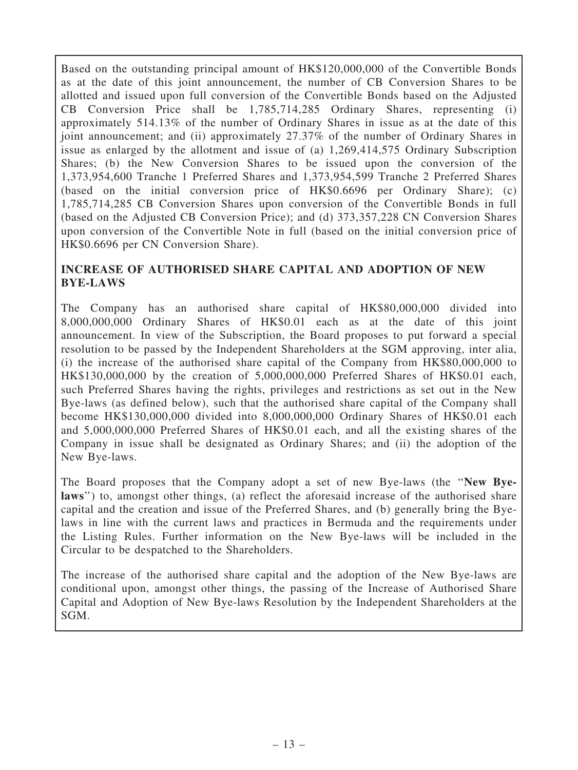Based on the outstanding principal amount of HK\$120,000,000 of the Convertible Bonds as at the date of this joint announcement, the number of CB Conversion Shares to be allotted and issued upon full conversion of the Convertible Bonds based on the Adjusted CB Conversion Price shall be 1,785,714,285 Ordinary Shares, representing (i) approximately 514.13% of the number of Ordinary Shares in issue as at the date of this joint announcement; and (ii) approximately 27.37% of the number of Ordinary Shares in issue as enlarged by the allotment and issue of (a) 1,269,414,575 Ordinary Subscription Shares; (b) the New Conversion Shares to be issued upon the conversion of the 1,373,954,600 Tranche 1 Preferred Shares and 1,373,954,599 Tranche 2 Preferred Shares (based on the initial conversion price of HK\$0.6696 per Ordinary Share); (c) 1,785,714,285 CB Conversion Shares upon conversion of the Convertible Bonds in full (based on the Adjusted CB Conversion Price); and (d) 373,357,228 CN Conversion Shares upon conversion of the Convertible Note in full (based on the initial conversion price of HK\$0.6696 per CN Conversion Share).

## INCREASE OF AUTHORISED SHARE CAPITAL AND ADOPTION OF NEW BYE-LAWS

The Company has an authorised share capital of HK\$80,000,000 divided into 8,000,000,000 Ordinary Shares of HK\$0.01 each as at the date of this joint announcement. In view of the Subscription, the Board proposes to put forward a special resolution to be passed by the Independent Shareholders at the SGM approving, inter alia, (i) the increase of the authorised share capital of the Company from HK\$80,000,000 to HK\$130,000,000 by the creation of 5,000,000,000 Preferred Shares of HK\$0.01 each, such Preferred Shares having the rights, privileges and restrictions as set out in the New Bye-laws (as defined below), such that the authorised share capital of the Company shall become HK\$130,000,000 divided into 8,000,000,000 Ordinary Shares of HK\$0.01 each and 5,000,000,000 Preferred Shares of HK\$0.01 each, and all the existing shares of the Company in issue shall be designated as Ordinary Shares; and (ii) the adoption of the New Bye-laws.

The Board proposes that the Company adopt a set of new Bye-laws (the ''New Byelaws") to, amongst other things, (a) reflect the aforesaid increase of the authorised share capital and the creation and issue of the Preferred Shares, and (b) generally bring the Byelaws in line with the current laws and practices in Bermuda and the requirements under the Listing Rules. Further information on the New Bye-laws will be included in the Circular to be despatched to the Shareholders.

The increase of the authorised share capital and the adoption of the New Bye-laws are conditional upon, amongst other things, the passing of the Increase of Authorised Share Capital and Adoption of New Bye-laws Resolution by the Independent Shareholders at the SGM.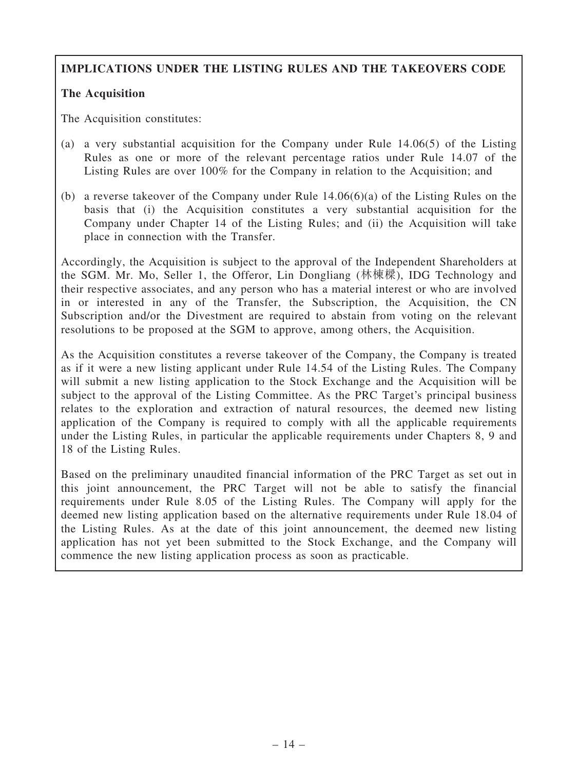# IMPLICATIONS UNDER THE LISTING RULES AND THE TAKEOVERS CODE

## The Acquisition

The Acquisition constitutes:

- (a) a very substantial acquisition for the Company under Rule 14.06(5) of the Listing Rules as one or more of the relevant percentage ratios under Rule 14.07 of the Listing Rules are over 100% for the Company in relation to the Acquisition; and
- (b) a reverse takeover of the Company under Rule 14.06(6)(a) of the Listing Rules on the basis that (i) the Acquisition constitutes a very substantial acquisition for the Company under Chapter 14 of the Listing Rules; and (ii) the Acquisition will take place in connection with the Transfer.

Accordingly, the Acquisition is subject to the approval of the Independent Shareholders at the SGM. Mr. Mo, Seller 1, the Offeror, Lin Dongliang (林棟樑), IDG Technology and their respective associates, and any person who has a material interest or who are involved in or interested in any of the Transfer, the Subscription, the Acquisition, the CN Subscription and/or the Divestment are required to abstain from voting on the relevant resolutions to be proposed at the SGM to approve, among others, the Acquisition.

As the Acquisition constitutes a reverse takeover of the Company, the Company is treated as if it were a new listing applicant under Rule 14.54 of the Listing Rules. The Company will submit a new listing application to the Stock Exchange and the Acquisition will be subject to the approval of the Listing Committee. As the PRC Target's principal business relates to the exploration and extraction of natural resources, the deemed new listing application of the Company is required to comply with all the applicable requirements under the Listing Rules, in particular the applicable requirements under Chapters 8, 9 and 18 of the Listing Rules.

Based on the preliminary unaudited financial information of the PRC Target as set out in this joint announcement, the PRC Target will not be able to satisfy the financial requirements under Rule 8.05 of the Listing Rules. The Company will apply for the deemed new listing application based on the alternative requirements under Rule 18.04 of the Listing Rules. As at the date of this joint announcement, the deemed new listing application has not yet been submitted to the Stock Exchange, and the Company will commence the new listing application process as soon as practicable.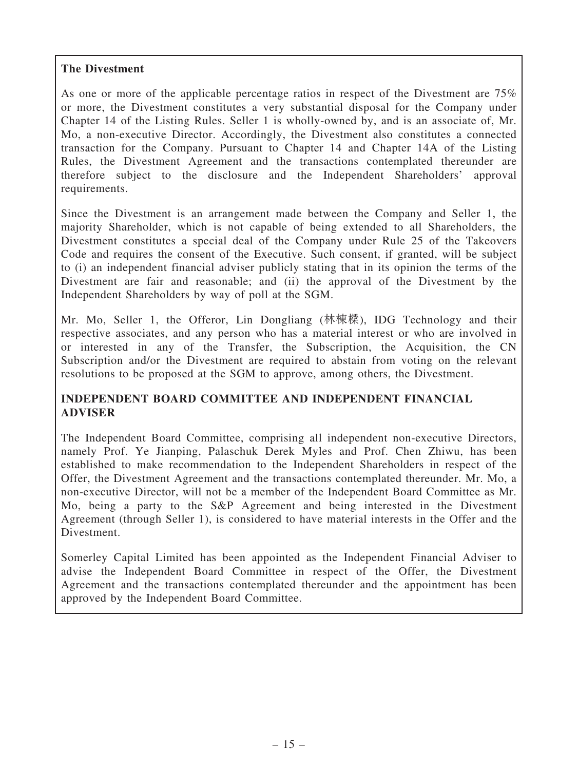## The Divestment

As one or more of the applicable percentage ratios in respect of the Divestment are 75% or more, the Divestment constitutes a very substantial disposal for the Company under Chapter 14 of the Listing Rules. Seller 1 is wholly-owned by, and is an associate of, Mr. Mo, a non-executive Director. Accordingly, the Divestment also constitutes a connected transaction for the Company. Pursuant to Chapter 14 and Chapter 14A of the Listing Rules, the Divestment Agreement and the transactions contemplated thereunder are therefore subject to the disclosure and the Independent Shareholders' approval requirements.

Since the Divestment is an arrangement made between the Company and Seller 1, the majority Shareholder, which is not capable of being extended to all Shareholders, the Divestment constitutes a special deal of the Company under Rule 25 of the Takeovers Code and requires the consent of the Executive. Such consent, if granted, will be subject to (i) an independent financial adviser publicly stating that in its opinion the terms of the Divestment are fair and reasonable; and (ii) the approval of the Divestment by the Independent Shareholders by way of poll at the SGM.

Mr. Mo, Seller 1, the Offeror, Lin Dongliang (林棟樑), IDG Technology and their respective associates, and any person who has a material interest or who are involved in or interested in any of the Transfer, the Subscription, the Acquisition, the CN Subscription and/or the Divestment are required to abstain from voting on the relevant resolutions to be proposed at the SGM to approve, among others, the Divestment.

## INDEPENDENT BOARD COMMITTEE AND INDEPENDENT FINANCIAL ADVISER

The Independent Board Committee, comprising all independent non-executive Directors, namely Prof. Ye Jianping, Palaschuk Derek Myles and Prof. Chen Zhiwu, has been established to make recommendation to the Independent Shareholders in respect of the Offer, the Divestment Agreement and the transactions contemplated thereunder. Mr. Mo, a non-executive Director, will not be a member of the Independent Board Committee as Mr. Mo, being a party to the S&P Agreement and being interested in the Divestment Agreement (through Seller 1), is considered to have material interests in the Offer and the Divestment.

Somerley Capital Limited has been appointed as the Independent Financial Adviser to advise the Independent Board Committee in respect of the Offer, the Divestment Agreement and the transactions contemplated thereunder and the appointment has been approved by the Independent Board Committee.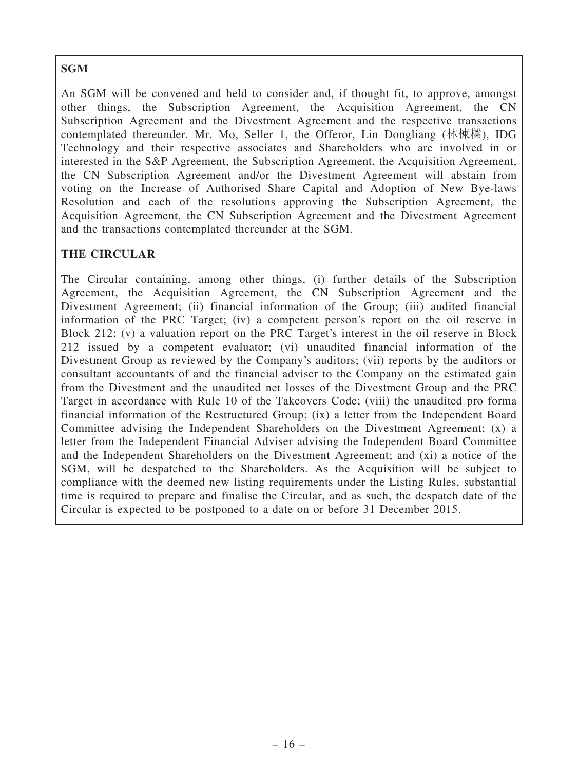# SGM

An SGM will be convened and held to consider and, if thought fit, to approve, amongst other things, the Subscription Agreement, the Acquisition Agreement, the CN Subscription Agreement and the Divestment Agreement and the respective transactions contemplated thereunder. Mr. Mo, Seller 1, the Offeror, Lin Dongliang (林棟樑), IDG Technology and their respective associates and Shareholders who are involved in or interested in the S&P Agreement, the Subscription Agreement, the Acquisition Agreement, the CN Subscription Agreement and/or the Divestment Agreement will abstain from voting on the Increase of Authorised Share Capital and Adoption of New Bye-laws Resolution and each of the resolutions approving the Subscription Agreement, the Acquisition Agreement, the CN Subscription Agreement and the Divestment Agreement and the transactions contemplated thereunder at the SGM.

## THE CIRCULAR

The Circular containing, among other things, (i) further details of the Subscription Agreement, the Acquisition Agreement, the CN Subscription Agreement and the Divestment Agreement; (ii) financial information of the Group; (iii) audited financial information of the PRC Target; (iv) a competent person's report on the oil reserve in Block 212; (v) a valuation report on the PRC Target's interest in the oil reserve in Block 212 issued by a competent evaluator; (vi) unaudited financial information of the Divestment Group as reviewed by the Company's auditors; (vii) reports by the auditors or consultant accountants of and the financial adviser to the Company on the estimated gain from the Divestment and the unaudited net losses of the Divestment Group and the PRC Target in accordance with Rule 10 of the Takeovers Code; (viii) the unaudited pro forma financial information of the Restructured Group; (ix) a letter from the Independent Board Committee advising the Independent Shareholders on the Divestment Agreement; (x) a letter from the Independent Financial Adviser advising the Independent Board Committee and the Independent Shareholders on the Divestment Agreement; and (xi) a notice of the SGM, will be despatched to the Shareholders. As the Acquisition will be subject to compliance with the deemed new listing requirements under the Listing Rules, substantial time is required to prepare and finalise the Circular, and as such, the despatch date of the Circular is expected to be postponed to a date on or before 31 December 2015.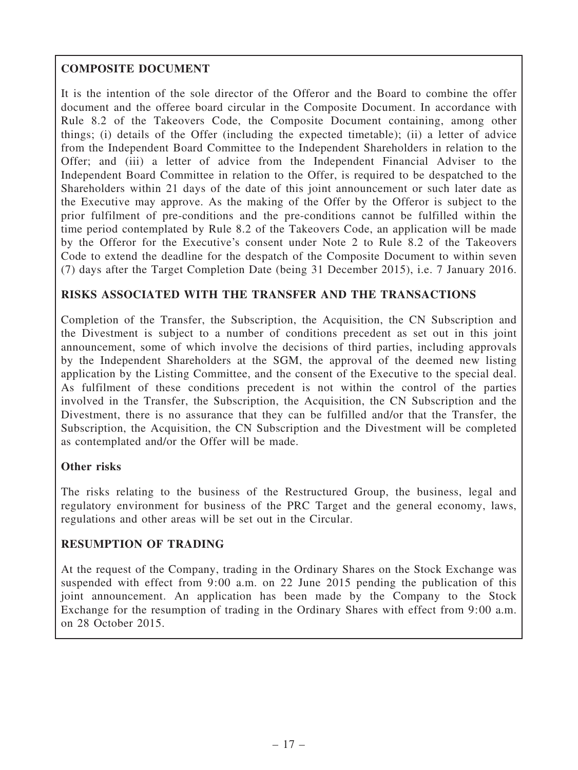# COMPOSITE DOCUMENT

It is the intention of the sole director of the Offeror and the Board to combine the offer document and the offeree board circular in the Composite Document. In accordance with Rule 8.2 of the Takeovers Code, the Composite Document containing, among other things; (i) details of the Offer (including the expected timetable); (ii) a letter of advice from the Independent Board Committee to the Independent Shareholders in relation to the Offer; and (iii) a letter of advice from the Independent Financial Adviser to the Independent Board Committee in relation to the Offer, is required to be despatched to the Shareholders within 21 days of the date of this joint announcement or such later date as the Executive may approve. As the making of the Offer by the Offeror is subject to the prior fulfilment of pre-conditions and the pre-conditions cannot be fulfilled within the time period contemplated by Rule 8.2 of the Takeovers Code, an application will be made by the Offeror for the Executive's consent under Note 2 to Rule 8.2 of the Takeovers Code to extend the deadline for the despatch of the Composite Document to within seven (7) days after the Target Completion Date (being 31 December 2015), i.e. 7 January 2016.

## RISKS ASSOCIATED WITH THE TRANSFER AND THE TRANSACTIONS

Completion of the Transfer, the Subscription, the Acquisition, the CN Subscription and the Divestment is subject to a number of conditions precedent as set out in this joint announcement, some of which involve the decisions of third parties, including approvals by the Independent Shareholders at the SGM, the approval of the deemed new listing application by the Listing Committee, and the consent of the Executive to the special deal. As fulfilment of these conditions precedent is not within the control of the parties involved in the Transfer, the Subscription, the Acquisition, the CN Subscription and the Divestment, there is no assurance that they can be fulfilled and/or that the Transfer, the Subscription, the Acquisition, the CN Subscription and the Divestment will be completed as contemplated and/or the Offer will be made.

## Other risks

The risks relating to the business of the Restructured Group, the business, legal and regulatory environment for business of the PRC Target and the general economy, laws, regulations and other areas will be set out in the Circular.

## RESUMPTION OF TRADING

At the request of the Company, trading in the Ordinary Shares on the Stock Exchange was suspended with effect from 9:00 a.m. on 22 June 2015 pending the publication of this joint announcement. An application has been made by the Company to the Stock Exchange for the resumption of trading in the Ordinary Shares with effect from 9:00 a.m. on 28 October 2015.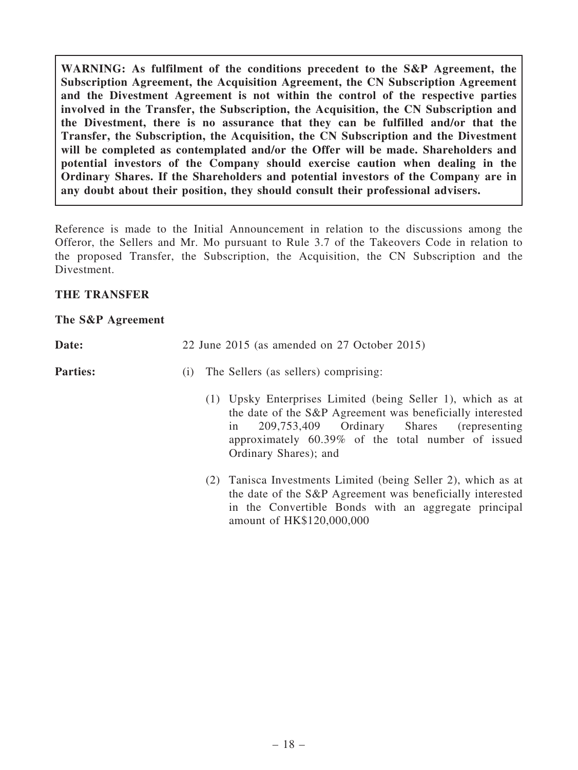WARNING: As fulfilment of the conditions precedent to the S&P Agreement, the Subscription Agreement, the Acquisition Agreement, the CN Subscription Agreement and the Divestment Agreement is not within the control of the respective parties involved in the Transfer, the Subscription, the Acquisition, the CN Subscription and the Divestment, there is no assurance that they can be fulfilled and/or that the Transfer, the Subscription, the Acquisition, the CN Subscription and the Divestment will be completed as contemplated and/or the Offer will be made. Shareholders and potential investors of the Company should exercise caution when dealing in the Ordinary Shares. If the Shareholders and potential investors of the Company are in any doubt about their position, they should consult their professional advisers.

Reference is made to the Initial Announcement in relation to the discussions among the Offeror, the Sellers and Mr. Mo pursuant to Rule 3.7 of the Takeovers Code in relation to the proposed Transfer, the Subscription, the Acquisition, the CN Subscription and the Divestment.

## THE TRANSFER

#### The S&P Agreement

| <b>Date:</b> |  |  | 22 June 2015 (as amended on 27 October 2015) |  |  |
|--------------|--|--|----------------------------------------------|--|--|
|              |  |  |                                              |  |  |

## **Parties:** (i) The Sellers (as sellers) comprising:

- (1) Upsky Enterprises Limited (being Seller 1), which as at the date of the S&P Agreement was beneficially interested in 209,753,409 Ordinary Shares (representing approximately 60.39% of the total number of issued Ordinary Shares); and
- (2) Tanisca Investments Limited (being Seller 2), which as at the date of the S&P Agreement was beneficially interested in the Convertible Bonds with an aggregate principal amount of HK\$120,000,000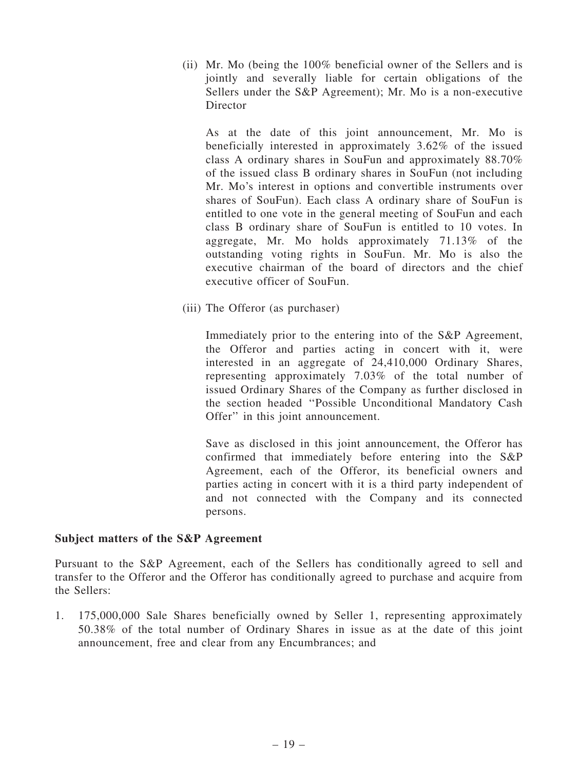(ii) Mr. Mo (being the 100% beneficial owner of the Sellers and is jointly and severally liable for certain obligations of the Sellers under the S&P Agreement); Mr. Mo is a non-executive **Director** 

As at the date of this joint announcement, Mr. Mo is beneficially interested in approximately 3.62% of the issued class A ordinary shares in SouFun and approximately 88.70% of the issued class B ordinary shares in SouFun (not including Mr. Mo's interest in options and convertible instruments over shares of SouFun). Each class A ordinary share of SouFun is entitled to one vote in the general meeting of SouFun and each class B ordinary share of SouFun is entitled to 10 votes. In aggregate, Mr. Mo holds approximately 71.13% of the outstanding voting rights in SouFun. Mr. Mo is also the executive chairman of the board of directors and the chief executive officer of SouFun.

(iii) The Offeror (as purchaser)

Immediately prior to the entering into of the S&P Agreement, the Offeror and parties acting in concert with it, were interested in an aggregate of 24,410,000 Ordinary Shares, representing approximately 7.03% of the total number of issued Ordinary Shares of the Company as further disclosed in the section headed ''Possible Unconditional Mandatory Cash Offer'' in this joint announcement.

Save as disclosed in this joint announcement, the Offeror has confirmed that immediately before entering into the S&P Agreement, each of the Offeror, its beneficial owners and parties acting in concert with it is a third party independent of and not connected with the Company and its connected persons.

### Subject matters of the S&P Agreement

Pursuant to the S&P Agreement, each of the Sellers has conditionally agreed to sell and transfer to the Offeror and the Offeror has conditionally agreed to purchase and acquire from the Sellers:

1. 175,000,000 Sale Shares beneficially owned by Seller 1, representing approximately 50.38% of the total number of Ordinary Shares in issue as at the date of this joint announcement, free and clear from any Encumbrances; and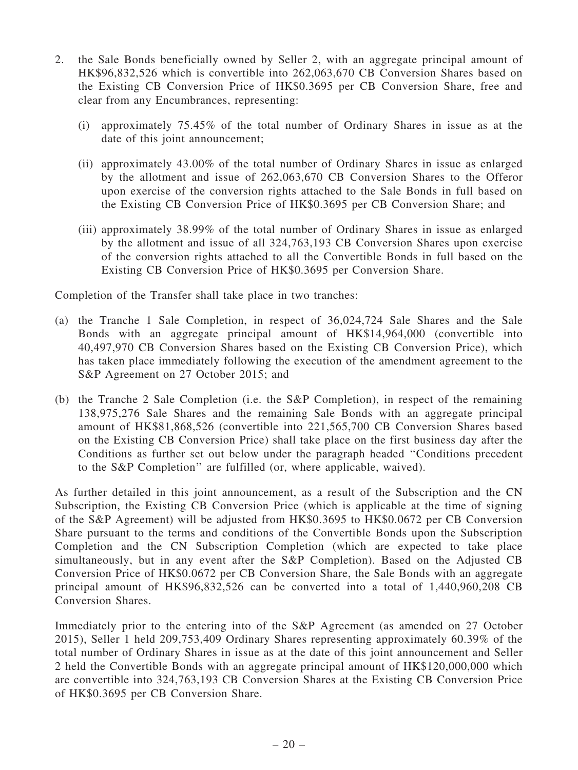- 2. the Sale Bonds beneficially owned by Seller 2, with an aggregate principal amount of HK\$96,832,526 which is convertible into 262,063,670 CB Conversion Shares based on the Existing CB Conversion Price of HK\$0.3695 per CB Conversion Share, free and clear from any Encumbrances, representing:
	- (i) approximately 75.45% of the total number of Ordinary Shares in issue as at the date of this joint announcement;
	- (ii) approximately 43.00% of the total number of Ordinary Shares in issue as enlarged by the allotment and issue of 262,063,670 CB Conversion Shares to the Offeror upon exercise of the conversion rights attached to the Sale Bonds in full based on the Existing CB Conversion Price of HK\$0.3695 per CB Conversion Share; and
	- (iii) approximately 38.99% of the total number of Ordinary Shares in issue as enlarged by the allotment and issue of all 324,763,193 CB Conversion Shares upon exercise of the conversion rights attached to all the Convertible Bonds in full based on the Existing CB Conversion Price of HK\$0.3695 per Conversion Share.

Completion of the Transfer shall take place in two tranches:

- (a) the Tranche 1 Sale Completion, in respect of 36,024,724 Sale Shares and the Sale Bonds with an aggregate principal amount of HK\$14,964,000 (convertible into 40,497,970 CB Conversion Shares based on the Existing CB Conversion Price), which has taken place immediately following the execution of the amendment agreement to the S&P Agreement on 27 October 2015; and
- (b) the Tranche 2 Sale Completion (i.e. the S&P Completion), in respect of the remaining 138,975,276 Sale Shares and the remaining Sale Bonds with an aggregate principal amount of HK\$81,868,526 (convertible into 221,565,700 CB Conversion Shares based on the Existing CB Conversion Price) shall take place on the first business day after the Conditions as further set out below under the paragraph headed ''Conditions precedent to the S&P Completion'' are fulfilled (or, where applicable, waived).

As further detailed in this joint announcement, as a result of the Subscription and the CN Subscription, the Existing CB Conversion Price (which is applicable at the time of signing of the S&P Agreement) will be adjusted from HK\$0.3695 to HK\$0.0672 per CB Conversion Share pursuant to the terms and conditions of the Convertible Bonds upon the Subscription Completion and the CN Subscription Completion (which are expected to take place simultaneously, but in any event after the S&P Completion). Based on the Adjusted CB Conversion Price of HK\$0.0672 per CB Conversion Share, the Sale Bonds with an aggregate principal amount of HK\$96,832,526 can be converted into a total of 1,440,960,208 CB Conversion Shares.

Immediately prior to the entering into of the S&P Agreement (as amended on 27 October 2015), Seller 1 held 209,753,409 Ordinary Shares representing approximately 60.39% of the total number of Ordinary Shares in issue as at the date of this joint announcement and Seller 2 held the Convertible Bonds with an aggregate principal amount of HK\$120,000,000 which are convertible into 324,763,193 CB Conversion Shares at the Existing CB Conversion Price of HK\$0.3695 per CB Conversion Share.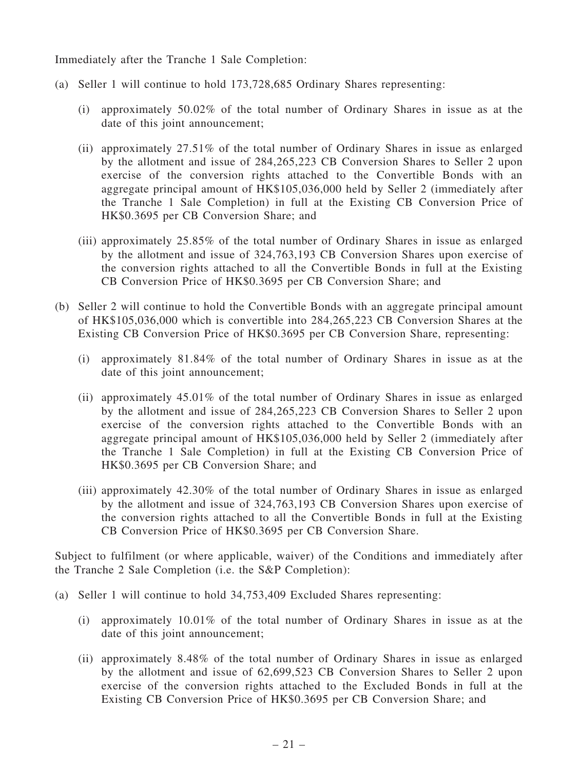Immediately after the Tranche 1 Sale Completion:

- (a) Seller 1 will continue to hold 173,728,685 Ordinary Shares representing:
	- (i) approximately 50.02% of the total number of Ordinary Shares in issue as at the date of this joint announcement;
	- (ii) approximately 27.51% of the total number of Ordinary Shares in issue as enlarged by the allotment and issue of 284,265,223 CB Conversion Shares to Seller 2 upon exercise of the conversion rights attached to the Convertible Bonds with an aggregate principal amount of HK\$105,036,000 held by Seller 2 (immediately after the Tranche 1 Sale Completion) in full at the Existing CB Conversion Price of HK\$0.3695 per CB Conversion Share; and
	- (iii) approximately 25.85% of the total number of Ordinary Shares in issue as enlarged by the allotment and issue of 324,763,193 CB Conversion Shares upon exercise of the conversion rights attached to all the Convertible Bonds in full at the Existing CB Conversion Price of HK\$0.3695 per CB Conversion Share; and
- (b) Seller 2 will continue to hold the Convertible Bonds with an aggregate principal amount of HK\$105,036,000 which is convertible into 284,265,223 CB Conversion Shares at the Existing CB Conversion Price of HK\$0.3695 per CB Conversion Share, representing:
	- (i) approximately 81.84% of the total number of Ordinary Shares in issue as at the date of this joint announcement;
	- (ii) approximately 45.01% of the total number of Ordinary Shares in issue as enlarged by the allotment and issue of 284,265,223 CB Conversion Shares to Seller 2 upon exercise of the conversion rights attached to the Convertible Bonds with an aggregate principal amount of HK\$105,036,000 held by Seller 2 (immediately after the Tranche 1 Sale Completion) in full at the Existing CB Conversion Price of HK\$0.3695 per CB Conversion Share; and
	- (iii) approximately 42.30% of the total number of Ordinary Shares in issue as enlarged by the allotment and issue of 324,763,193 CB Conversion Shares upon exercise of the conversion rights attached to all the Convertible Bonds in full at the Existing CB Conversion Price of HK\$0.3695 per CB Conversion Share.

Subject to fulfilment (or where applicable, waiver) of the Conditions and immediately after the Tranche 2 Sale Completion (i.e. the S&P Completion):

- (a) Seller 1 will continue to hold 34,753,409 Excluded Shares representing:
	- (i) approximately 10.01% of the total number of Ordinary Shares in issue as at the date of this joint announcement;
	- (ii) approximately 8.48% of the total number of Ordinary Shares in issue as enlarged by the allotment and issue of 62,699,523 CB Conversion Shares to Seller 2 upon exercise of the conversion rights attached to the Excluded Bonds in full at the Existing CB Conversion Price of HK\$0.3695 per CB Conversion Share; and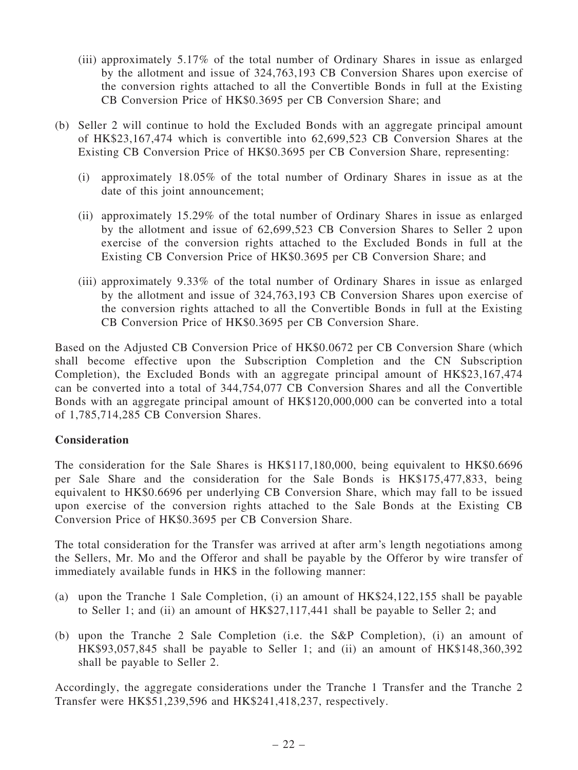- (iii) approximately 5.17% of the total number of Ordinary Shares in issue as enlarged by the allotment and issue of 324,763,193 CB Conversion Shares upon exercise of the conversion rights attached to all the Convertible Bonds in full at the Existing CB Conversion Price of HK\$0.3695 per CB Conversion Share; and
- (b) Seller 2 will continue to hold the Excluded Bonds with an aggregate principal amount of HK\$23,167,474 which is convertible into 62,699,523 CB Conversion Shares at the Existing CB Conversion Price of HK\$0.3695 per CB Conversion Share, representing:
	- (i) approximately 18.05% of the total number of Ordinary Shares in issue as at the date of this joint announcement;
	- (ii) approximately 15.29% of the total number of Ordinary Shares in issue as enlarged by the allotment and issue of 62,699,523 CB Conversion Shares to Seller 2 upon exercise of the conversion rights attached to the Excluded Bonds in full at the Existing CB Conversion Price of HK\$0.3695 per CB Conversion Share; and
	- (iii) approximately 9.33% of the total number of Ordinary Shares in issue as enlarged by the allotment and issue of 324,763,193 CB Conversion Shares upon exercise of the conversion rights attached to all the Convertible Bonds in full at the Existing CB Conversion Price of HK\$0.3695 per CB Conversion Share.

Based on the Adjusted CB Conversion Price of HK\$0.0672 per CB Conversion Share (which shall become effective upon the Subscription Completion and the CN Subscription Completion), the Excluded Bonds with an aggregate principal amount of HK\$23,167,474 can be converted into a total of 344,754,077 CB Conversion Shares and all the Convertible Bonds with an aggregate principal amount of HK\$120,000,000 can be converted into a total of 1,785,714,285 CB Conversion Shares.

### **Consideration**

The consideration for the Sale Shares is HK\$117,180,000, being equivalent to HK\$0.6696 per Sale Share and the consideration for the Sale Bonds is HK\$175,477,833, being equivalent to HK\$0.6696 per underlying CB Conversion Share, which may fall to be issued upon exercise of the conversion rights attached to the Sale Bonds at the Existing CB Conversion Price of HK\$0.3695 per CB Conversion Share.

The total consideration for the Transfer was arrived at after arm's length negotiations among the Sellers, Mr. Mo and the Offeror and shall be payable by the Offeror by wire transfer of immediately available funds in HK\$ in the following manner:

- (a) upon the Tranche 1 Sale Completion, (i) an amount of HK\$24,122,155 shall be payable to Seller 1; and (ii) an amount of HK\$27,117,441 shall be payable to Seller 2; and
- (b) upon the Tranche 2 Sale Completion (i.e. the S&P Completion), (i) an amount of HK\$93,057,845 shall be payable to Seller 1; and (ii) an amount of HK\$148,360,392 shall be payable to Seller 2.

Accordingly, the aggregate considerations under the Tranche 1 Transfer and the Tranche 2 Transfer were HK\$51,239,596 and HK\$241,418,237, respectively.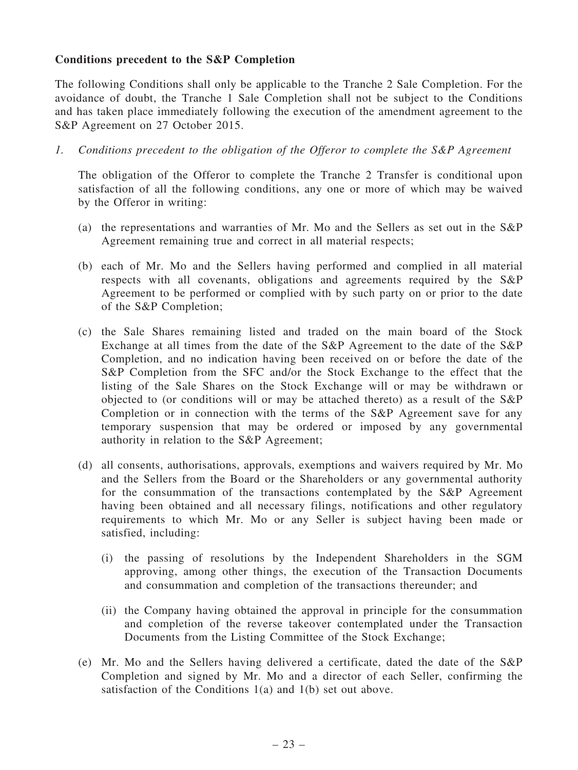## Conditions precedent to the S&P Completion

The following Conditions shall only be applicable to the Tranche 2 Sale Completion. For the avoidance of doubt, the Tranche 1 Sale Completion shall not be subject to the Conditions and has taken place immediately following the execution of the amendment agreement to the S&P Agreement on 27 October 2015.

1. Conditions precedent to the obligation of the Offeror to complete the S&P Agreement

The obligation of the Offeror to complete the Tranche 2 Transfer is conditional upon satisfaction of all the following conditions, any one or more of which may be waived by the Offeror in writing:

- (a) the representations and warranties of Mr. Mo and the Sellers as set out in the S&P Agreement remaining true and correct in all material respects;
- (b) each of Mr. Mo and the Sellers having performed and complied in all material respects with all covenants, obligations and agreements required by the S&P Agreement to be performed or complied with by such party on or prior to the date of the S&P Completion;
- (c) the Sale Shares remaining listed and traded on the main board of the Stock Exchange at all times from the date of the S&P Agreement to the date of the S&P Completion, and no indication having been received on or before the date of the S&P Completion from the SFC and/or the Stock Exchange to the effect that the listing of the Sale Shares on the Stock Exchange will or may be withdrawn or objected to (or conditions will or may be attached thereto) as a result of the S&P Completion or in connection with the terms of the S&P Agreement save for any temporary suspension that may be ordered or imposed by any governmental authority in relation to the S&P Agreement;
- (d) all consents, authorisations, approvals, exemptions and waivers required by Mr. Mo and the Sellers from the Board or the Shareholders or any governmental authority for the consummation of the transactions contemplated by the S&P Agreement having been obtained and all necessary filings, notifications and other regulatory requirements to which Mr. Mo or any Seller is subject having been made or satisfied, including:
	- (i) the passing of resolutions by the Independent Shareholders in the SGM approving, among other things, the execution of the Transaction Documents and consummation and completion of the transactions thereunder; and
	- (ii) the Company having obtained the approval in principle for the consummation and completion of the reverse takeover contemplated under the Transaction Documents from the Listing Committee of the Stock Exchange;
- (e) Mr. Mo and the Sellers having delivered a certificate, dated the date of the S&P Completion and signed by Mr. Mo and a director of each Seller, confirming the satisfaction of the Conditions 1(a) and 1(b) set out above.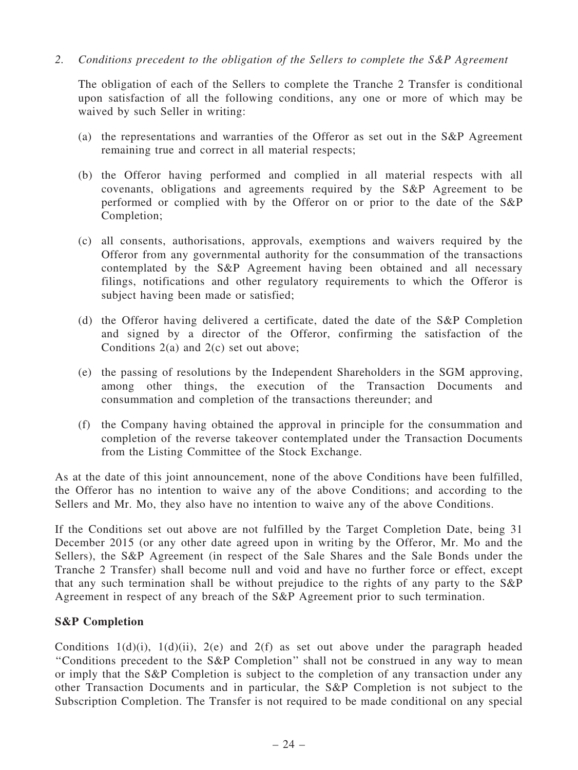2. Conditions precedent to the obligation of the Sellers to complete the S&P Agreement

The obligation of each of the Sellers to complete the Tranche 2 Transfer is conditional upon satisfaction of all the following conditions, any one or more of which may be waived by such Seller in writing:

- (a) the representations and warranties of the Offeror as set out in the S&P Agreement remaining true and correct in all material respects;
- (b) the Offeror having performed and complied in all material respects with all covenants, obligations and agreements required by the S&P Agreement to be performed or complied with by the Offeror on or prior to the date of the S&P Completion;
- (c) all consents, authorisations, approvals, exemptions and waivers required by the Offeror from any governmental authority for the consummation of the transactions contemplated by the S&P Agreement having been obtained and all necessary filings, notifications and other regulatory requirements to which the Offeror is subject having been made or satisfied;
- (d) the Offeror having delivered a certificate, dated the date of the S&P Completion and signed by a director of the Offeror, confirming the satisfaction of the Conditions 2(a) and 2(c) set out above;
- (e) the passing of resolutions by the Independent Shareholders in the SGM approving, among other things, the execution of the Transaction Documents and consummation and completion of the transactions thereunder; and
- (f) the Company having obtained the approval in principle for the consummation and completion of the reverse takeover contemplated under the Transaction Documents from the Listing Committee of the Stock Exchange.

As at the date of this joint announcement, none of the above Conditions have been fulfilled, the Offeror has no intention to waive any of the above Conditions; and according to the Sellers and Mr. Mo, they also have no intention to waive any of the above Conditions.

If the Conditions set out above are not fulfilled by the Target Completion Date, being 31 December 2015 (or any other date agreed upon in writing by the Offeror, Mr. Mo and the Sellers), the S&P Agreement (in respect of the Sale Shares and the Sale Bonds under the Tranche 2 Transfer) shall become null and void and have no further force or effect, except that any such termination shall be without prejudice to the rights of any party to the S&P Agreement in respect of any breach of the S&P Agreement prior to such termination.

## S&P Completion

Conditions  $1(d)(i)$ ,  $1(d)(ii)$ ,  $2(e)$  and  $2(f)$  as set out above under the paragraph headed ''Conditions precedent to the S&P Completion'' shall not be construed in any way to mean or imply that the S&P Completion is subject to the completion of any transaction under any other Transaction Documents and in particular, the S&P Completion is not subject to the Subscription Completion. The Transfer is not required to be made conditional on any special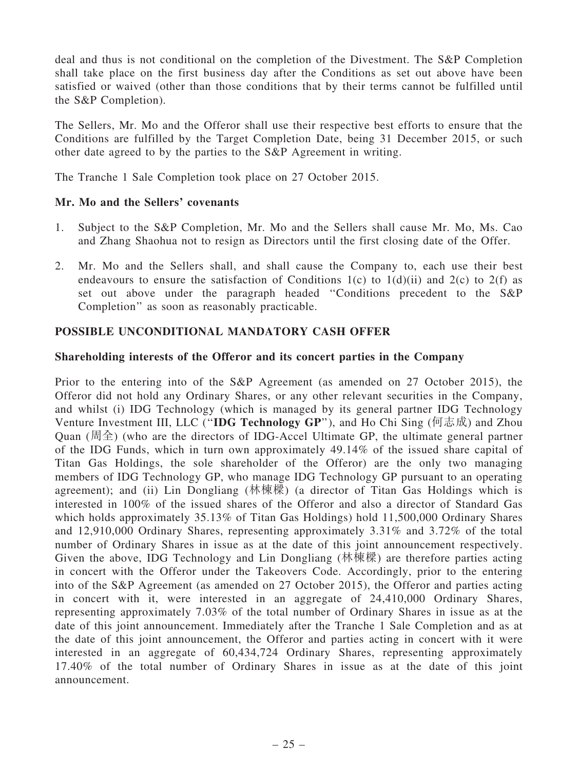deal and thus is not conditional on the completion of the Divestment. The S&P Completion shall take place on the first business day after the Conditions as set out above have been satisfied or waived (other than those conditions that by their terms cannot be fulfilled until the S&P Completion).

The Sellers, Mr. Mo and the Offeror shall use their respective best efforts to ensure that the Conditions are fulfilled by the Target Completion Date, being 31 December 2015, or such other date agreed to by the parties to the S&P Agreement in writing.

The Tranche 1 Sale Completion took place on 27 October 2015.

## Mr. Mo and the Sellers' covenants

- 1. Subject to the S&P Completion, Mr. Mo and the Sellers shall cause Mr. Mo, Ms. Cao and Zhang Shaohua not to resign as Directors until the first closing date of the Offer.
- 2. Mr. Mo and the Sellers shall, and shall cause the Company to, each use their best endeavours to ensure the satisfaction of Conditions 1(c) to 1(d)(ii) and 2(c) to 2(f) as set out above under the paragraph headed ''Conditions precedent to the S&P Completion'' as soon as reasonably practicable.

## POSSIBLE UNCONDITIONAL MANDATORY CASH OFFER

### Shareholding interests of the Offeror and its concert parties in the Company

Prior to the entering into of the S&P Agreement (as amended on 27 October 2015), the Offeror did not hold any Ordinary Shares, or any other relevant securities in the Company, and whilst (i) IDG Technology (which is managed by its general partner IDG Technology Venture Investment III, LLC (''IDG Technology GP''), and Ho Chi Sing (何志成) and Zhou Quan  $(\mathbb{H}\triangle$ ) (who are the directors of IDG-Accel Ultimate GP, the ultimate general partner of the IDG Funds, which in turn own approximately 49.14% of the issued share capital of Titan Gas Holdings, the sole shareholder of the Offeror) are the only two managing members of IDG Technology GP, who manage IDG Technology GP pursuant to an operating agreement); and (ii) Lin Dongliang (林棟樑) (a director of Titan Gas Holdings which is interested in 100% of the issued shares of the Offeror and also a director of Standard Gas which holds approximately 35.13% of Titan Gas Holdings) hold 11,500,000 Ordinary Shares and 12,910,000 Ordinary Shares, representing approximately 3.31% and 3.72% of the total number of Ordinary Shares in issue as at the date of this joint announcement respectively. Given the above, IDG Technology and Lin Dongliang (林棟樑) are therefore parties acting in concert with the Offeror under the Takeovers Code. Accordingly, prior to the entering into of the S&P Agreement (as amended on 27 October 2015), the Offeror and parties acting in concert with it, were interested in an aggregate of 24,410,000 Ordinary Shares, representing approximately 7.03% of the total number of Ordinary Shares in issue as at the date of this joint announcement. Immediately after the Tranche 1 Sale Completion and as at the date of this joint announcement, the Offeror and parties acting in concert with it were interested in an aggregate of 60,434,724 Ordinary Shares, representing approximately 17.40% of the total number of Ordinary Shares in issue as at the date of this joint announcement.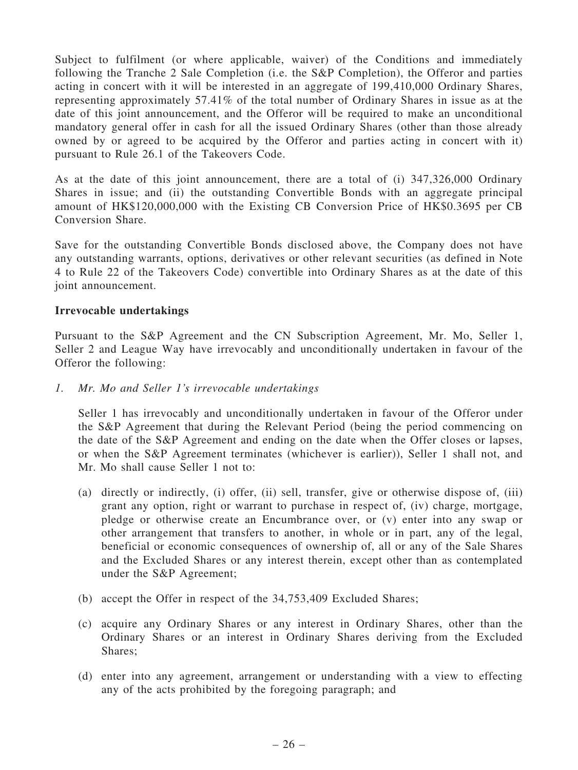Subject to fulfilment (or where applicable, waiver) of the Conditions and immediately following the Tranche 2 Sale Completion (i.e. the S&P Completion), the Offeror and parties acting in concert with it will be interested in an aggregate of 199,410,000 Ordinary Shares, representing approximately 57.41% of the total number of Ordinary Shares in issue as at the date of this joint announcement, and the Offeror will be required to make an unconditional mandatory general offer in cash for all the issued Ordinary Shares (other than those already owned by or agreed to be acquired by the Offeror and parties acting in concert with it) pursuant to Rule 26.1 of the Takeovers Code.

As at the date of this joint announcement, there are a total of (i) 347,326,000 Ordinary Shares in issue; and (ii) the outstanding Convertible Bonds with an aggregate principal amount of HK\$120,000,000 with the Existing CB Conversion Price of HK\$0.3695 per CB Conversion Share.

Save for the outstanding Convertible Bonds disclosed above, the Company does not have any outstanding warrants, options, derivatives or other relevant securities (as defined in Note 4 to Rule 22 of the Takeovers Code) convertible into Ordinary Shares as at the date of this joint announcement.

## Irrevocable undertakings

Pursuant to the S&P Agreement and the CN Subscription Agreement, Mr. Mo, Seller 1, Seller 2 and League Way have irrevocably and unconditionally undertaken in favour of the Offeror the following:

1. Mr. Mo and Seller 1's irrevocable undertakings

Seller 1 has irrevocably and unconditionally undertaken in favour of the Offeror under the S&P Agreement that during the Relevant Period (being the period commencing on the date of the S&P Agreement and ending on the date when the Offer closes or lapses, or when the S&P Agreement terminates (whichever is earlier)), Seller 1 shall not, and Mr. Mo shall cause Seller 1 not to:

- (a) directly or indirectly, (i) offer, (ii) sell, transfer, give or otherwise dispose of, (iii) grant any option, right or warrant to purchase in respect of, (iv) charge, mortgage, pledge or otherwise create an Encumbrance over, or (v) enter into any swap or other arrangement that transfers to another, in whole or in part, any of the legal, beneficial or economic consequences of ownership of, all or any of the Sale Shares and the Excluded Shares or any interest therein, except other than as contemplated under the S&P Agreement;
- (b) accept the Offer in respect of the 34,753,409 Excluded Shares;
- (c) acquire any Ordinary Shares or any interest in Ordinary Shares, other than the Ordinary Shares or an interest in Ordinary Shares deriving from the Excluded Shares;
- (d) enter into any agreement, arrangement or understanding with a view to effecting any of the acts prohibited by the foregoing paragraph; and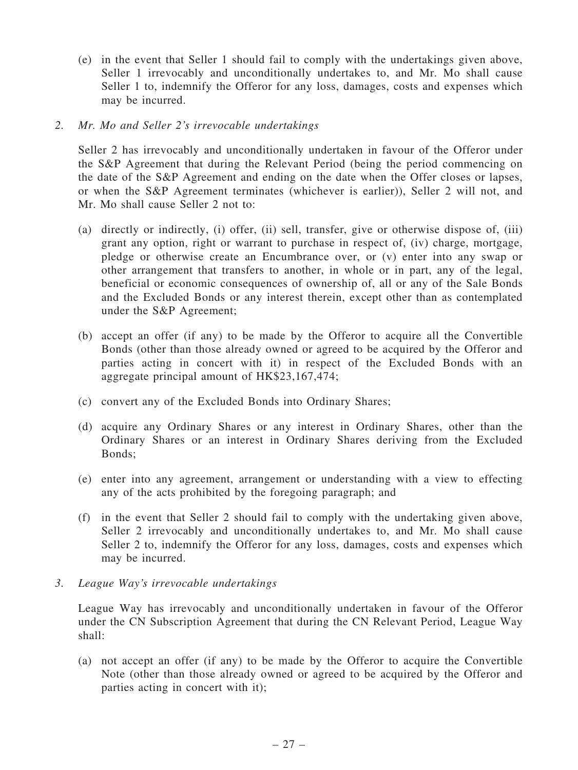- (e) in the event that Seller 1 should fail to comply with the undertakings given above, Seller 1 irrevocably and unconditionally undertakes to, and Mr. Mo shall cause Seller 1 to, indemnify the Offeror for any loss, damages, costs and expenses which may be incurred.
- 2. Mr. Mo and Seller 2's irrevocable undertakings

Seller 2 has irrevocably and unconditionally undertaken in favour of the Offeror under the S&P Agreement that during the Relevant Period (being the period commencing on the date of the S&P Agreement and ending on the date when the Offer closes or lapses, or when the S&P Agreement terminates (whichever is earlier)), Seller 2 will not, and Mr. Mo shall cause Seller 2 not to:

- (a) directly or indirectly, (i) offer, (ii) sell, transfer, give or otherwise dispose of, (iii) grant any option, right or warrant to purchase in respect of, (iv) charge, mortgage, pledge or otherwise create an Encumbrance over, or (v) enter into any swap or other arrangement that transfers to another, in whole or in part, any of the legal, beneficial or economic consequences of ownership of, all or any of the Sale Bonds and the Excluded Bonds or any interest therein, except other than as contemplated under the S&P Agreement;
- (b) accept an offer (if any) to be made by the Offeror to acquire all the Convertible Bonds (other than those already owned or agreed to be acquired by the Offeror and parties acting in concert with it) in respect of the Excluded Bonds with an aggregate principal amount of HK\$23,167,474;
- (c) convert any of the Excluded Bonds into Ordinary Shares;
- (d) acquire any Ordinary Shares or any interest in Ordinary Shares, other than the Ordinary Shares or an interest in Ordinary Shares deriving from the Excluded Bonds;
- (e) enter into any agreement, arrangement or understanding with a view to effecting any of the acts prohibited by the foregoing paragraph; and
- (f) in the event that Seller 2 should fail to comply with the undertaking given above, Seller 2 irrevocably and unconditionally undertakes to, and Mr. Mo shall cause Seller 2 to, indemnify the Offeror for any loss, damages, costs and expenses which may be incurred.
- 3. League Way's irrevocable undertakings

League Way has irrevocably and unconditionally undertaken in favour of the Offeror under the CN Subscription Agreement that during the CN Relevant Period, League Way shall:

(a) not accept an offer (if any) to be made by the Offeror to acquire the Convertible Note (other than those already owned or agreed to be acquired by the Offeror and parties acting in concert with it);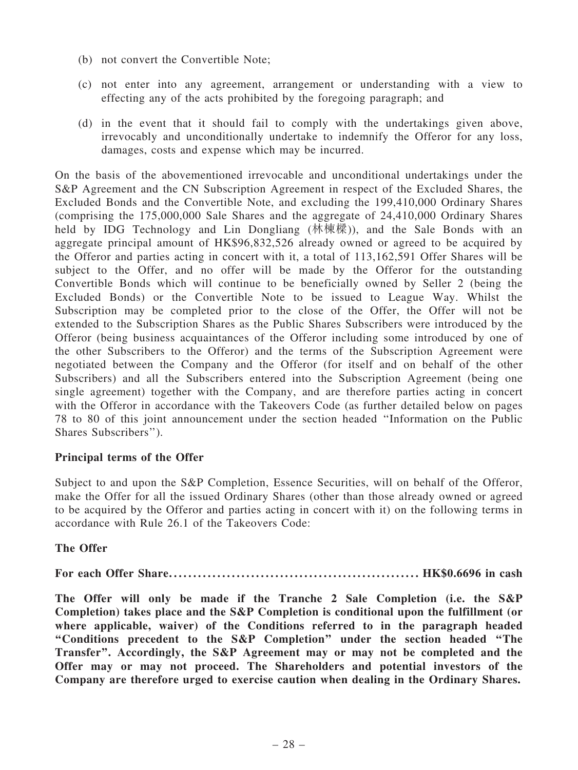- (b) not convert the Convertible Note;
- (c) not enter into any agreement, arrangement or understanding with a view to effecting any of the acts prohibited by the foregoing paragraph; and
- (d) in the event that it should fail to comply with the undertakings given above, irrevocably and unconditionally undertake to indemnify the Offeror for any loss, damages, costs and expense which may be incurred.

On the basis of the abovementioned irrevocable and unconditional undertakings under the S&P Agreement and the CN Subscription Agreement in respect of the Excluded Shares, the Excluded Bonds and the Convertible Note, and excluding the 199,410,000 Ordinary Shares (comprising the 175,000,000 Sale Shares and the aggregate of 24,410,000 Ordinary Shares held by IDG Technology and Lin Dongliang (林棟樑)), and the Sale Bonds with an aggregate principal amount of HK\$96,832,526 already owned or agreed to be acquired by the Offeror and parties acting in concert with it, a total of 113,162,591 Offer Shares will be subject to the Offer, and no offer will be made by the Offeror for the outstanding Convertible Bonds which will continue to be beneficially owned by Seller 2 (being the Excluded Bonds) or the Convertible Note to be issued to League Way. Whilst the Subscription may be completed prior to the close of the Offer, the Offer will not be extended to the Subscription Shares as the Public Shares Subscribers were introduced by the Offeror (being business acquaintances of the Offeror including some introduced by one of the other Subscribers to the Offeror) and the terms of the Subscription Agreement were negotiated between the Company and the Offeror (for itself and on behalf of the other Subscribers) and all the Subscribers entered into the Subscription Agreement (being one single agreement) together with the Company, and are therefore parties acting in concert with the Offeror in accordance with the Takeovers Code (as further detailed below on pages 78 to 80 of this joint announcement under the section headed ''Information on the Public Shares Subscribers'').

## Principal terms of the Offer

Subject to and upon the S&P Completion, Essence Securities, will on behalf of the Offeror, make the Offer for all the issued Ordinary Shares (other than those already owned or agreed to be acquired by the Offeror and parties acting in concert with it) on the following terms in accordance with Rule 26.1 of the Takeovers Code:

## The Offer

For each Offer Share. . . . . . ..................................... . . . . . . . . . HK\$0.6696 in cash

The Offer will only be made if the Tranche 2 Sale Completion (i.e. the S&P Completion) takes place and the S&P Completion is conditional upon the fulfillment (or where applicable, waiver) of the Conditions referred to in the paragraph headed ''Conditions precedent to the S&P Completion'' under the section headed ''The Transfer''. Accordingly, the S&P Agreement may or may not be completed and the Offer may or may not proceed. The Shareholders and potential investors of the Company are therefore urged to exercise caution when dealing in the Ordinary Shares.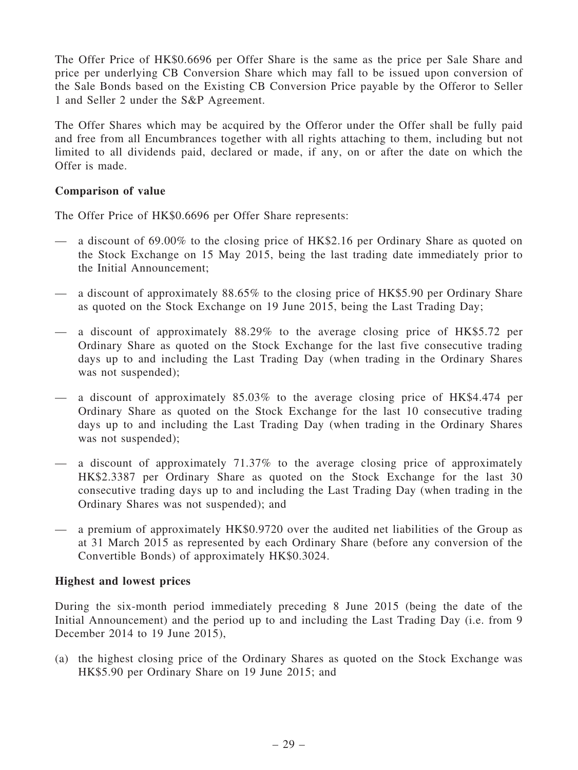The Offer Price of HK\$0.6696 per Offer Share is the same as the price per Sale Share and price per underlying CB Conversion Share which may fall to be issued upon conversion of the Sale Bonds based on the Existing CB Conversion Price payable by the Offeror to Seller 1 and Seller 2 under the S&P Agreement.

The Offer Shares which may be acquired by the Offeror under the Offer shall be fully paid and free from all Encumbrances together with all rights attaching to them, including but not limited to all dividends paid, declared or made, if any, on or after the date on which the Offer is made.

## Comparison of value

The Offer Price of HK\$0.6696 per Offer Share represents:

- a discount of 69.00% to the closing price of HK\$2.16 per Ordinary Share as quoted on the Stock Exchange on 15 May 2015, being the last trading date immediately prior to the Initial Announcement;
- a discount of approximately 88.65% to the closing price of HK\$5.90 per Ordinary Share as quoted on the Stock Exchange on 19 June 2015, being the Last Trading Day;
- a discount of approximately 88.29% to the average closing price of HK\$5.72 per Ordinary Share as quoted on the Stock Exchange for the last five consecutive trading days up to and including the Last Trading Day (when trading in the Ordinary Shares was not suspended);
- a discount of approximately 85.03% to the average closing price of HK\$4.474 per Ordinary Share as quoted on the Stock Exchange for the last 10 consecutive trading days up to and including the Last Trading Day (when trading in the Ordinary Shares was not suspended);
- a discount of approximately 71.37% to the average closing price of approximately HK\$2.3387 per Ordinary Share as quoted on the Stock Exchange for the last 30 consecutive trading days up to and including the Last Trading Day (when trading in the Ordinary Shares was not suspended); and
- a premium of approximately HK\$0.9720 over the audited net liabilities of the Group as at 31 March 2015 as represented by each Ordinary Share (before any conversion of the Convertible Bonds) of approximately HK\$0.3024.

## Highest and lowest prices

During the six-month period immediately preceding 8 June 2015 (being the date of the Initial Announcement) and the period up to and including the Last Trading Day (i.e. from 9 December 2014 to 19 June 2015),

(a) the highest closing price of the Ordinary Shares as quoted on the Stock Exchange was HK\$5.90 per Ordinary Share on 19 June 2015; and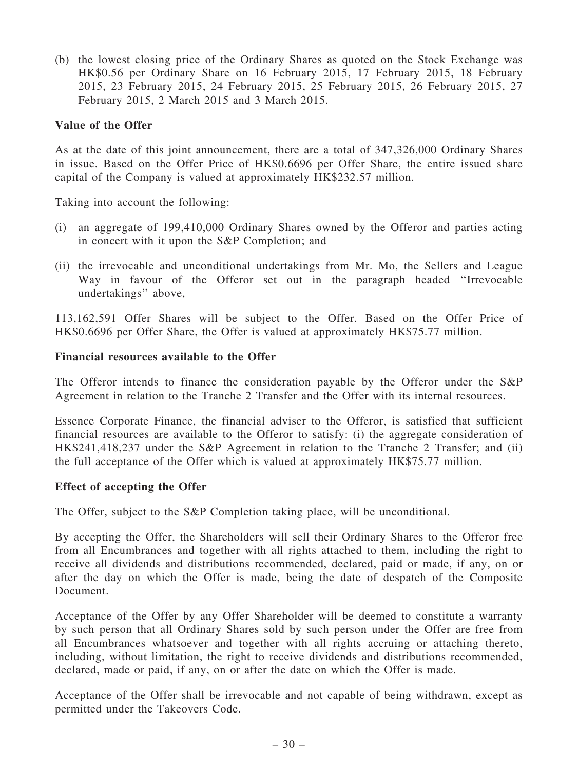(b) the lowest closing price of the Ordinary Shares as quoted on the Stock Exchange was HK\$0.56 per Ordinary Share on 16 February 2015, 17 February 2015, 18 February 2015, 23 February 2015, 24 February 2015, 25 February 2015, 26 February 2015, 27 February 2015, 2 March 2015 and 3 March 2015.

### Value of the Offer

As at the date of this joint announcement, there are a total of 347,326,000 Ordinary Shares in issue. Based on the Offer Price of HK\$0.6696 per Offer Share, the entire issued share capital of the Company is valued at approximately HK\$232.57 million.

Taking into account the following:

- (i) an aggregate of 199,410,000 Ordinary Shares owned by the Offeror and parties acting in concert with it upon the S&P Completion; and
- (ii) the irrevocable and unconditional undertakings from Mr. Mo, the Sellers and League Way in favour of the Offeror set out in the paragraph headed ''Irrevocable undertakings'' above,

113,162,591 Offer Shares will be subject to the Offer. Based on the Offer Price of HK\$0.6696 per Offer Share, the Offer is valued at approximately HK\$75.77 million.

### Financial resources available to the Offer

The Offeror intends to finance the consideration payable by the Offeror under the S&P Agreement in relation to the Tranche 2 Transfer and the Offer with its internal resources.

Essence Corporate Finance, the financial adviser to the Offeror, is satisfied that sufficient financial resources are available to the Offeror to satisfy: (i) the aggregate consideration of HK\$241,418,237 under the S&P Agreement in relation to the Tranche 2 Transfer; and (ii) the full acceptance of the Offer which is valued at approximately HK\$75.77 million.

### Effect of accepting the Offer

The Offer, subject to the S&P Completion taking place, will be unconditional.

By accepting the Offer, the Shareholders will sell their Ordinary Shares to the Offeror free from all Encumbrances and together with all rights attached to them, including the right to receive all dividends and distributions recommended, declared, paid or made, if any, on or after the day on which the Offer is made, being the date of despatch of the Composite Document.

Acceptance of the Offer by any Offer Shareholder will be deemed to constitute a warranty by such person that all Ordinary Shares sold by such person under the Offer are free from all Encumbrances whatsoever and together with all rights accruing or attaching thereto, including, without limitation, the right to receive dividends and distributions recommended, declared, made or paid, if any, on or after the date on which the Offer is made.

Acceptance of the Offer shall be irrevocable and not capable of being withdrawn, except as permitted under the Takeovers Code.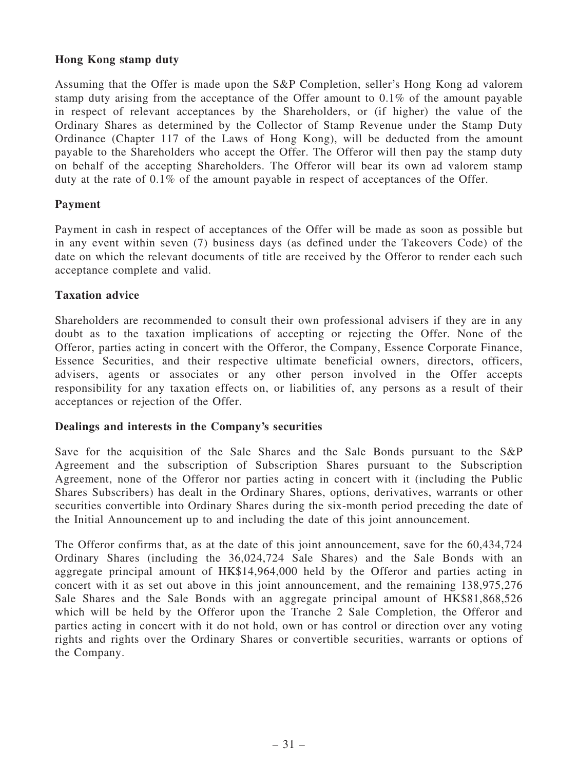## Hong Kong stamp duty

Assuming that the Offer is made upon the S&P Completion, seller's Hong Kong ad valorem stamp duty arising from the acceptance of the Offer amount to 0.1% of the amount payable in respect of relevant acceptances by the Shareholders, or (if higher) the value of the Ordinary Shares as determined by the Collector of Stamp Revenue under the Stamp Duty Ordinance (Chapter 117 of the Laws of Hong Kong), will be deducted from the amount payable to the Shareholders who accept the Offer. The Offeror will then pay the stamp duty on behalf of the accepting Shareholders. The Offeror will bear its own ad valorem stamp duty at the rate of 0.1% of the amount payable in respect of acceptances of the Offer.

## Payment

Payment in cash in respect of acceptances of the Offer will be made as soon as possible but in any event within seven (7) business days (as defined under the Takeovers Code) of the date on which the relevant documents of title are received by the Offeror to render each such acceptance complete and valid.

## Taxation advice

Shareholders are recommended to consult their own professional advisers if they are in any doubt as to the taxation implications of accepting or rejecting the Offer. None of the Offeror, parties acting in concert with the Offeror, the Company, Essence Corporate Finance, Essence Securities, and their respective ultimate beneficial owners, directors, officers, advisers, agents or associates or any other person involved in the Offer accepts responsibility for any taxation effects on, or liabilities of, any persons as a result of their acceptances or rejection of the Offer.

## Dealings and interests in the Company's securities

Save for the acquisition of the Sale Shares and the Sale Bonds pursuant to the S&P Agreement and the subscription of Subscription Shares pursuant to the Subscription Agreement, none of the Offeror nor parties acting in concert with it (including the Public Shares Subscribers) has dealt in the Ordinary Shares, options, derivatives, warrants or other securities convertible into Ordinary Shares during the six-month period preceding the date of the Initial Announcement up to and including the date of this joint announcement.

The Offeror confirms that, as at the date of this joint announcement, save for the 60,434,724 Ordinary Shares (including the 36,024,724 Sale Shares) and the Sale Bonds with an aggregate principal amount of HK\$14,964,000 held by the Offeror and parties acting in concert with it as set out above in this joint announcement, and the remaining 138,975,276 Sale Shares and the Sale Bonds with an aggregate principal amount of HK\$81,868,526 which will be held by the Offeror upon the Tranche 2 Sale Completion, the Offeror and parties acting in concert with it do not hold, own or has control or direction over any voting rights and rights over the Ordinary Shares or convertible securities, warrants or options of the Company.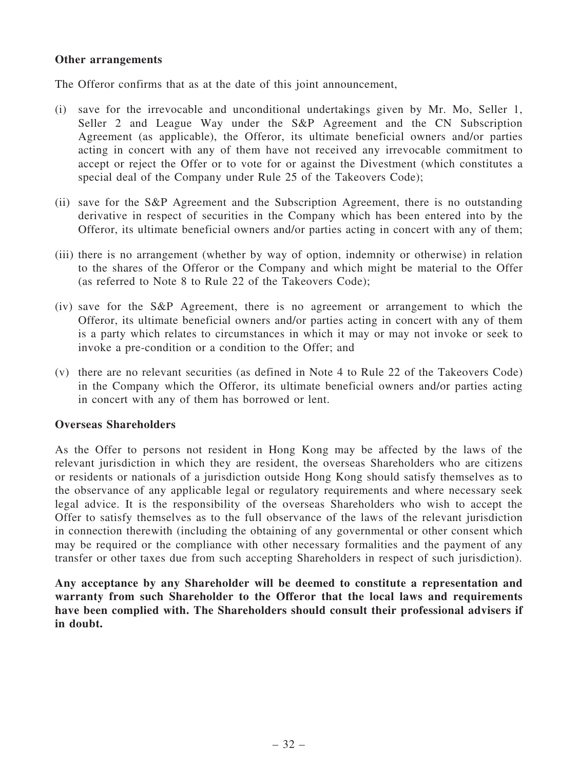### Other arrangements

The Offeror confirms that as at the date of this joint announcement,

- (i) save for the irrevocable and unconditional undertakings given by Mr. Mo, Seller 1, Seller 2 and League Way under the S&P Agreement and the CN Subscription Agreement (as applicable), the Offeror, its ultimate beneficial owners and/or parties acting in concert with any of them have not received any irrevocable commitment to accept or reject the Offer or to vote for or against the Divestment (which constitutes a special deal of the Company under Rule 25 of the Takeovers Code);
- (ii) save for the S&P Agreement and the Subscription Agreement, there is no outstanding derivative in respect of securities in the Company which has been entered into by the Offeror, its ultimate beneficial owners and/or parties acting in concert with any of them;
- (iii) there is no arrangement (whether by way of option, indemnity or otherwise) in relation to the shares of the Offeror or the Company and which might be material to the Offer (as referred to Note 8 to Rule 22 of the Takeovers Code);
- (iv) save for the S&P Agreement, there is no agreement or arrangement to which the Offeror, its ultimate beneficial owners and/or parties acting in concert with any of them is a party which relates to circumstances in which it may or may not invoke or seek to invoke a pre-condition or a condition to the Offer; and
- (v) there are no relevant securities (as defined in Note 4 to Rule 22 of the Takeovers Code) in the Company which the Offeror, its ultimate beneficial owners and/or parties acting in concert with any of them has borrowed or lent.

### Overseas Shareholders

As the Offer to persons not resident in Hong Kong may be affected by the laws of the relevant jurisdiction in which they are resident, the overseas Shareholders who are citizens or residents or nationals of a jurisdiction outside Hong Kong should satisfy themselves as to the observance of any applicable legal or regulatory requirements and where necessary seek legal advice. It is the responsibility of the overseas Shareholders who wish to accept the Offer to satisfy themselves as to the full observance of the laws of the relevant jurisdiction in connection therewith (including the obtaining of any governmental or other consent which may be required or the compliance with other necessary formalities and the payment of any transfer or other taxes due from such accepting Shareholders in respect of such jurisdiction).

Any acceptance by any Shareholder will be deemed to constitute a representation and warranty from such Shareholder to the Offeror that the local laws and requirements have been complied with. The Shareholders should consult their professional advisers if in doubt.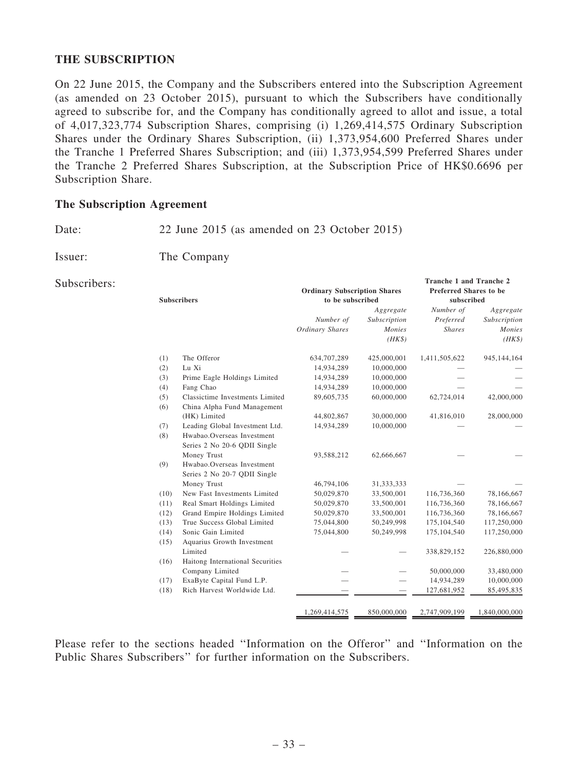## THE SUBSCRIPTION

On 22 June 2015, the Company and the Subscribers entered into the Subscription Agreement (as amended on 23 October 2015), pursuant to which the Subscribers have conditionally agreed to subscribe for, and the Company has conditionally agreed to allot and issue, a total of 4,017,323,774 Subscription Shares, comprising (i) 1,269,414,575 Ordinary Subscription Shares under the Ordinary Shares Subscription, (ii) 1,373,954,600 Preferred Shares under the Tranche 1 Preferred Shares Subscription; and (iii) 1,373,954,599 Preferred Shares under the Tranche 2 Preferred Shares Subscription, at the Subscription Price of HK\$0.6696 per Subscription Share.

### The Subscription Agreement

Date: 22 June 2015 (as amended on 23 October 2015)

Issuer: The Company

#### Subscribers:

|                    |                                  | <b>Ordinary Subscription Shares</b> |              | <b>Preferred Shares to be</b> |               |  |  |
|--------------------|----------------------------------|-------------------------------------|--------------|-------------------------------|---------------|--|--|
| <b>Subscribers</b> |                                  | to be subscribed                    |              | subscribed                    |               |  |  |
|                    |                                  |                                     | Aggregate    | Number of                     | Aggregate     |  |  |
|                    |                                  | Number of                           | Subscription | Preferred                     | Subscription  |  |  |
|                    |                                  | Ordinary Shares                     | Monies       | <b>Shares</b>                 | Monies        |  |  |
|                    |                                  |                                     | $(HK\$       |                               | $(HK\$        |  |  |
| (1)                | The Offeror                      | 634,707,289                         | 425,000,001  | 1,411,505,622                 | 945,144,164   |  |  |
| (2)                | Lu Xi                            | 14,934,289                          | 10,000,000   |                               |               |  |  |
| (3)                | Prime Eagle Holdings Limited     | 14,934,289                          | 10,000,000   |                               |               |  |  |
| (4)                | Fang Chao                        | 14,934,289                          | 10,000,000   |                               |               |  |  |
| (5)                | Classictime Investments Limited  | 89,605,735                          | 60,000,000   | 62,724,014                    | 42,000,000    |  |  |
| (6)                | China Alpha Fund Management      |                                     |              |                               |               |  |  |
|                    | (HK) Limited                     | 44,802,867                          | 30,000,000   | 41,816,010                    | 28,000,000    |  |  |
| (7)                | Leading Global Investment Ltd.   | 14,934,289                          | 10,000,000   |                               |               |  |  |
| (8)                | Hwabao.Overseas Investment       |                                     |              |                               |               |  |  |
|                    | Series 2 No 20-6 QDII Single     |                                     |              |                               |               |  |  |
|                    | Money Trust                      | 93,588,212                          | 62,666,667   |                               |               |  |  |
| (9)                | Hwabao.Overseas Investment       |                                     |              |                               |               |  |  |
|                    | Series 2 No 20-7 QDII Single     |                                     |              |                               |               |  |  |
|                    | Money Trust                      | 46,794,106                          | 31, 333, 333 |                               |               |  |  |
| (10)               | New Fast Investments Limited     | 50,029,870                          | 33,500,001   | 116,736,360                   | 78,166,667    |  |  |
| (11)               | Real Smart Holdings Limited      | 50,029,870                          | 33,500,001   | 116,736,360                   | 78,166,667    |  |  |
| (12)               | Grand Empire Holdings Limited    | 50,029,870                          | 33,500,001   | 116,736,360                   | 78,166,667    |  |  |
| (13)               | True Success Global Limited      | 75,044,800                          | 50,249,998   | 175, 104, 540                 | 117,250,000   |  |  |
| (14)               | Sonic Gain Limited               | 75,044,800                          | 50,249,998   | 175,104,540                   | 117,250,000   |  |  |
| (15)               | Aquarius Growth Investment       |                                     |              |                               |               |  |  |
|                    | Limited                          |                                     |              | 338,829,152                   | 226,880,000   |  |  |
| (16)               | Haitong International Securities |                                     |              |                               |               |  |  |
|                    | Company Limited                  |                                     |              | 50,000,000                    | 33,480,000    |  |  |
| (17)               | ExaByte Capital Fund L.P.        |                                     |              | 14,934,289                    | 10,000,000    |  |  |
| (18)               | Rich Harvest Worldwide Ltd.      |                                     |              | 127,681,952                   | 85,495,835    |  |  |
|                    |                                  |                                     |              |                               |               |  |  |
|                    |                                  | 1,269,414,575                       | 850,000,000  | 2,747,909,199                 | 1,840,000,000 |  |  |

Tranche 1 and Tranche 2

Please refer to the sections headed ''Information on the Offeror'' and ''Information on the Public Shares Subscribers'' for further information on the Subscribers.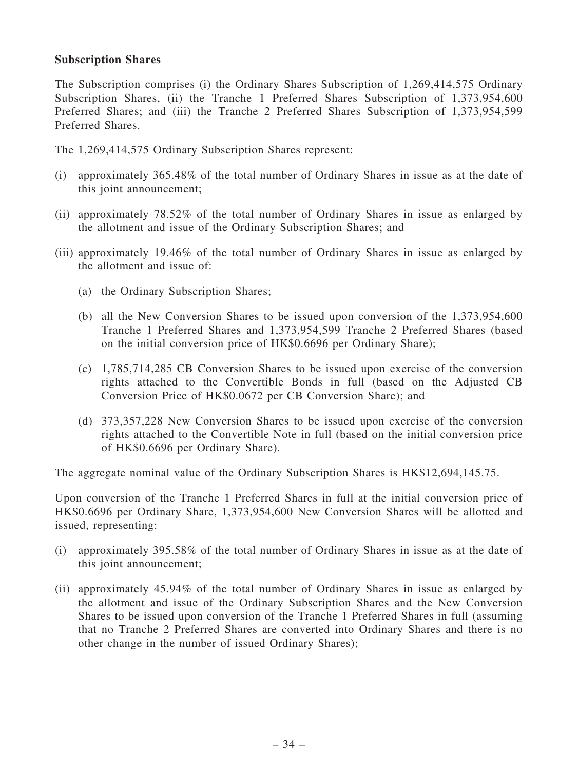## Subscription Shares

The Subscription comprises (i) the Ordinary Shares Subscription of 1,269,414,575 Ordinary Subscription Shares, (ii) the Tranche 1 Preferred Shares Subscription of 1,373,954,600 Preferred Shares; and (iii) the Tranche 2 Preferred Shares Subscription of 1,373,954,599 Preferred Shares.

The 1,269,414,575 Ordinary Subscription Shares represent:

- (i) approximately 365.48% of the total number of Ordinary Shares in issue as at the date of this joint announcement;
- (ii) approximately 78.52% of the total number of Ordinary Shares in issue as enlarged by the allotment and issue of the Ordinary Subscription Shares; and
- (iii) approximately 19.46% of the total number of Ordinary Shares in issue as enlarged by the allotment and issue of:
	- (a) the Ordinary Subscription Shares;
	- (b) all the New Conversion Shares to be issued upon conversion of the 1,373,954,600 Tranche 1 Preferred Shares and 1,373,954,599 Tranche 2 Preferred Shares (based on the initial conversion price of HK\$0.6696 per Ordinary Share);
	- (c) 1,785,714,285 CB Conversion Shares to be issued upon exercise of the conversion rights attached to the Convertible Bonds in full (based on the Adjusted CB Conversion Price of HK\$0.0672 per CB Conversion Share); and
	- (d) 373,357,228 New Conversion Shares to be issued upon exercise of the conversion rights attached to the Convertible Note in full (based on the initial conversion price of HK\$0.6696 per Ordinary Share).

The aggregate nominal value of the Ordinary Subscription Shares is HK\$12,694,145.75.

Upon conversion of the Tranche 1 Preferred Shares in full at the initial conversion price of HK\$0.6696 per Ordinary Share, 1,373,954,600 New Conversion Shares will be allotted and issued, representing:

- (i) approximately 395.58% of the total number of Ordinary Shares in issue as at the date of this joint announcement;
- (ii) approximately 45.94% of the total number of Ordinary Shares in issue as enlarged by the allotment and issue of the Ordinary Subscription Shares and the New Conversion Shares to be issued upon conversion of the Tranche 1 Preferred Shares in full (assuming that no Tranche 2 Preferred Shares are converted into Ordinary Shares and there is no other change in the number of issued Ordinary Shares);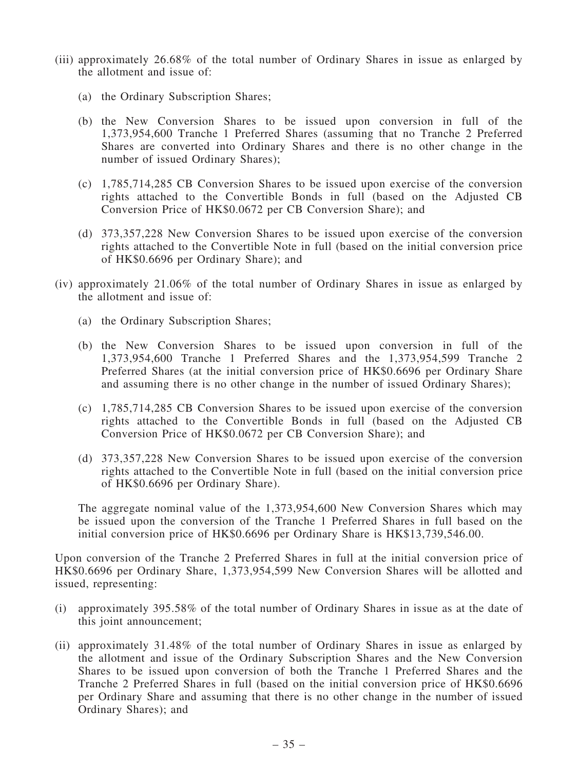- (iii) approximately 26.68% of the total number of Ordinary Shares in issue as enlarged by the allotment and issue of:
	- (a) the Ordinary Subscription Shares;
	- (b) the New Conversion Shares to be issued upon conversion in full of the 1,373,954,600 Tranche 1 Preferred Shares (assuming that no Tranche 2 Preferred Shares are converted into Ordinary Shares and there is no other change in the number of issued Ordinary Shares);
	- (c) 1,785,714,285 CB Conversion Shares to be issued upon exercise of the conversion rights attached to the Convertible Bonds in full (based on the Adjusted CB Conversion Price of HK\$0.0672 per CB Conversion Share); and
	- (d) 373,357,228 New Conversion Shares to be issued upon exercise of the conversion rights attached to the Convertible Note in full (based on the initial conversion price of HK\$0.6696 per Ordinary Share); and
- (iv) approximately 21.06% of the total number of Ordinary Shares in issue as enlarged by the allotment and issue of:
	- (a) the Ordinary Subscription Shares;
	- (b) the New Conversion Shares to be issued upon conversion in full of the 1,373,954,600 Tranche 1 Preferred Shares and the 1,373,954,599 Tranche 2 Preferred Shares (at the initial conversion price of HK\$0.6696 per Ordinary Share and assuming there is no other change in the number of issued Ordinary Shares);
	- (c) 1,785,714,285 CB Conversion Shares to be issued upon exercise of the conversion rights attached to the Convertible Bonds in full (based on the Adjusted CB Conversion Price of HK\$0.0672 per CB Conversion Share); and
	- (d) 373,357,228 New Conversion Shares to be issued upon exercise of the conversion rights attached to the Convertible Note in full (based on the initial conversion price of HK\$0.6696 per Ordinary Share).

The aggregate nominal value of the 1,373,954,600 New Conversion Shares which may be issued upon the conversion of the Tranche 1 Preferred Shares in full based on the initial conversion price of HK\$0.6696 per Ordinary Share is HK\$13,739,546.00.

Upon conversion of the Tranche 2 Preferred Shares in full at the initial conversion price of HK\$0.6696 per Ordinary Share, 1,373,954,599 New Conversion Shares will be allotted and issued, representing:

- (i) approximately 395.58% of the total number of Ordinary Shares in issue as at the date of this joint announcement;
- (ii) approximately 31.48% of the total number of Ordinary Shares in issue as enlarged by the allotment and issue of the Ordinary Subscription Shares and the New Conversion Shares to be issued upon conversion of both the Tranche 1 Preferred Shares and the Tranche 2 Preferred Shares in full (based on the initial conversion price of HK\$0.6696 per Ordinary Share and assuming that there is no other change in the number of issued Ordinary Shares); and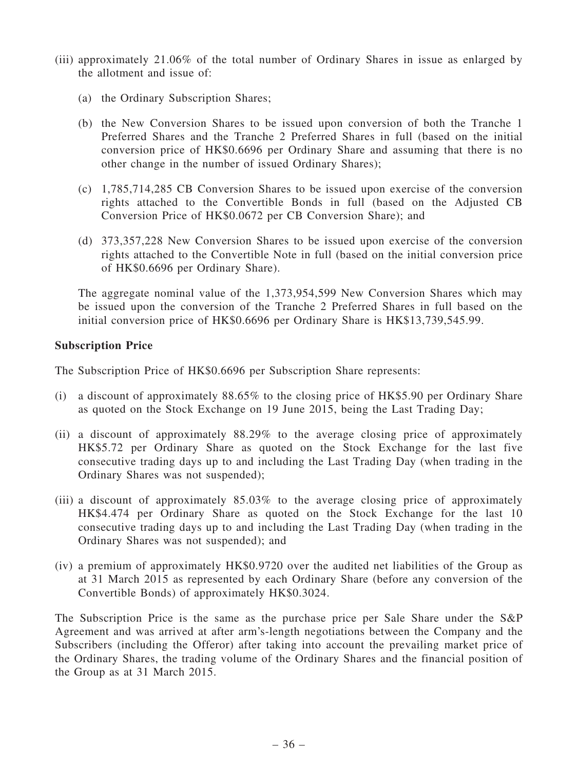- (iii) approximately 21.06% of the total number of Ordinary Shares in issue as enlarged by the allotment and issue of:
	- (a) the Ordinary Subscription Shares;
	- (b) the New Conversion Shares to be issued upon conversion of both the Tranche 1 Preferred Shares and the Tranche 2 Preferred Shares in full (based on the initial conversion price of HK\$0.6696 per Ordinary Share and assuming that there is no other change in the number of issued Ordinary Shares);
	- (c) 1,785,714,285 CB Conversion Shares to be issued upon exercise of the conversion rights attached to the Convertible Bonds in full (based on the Adjusted CB Conversion Price of HK\$0.0672 per CB Conversion Share); and
	- (d) 373,357,228 New Conversion Shares to be issued upon exercise of the conversion rights attached to the Convertible Note in full (based on the initial conversion price of HK\$0.6696 per Ordinary Share).

The aggregate nominal value of the 1,373,954,599 New Conversion Shares which may be issued upon the conversion of the Tranche 2 Preferred Shares in full based on the initial conversion price of HK\$0.6696 per Ordinary Share is HK\$13,739,545.99.

## Subscription Price

The Subscription Price of HK\$0.6696 per Subscription Share represents:

- (i) a discount of approximately 88.65% to the closing price of HK\$5.90 per Ordinary Share as quoted on the Stock Exchange on 19 June 2015, being the Last Trading Day;
- (ii) a discount of approximately 88.29% to the average closing price of approximately HK\$5.72 per Ordinary Share as quoted on the Stock Exchange for the last five consecutive trading days up to and including the Last Trading Day (when trading in the Ordinary Shares was not suspended);
- (iii) a discount of approximately 85.03% to the average closing price of approximately HK\$4.474 per Ordinary Share as quoted on the Stock Exchange for the last 10 consecutive trading days up to and including the Last Trading Day (when trading in the Ordinary Shares was not suspended); and
- (iv) a premium of approximately HK\$0.9720 over the audited net liabilities of the Group as at 31 March 2015 as represented by each Ordinary Share (before any conversion of the Convertible Bonds) of approximately HK\$0.3024.

The Subscription Price is the same as the purchase price per Sale Share under the S&P Agreement and was arrived at after arm's-length negotiations between the Company and the Subscribers (including the Offeror) after taking into account the prevailing market price of the Ordinary Shares, the trading volume of the Ordinary Shares and the financial position of the Group as at 31 March 2015.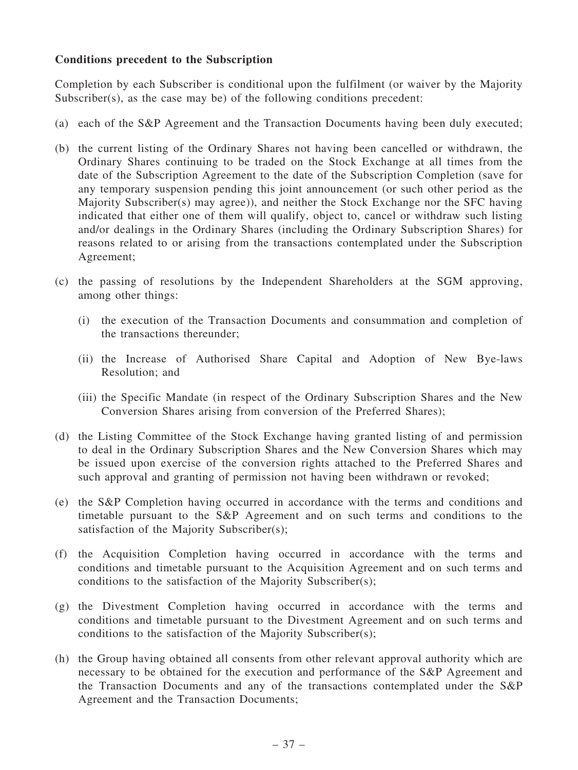# Conditions precedent to the Subscription

Completion by each Subscriber is conditional upon the fulfilment (or waiver by the Majority Subscriber(s), as the case may be) of the following conditions precedent:

- (a) each of the S&P Agreement and the Transaction Documents having been duly executed;
- (b) the current listing of the Ordinary Shares not having been cancelled or withdrawn, the Ordinary Shares continuing to be traded on the Stock Exchange at all times from the date of the Subscription Agreement to the date of the Subscription Completion (save for any temporary suspension pending this joint announcement (or such other period as the Majority Subscriber(s) may agree)), and neither the Stock Exchange nor the SFC having indicated that either one of them will qualify, object to, cancel or withdraw such listing and/or dealings in the Ordinary Shares (including the Ordinary Subscription Shares) for reasons related to or arising from the transactions contemplated under the Subscription Agreement;
- (c) the passing of resolutions by the Independent Shareholders at the SGM approving, among other things:
	- (i) the execution of the Transaction Documents and consummation and completion of the transactions thereunder;
	- (ii) the Increase of Authorised Share Capital and Adoption of New Bye-laws Resolution; and
	- (iii) the Specific Mandate (in respect of the Ordinary Subscription Shares and the New Conversion Shares arising from conversion of the Preferred Shares);
- (d) the Listing Committee of the Stock Exchange having granted listing of and permission to deal in the Ordinary Subscription Shares and the New Conversion Shares which may be issued upon exercise of the conversion rights attached to the Preferred Shares and such approval and granting of permission not having been withdrawn or revoked;
- (e) the S&P Completion having occurred in accordance with the terms and conditions and timetable pursuant to the S&P Agreement and on such terms and conditions to the satisfaction of the Majority Subscriber(s);
- (f) the Acquisition Completion having occurred in accordance with the terms and conditions and timetable pursuant to the Acquisition Agreement and on such terms and conditions to the satisfaction of the Majority Subscriber(s);
- (g) the Divestment Completion having occurred in accordance with the terms and conditions and timetable pursuant to the Divestment Agreement and on such terms and conditions to the satisfaction of the Majority Subscriber(s);
- (h) the Group having obtained all consents from other relevant approval authority which are necessary to be obtained for the execution and performance of the S&P Agreement and the Transaction Documents and any of the transactions contemplated under the S&P Agreement and the Transaction Documents;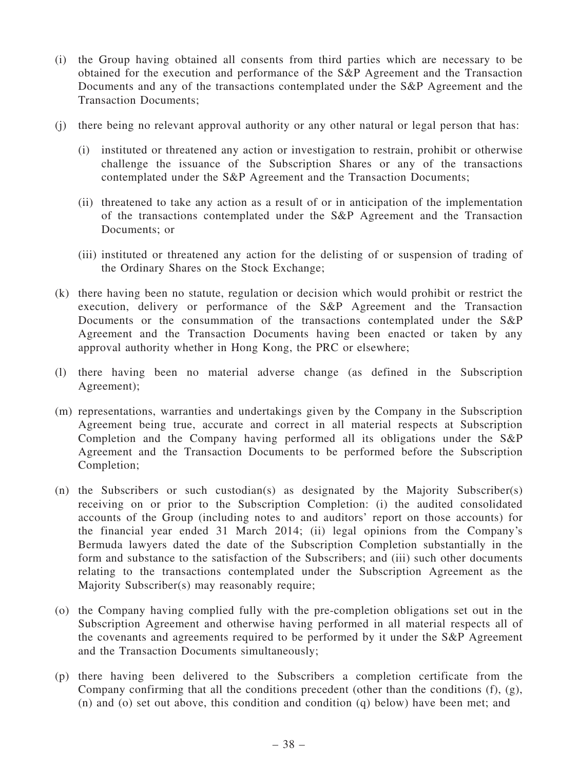- (i) the Group having obtained all consents from third parties which are necessary to be obtained for the execution and performance of the S&P Agreement and the Transaction Documents and any of the transactions contemplated under the S&P Agreement and the Transaction Documents;
- (j) there being no relevant approval authority or any other natural or legal person that has:
	- (i) instituted or threatened any action or investigation to restrain, prohibit or otherwise challenge the issuance of the Subscription Shares or any of the transactions contemplated under the S&P Agreement and the Transaction Documents;
	- (ii) threatened to take any action as a result of or in anticipation of the implementation of the transactions contemplated under the S&P Agreement and the Transaction Documents; or
	- (iii) instituted or threatened any action for the delisting of or suspension of trading of the Ordinary Shares on the Stock Exchange;
- (k) there having been no statute, regulation or decision which would prohibit or restrict the execution, delivery or performance of the S&P Agreement and the Transaction Documents or the consummation of the transactions contemplated under the S&P Agreement and the Transaction Documents having been enacted or taken by any approval authority whether in Hong Kong, the PRC or elsewhere;
- (l) there having been no material adverse change (as defined in the Subscription Agreement);
- (m) representations, warranties and undertakings given by the Company in the Subscription Agreement being true, accurate and correct in all material respects at Subscription Completion and the Company having performed all its obligations under the S&P Agreement and the Transaction Documents to be performed before the Subscription Completion;
- (n) the Subscribers or such custodian(s) as designated by the Majority Subscriber(s) receiving on or prior to the Subscription Completion: (i) the audited consolidated accounts of the Group (including notes to and auditors' report on those accounts) for the financial year ended 31 March 2014; (ii) legal opinions from the Company's Bermuda lawyers dated the date of the Subscription Completion substantially in the form and substance to the satisfaction of the Subscribers; and (iii) such other documents relating to the transactions contemplated under the Subscription Agreement as the Majority Subscriber(s) may reasonably require;
- (o) the Company having complied fully with the pre-completion obligations set out in the Subscription Agreement and otherwise having performed in all material respects all of the covenants and agreements required to be performed by it under the S&P Agreement and the Transaction Documents simultaneously;
- (p) there having been delivered to the Subscribers a completion certificate from the Company confirming that all the conditions precedent (other than the conditions (f), (g), (n) and (o) set out above, this condition and condition (q) below) have been met; and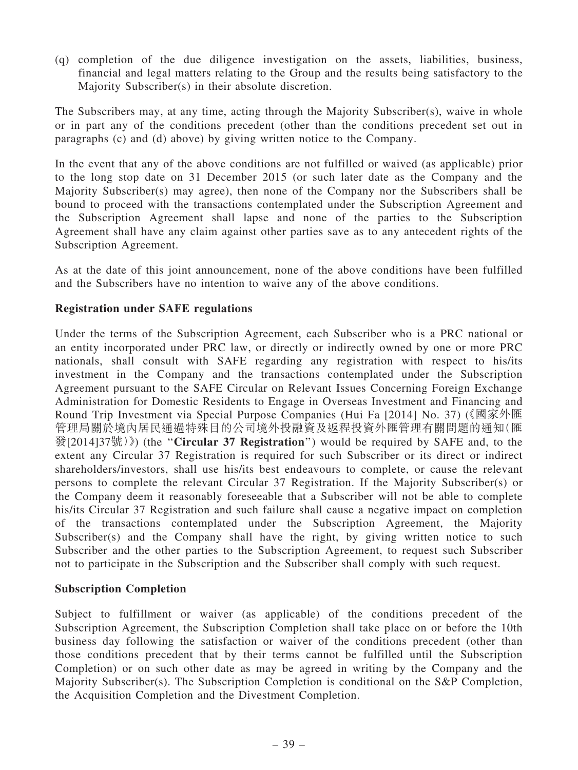(q) completion of the due diligence investigation on the assets, liabilities, business, financial and legal matters relating to the Group and the results being satisfactory to the Majority Subscriber(s) in their absolute discretion.

The Subscribers may, at any time, acting through the Majority Subscriber(s), waive in whole or in part any of the conditions precedent (other than the conditions precedent set out in paragraphs (c) and (d) above) by giving written notice to the Company.

In the event that any of the above conditions are not fulfilled or waived (as applicable) prior to the long stop date on 31 December 2015 (or such later date as the Company and the Majority Subscriber(s) may agree), then none of the Company nor the Subscribers shall be bound to proceed with the transactions contemplated under the Subscription Agreement and the Subscription Agreement shall lapse and none of the parties to the Subscription Agreement shall have any claim against other parties save as to any antecedent rights of the Subscription Agreement.

As at the date of this joint announcement, none of the above conditions have been fulfilled and the Subscribers have no intention to waive any of the above conditions.

## Registration under SAFE regulations

Under the terms of the Subscription Agreement, each Subscriber who is a PRC national or an entity incorporated under PRC law, or directly or indirectly owned by one or more PRC nationals, shall consult with SAFE regarding any registration with respect to his/its investment in the Company and the transactions contemplated under the Subscription Agreement pursuant to the SAFE Circular on Relevant Issues Concerning Foreign Exchange Administration for Domestic Residents to Engage in Overseas Investment and Financing and Round Trip Investment via Special Purpose Companies (Hui Fa [2014] No. 37) (《國家外匯 管理局關於境內居民通過特殊目的公司境外投融資及返程投資外匯管理有關問題的通知(匯 發[2014] $37\frac{11}{300}$  (the "Circular 37 Registration") would be required by SAFE and, to the extent any Circular 37 Registration is required for such Subscriber or its direct or indirect shareholders/investors, shall use his/its best endeavours to complete, or cause the relevant persons to complete the relevant Circular 37 Registration. If the Majority Subscriber(s) or the Company deem it reasonably foreseeable that a Subscriber will not be able to complete his/its Circular 37 Registration and such failure shall cause a negative impact on completion of the transactions contemplated under the Subscription Agreement, the Majority Subscriber(s) and the Company shall have the right, by giving written notice to such Subscriber and the other parties to the Subscription Agreement, to request such Subscriber not to participate in the Subscription and the Subscriber shall comply with such request.

### Subscription Completion

Subject to fulfillment or waiver (as applicable) of the conditions precedent of the Subscription Agreement, the Subscription Completion shall take place on or before the 10th business day following the satisfaction or waiver of the conditions precedent (other than those conditions precedent that by their terms cannot be fulfilled until the Subscription Completion) or on such other date as may be agreed in writing by the Company and the Majority Subscriber(s). The Subscription Completion is conditional on the S&P Completion, the Acquisition Completion and the Divestment Completion.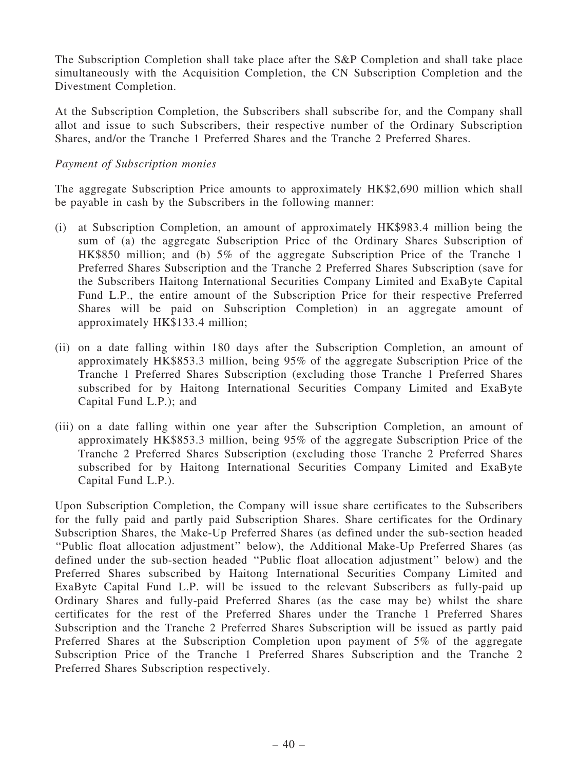The Subscription Completion shall take place after the S&P Completion and shall take place simultaneously with the Acquisition Completion, the CN Subscription Completion and the Divestment Completion.

At the Subscription Completion, the Subscribers shall subscribe for, and the Company shall allot and issue to such Subscribers, their respective number of the Ordinary Subscription Shares, and/or the Tranche 1 Preferred Shares and the Tranche 2 Preferred Shares.

## Payment of Subscription monies

The aggregate Subscription Price amounts to approximately HK\$2,690 million which shall be payable in cash by the Subscribers in the following manner:

- (i) at Subscription Completion, an amount of approximately HK\$983.4 million being the sum of (a) the aggregate Subscription Price of the Ordinary Shares Subscription of HK\$850 million; and (b) 5% of the aggregate Subscription Price of the Tranche 1 Preferred Shares Subscription and the Tranche 2 Preferred Shares Subscription (save for the Subscribers Haitong International Securities Company Limited and ExaByte Capital Fund L.P., the entire amount of the Subscription Price for their respective Preferred Shares will be paid on Subscription Completion) in an aggregate amount of approximately HK\$133.4 million;
- (ii) on a date falling within 180 days after the Subscription Completion, an amount of approximately HK\$853.3 million, being 95% of the aggregate Subscription Price of the Tranche 1 Preferred Shares Subscription (excluding those Tranche 1 Preferred Shares subscribed for by Haitong International Securities Company Limited and ExaByte Capital Fund L.P.); and
- (iii) on a date falling within one year after the Subscription Completion, an amount of approximately HK\$853.3 million, being 95% of the aggregate Subscription Price of the Tranche 2 Preferred Shares Subscription (excluding those Tranche 2 Preferred Shares subscribed for by Haitong International Securities Company Limited and ExaByte Capital Fund L.P.).

Upon Subscription Completion, the Company will issue share certificates to the Subscribers for the fully paid and partly paid Subscription Shares. Share certificates for the Ordinary Subscription Shares, the Make-Up Preferred Shares (as defined under the sub-section headed ''Public float allocation adjustment'' below), the Additional Make-Up Preferred Shares (as defined under the sub-section headed ''Public float allocation adjustment'' below) and the Preferred Shares subscribed by Haitong International Securities Company Limited and ExaByte Capital Fund L.P. will be issued to the relevant Subscribers as fully-paid up Ordinary Shares and fully-paid Preferred Shares (as the case may be) whilst the share certificates for the rest of the Preferred Shares under the Tranche 1 Preferred Shares Subscription and the Tranche 2 Preferred Shares Subscription will be issued as partly paid Preferred Shares at the Subscription Completion upon payment of 5% of the aggregate Subscription Price of the Tranche 1 Preferred Shares Subscription and the Tranche 2 Preferred Shares Subscription respectively.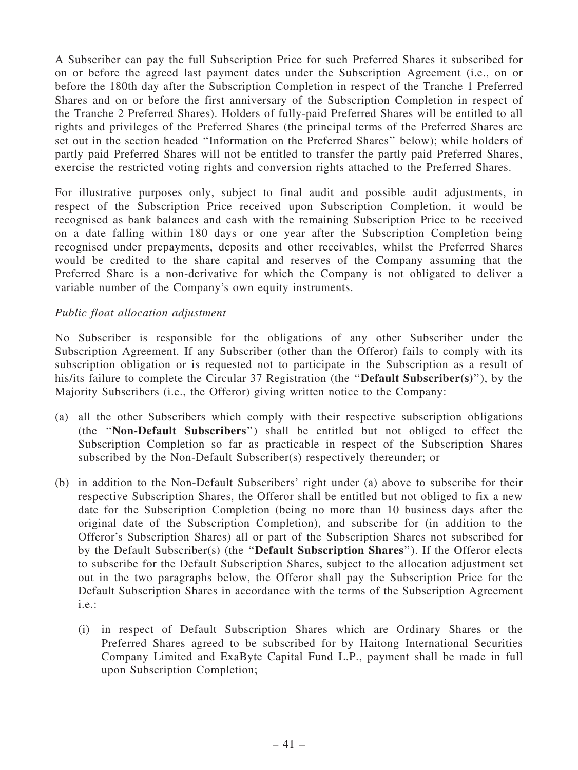A Subscriber can pay the full Subscription Price for such Preferred Shares it subscribed for on or before the agreed last payment dates under the Subscription Agreement (i.e., on or before the 180th day after the Subscription Completion in respect of the Tranche 1 Preferred Shares and on or before the first anniversary of the Subscription Completion in respect of the Tranche 2 Preferred Shares). Holders of fully-paid Preferred Shares will be entitled to all rights and privileges of the Preferred Shares (the principal terms of the Preferred Shares are set out in the section headed ''Information on the Preferred Shares'' below); while holders of partly paid Preferred Shares will not be entitled to transfer the partly paid Preferred Shares, exercise the restricted voting rights and conversion rights attached to the Preferred Shares.

For illustrative purposes only, subject to final audit and possible audit adjustments, in respect of the Subscription Price received upon Subscription Completion, it would be recognised as bank balances and cash with the remaining Subscription Price to be received on a date falling within 180 days or one year after the Subscription Completion being recognised under prepayments, deposits and other receivables, whilst the Preferred Shares would be credited to the share capital and reserves of the Company assuming that the Preferred Share is a non-derivative for which the Company is not obligated to deliver a variable number of the Company's own equity instruments.

## Public float allocation adjustment

No Subscriber is responsible for the obligations of any other Subscriber under the Subscription Agreement. If any Subscriber (other than the Offeror) fails to comply with its subscription obligation or is requested not to participate in the Subscription as a result of his/its failure to complete the Circular 37 Registration (the ''Default Subscriber(s)''), by the Majority Subscribers (i.e., the Offeror) giving written notice to the Company:

- (a) all the other Subscribers which comply with their respective subscription obligations (the ''Non-Default Subscribers'') shall be entitled but not obliged to effect the Subscription Completion so far as practicable in respect of the Subscription Shares subscribed by the Non-Default Subscriber(s) respectively thereunder; or
- (b) in addition to the Non-Default Subscribers' right under (a) above to subscribe for their respective Subscription Shares, the Offeror shall be entitled but not obliged to fix a new date for the Subscription Completion (being no more than 10 business days after the original date of the Subscription Completion), and subscribe for (in addition to the Offeror's Subscription Shares) all or part of the Subscription Shares not subscribed for by the Default Subscriber(s) (the ''Default Subscription Shares''). If the Offeror elects to subscribe for the Default Subscription Shares, subject to the allocation adjustment set out in the two paragraphs below, the Offeror shall pay the Subscription Price for the Default Subscription Shares in accordance with the terms of the Subscription Agreement i.e.:
	- (i) in respect of Default Subscription Shares which are Ordinary Shares or the Preferred Shares agreed to be subscribed for by Haitong International Securities Company Limited and ExaByte Capital Fund L.P., payment shall be made in full upon Subscription Completion;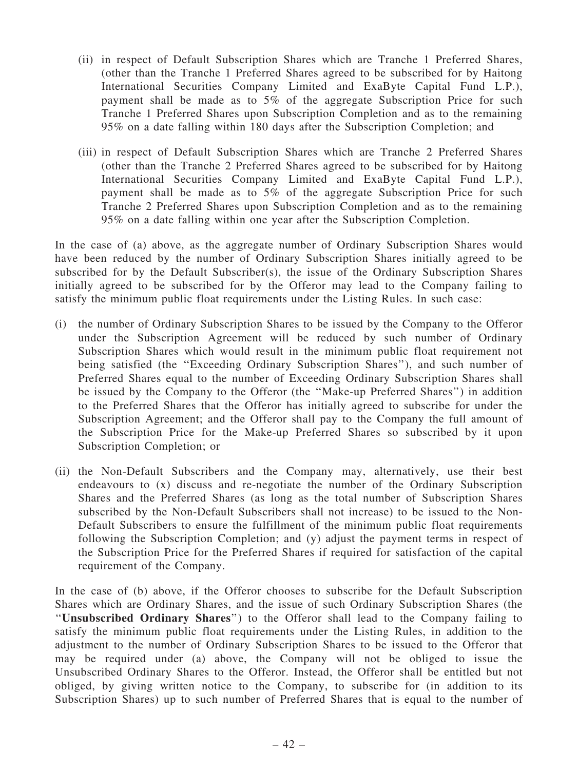- (ii) in respect of Default Subscription Shares which are Tranche 1 Preferred Shares, (other than the Tranche 1 Preferred Shares agreed to be subscribed for by Haitong International Securities Company Limited and ExaByte Capital Fund L.P.), payment shall be made as to 5% of the aggregate Subscription Price for such Tranche 1 Preferred Shares upon Subscription Completion and as to the remaining 95% on a date falling within 180 days after the Subscription Completion; and
- (iii) in respect of Default Subscription Shares which are Tranche 2 Preferred Shares (other than the Tranche 2 Preferred Shares agreed to be subscribed for by Haitong International Securities Company Limited and ExaByte Capital Fund L.P.), payment shall be made as to 5% of the aggregate Subscription Price for such Tranche 2 Preferred Shares upon Subscription Completion and as to the remaining 95% on a date falling within one year after the Subscription Completion.

In the case of (a) above, as the aggregate number of Ordinary Subscription Shares would have been reduced by the number of Ordinary Subscription Shares initially agreed to be subscribed for by the Default Subscriber(s), the issue of the Ordinary Subscription Shares initially agreed to be subscribed for by the Offeror may lead to the Company failing to satisfy the minimum public float requirements under the Listing Rules. In such case:

- (i) the number of Ordinary Subscription Shares to be issued by the Company to the Offeror under the Subscription Agreement will be reduced by such number of Ordinary Subscription Shares which would result in the minimum public float requirement not being satisfied (the ''Exceeding Ordinary Subscription Shares''), and such number of Preferred Shares equal to the number of Exceeding Ordinary Subscription Shares shall be issued by the Company to the Offeror (the ''Make-up Preferred Shares'') in addition to the Preferred Shares that the Offeror has initially agreed to subscribe for under the Subscription Agreement; and the Offeror shall pay to the Company the full amount of the Subscription Price for the Make-up Preferred Shares so subscribed by it upon Subscription Completion; or
- (ii) the Non-Default Subscribers and the Company may, alternatively, use their best endeavours to (x) discuss and re-negotiate the number of the Ordinary Subscription Shares and the Preferred Shares (as long as the total number of Subscription Shares subscribed by the Non-Default Subscribers shall not increase) to be issued to the Non-Default Subscribers to ensure the fulfillment of the minimum public float requirements following the Subscription Completion; and (y) adjust the payment terms in respect of the Subscription Price for the Preferred Shares if required for satisfaction of the capital requirement of the Company.

In the case of (b) above, if the Offeror chooses to subscribe for the Default Subscription Shares which are Ordinary Shares, and the issue of such Ordinary Subscription Shares (the ''Unsubscribed Ordinary Shares'') to the Offeror shall lead to the Company failing to satisfy the minimum public float requirements under the Listing Rules, in addition to the adjustment to the number of Ordinary Subscription Shares to be issued to the Offeror that may be required under (a) above, the Company will not be obliged to issue the Unsubscribed Ordinary Shares to the Offeror. Instead, the Offeror shall be entitled but not obliged, by giving written notice to the Company, to subscribe for (in addition to its Subscription Shares) up to such number of Preferred Shares that is equal to the number of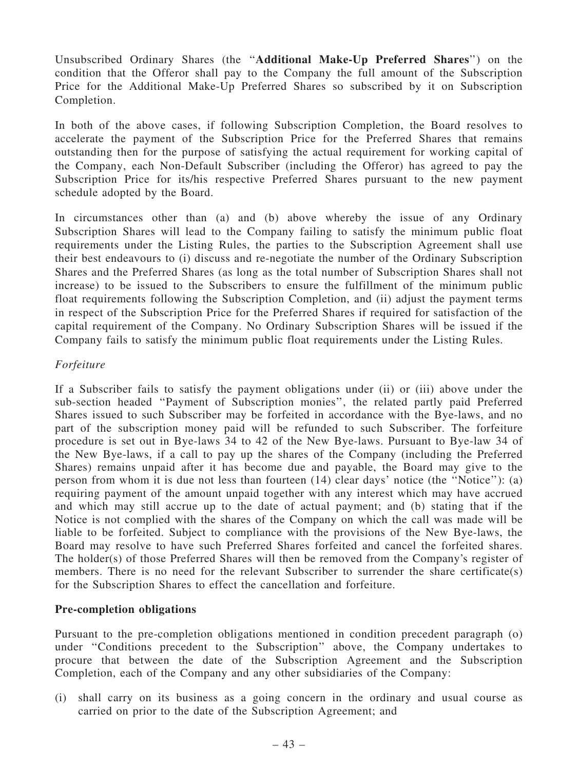Unsubscribed Ordinary Shares (the ''Additional Make-Up Preferred Shares'') on the condition that the Offeror shall pay to the Company the full amount of the Subscription Price for the Additional Make-Up Preferred Shares so subscribed by it on Subscription Completion.

In both of the above cases, if following Subscription Completion, the Board resolves to accelerate the payment of the Subscription Price for the Preferred Shares that remains outstanding then for the purpose of satisfying the actual requirement for working capital of the Company, each Non-Default Subscriber (including the Offeror) has agreed to pay the Subscription Price for its/his respective Preferred Shares pursuant to the new payment schedule adopted by the Board.

In circumstances other than (a) and (b) above whereby the issue of any Ordinary Subscription Shares will lead to the Company failing to satisfy the minimum public float requirements under the Listing Rules, the parties to the Subscription Agreement shall use their best endeavours to (i) discuss and re-negotiate the number of the Ordinary Subscription Shares and the Preferred Shares (as long as the total number of Subscription Shares shall not increase) to be issued to the Subscribers to ensure the fulfillment of the minimum public float requirements following the Subscription Completion, and (ii) adjust the payment terms in respect of the Subscription Price for the Preferred Shares if required for satisfaction of the capital requirement of the Company. No Ordinary Subscription Shares will be issued if the Company fails to satisfy the minimum public float requirements under the Listing Rules.

### Forfeiture

If a Subscriber fails to satisfy the payment obligations under (ii) or (iii) above under the sub-section headed ''Payment of Subscription monies'', the related partly paid Preferred Shares issued to such Subscriber may be forfeited in accordance with the Bye-laws, and no part of the subscription money paid will be refunded to such Subscriber. The forfeiture procedure is set out in Bye-laws 34 to 42 of the New Bye-laws. Pursuant to Bye-law 34 of the New Bye-laws, if a call to pay up the shares of the Company (including the Preferred Shares) remains unpaid after it has become due and payable, the Board may give to the person from whom it is due not less than fourteen (14) clear days' notice (the ''Notice''): (a) requiring payment of the amount unpaid together with any interest which may have accrued and which may still accrue up to the date of actual payment; and (b) stating that if the Notice is not complied with the shares of the Company on which the call was made will be liable to be forfeited. Subject to compliance with the provisions of the New Bye-laws, the Board may resolve to have such Preferred Shares forfeited and cancel the forfeited shares. The holder(s) of those Preferred Shares will then be removed from the Company's register of members. There is no need for the relevant Subscriber to surrender the share certificate(s) for the Subscription Shares to effect the cancellation and forfeiture.

### Pre-completion obligations

Pursuant to the pre-completion obligations mentioned in condition precedent paragraph (o) under ''Conditions precedent to the Subscription'' above, the Company undertakes to procure that between the date of the Subscription Agreement and the Subscription Completion, each of the Company and any other subsidiaries of the Company:

(i) shall carry on its business as a going concern in the ordinary and usual course as carried on prior to the date of the Subscription Agreement; and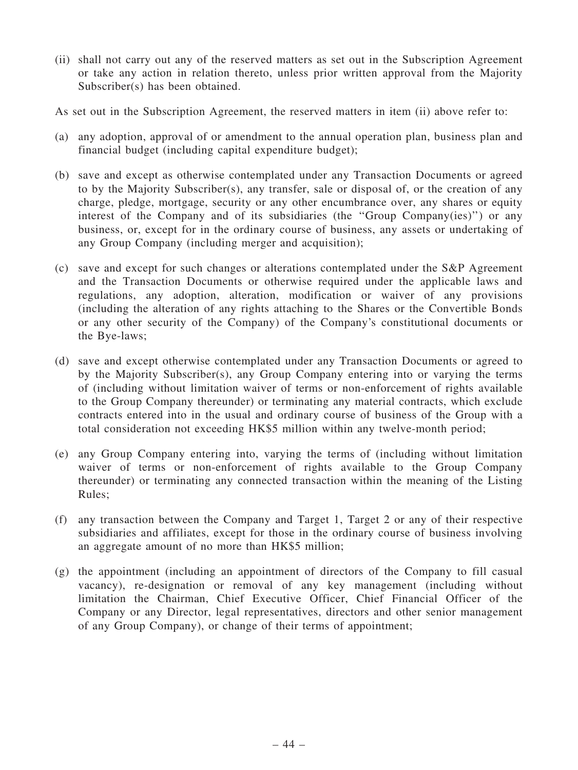- (ii) shall not carry out any of the reserved matters as set out in the Subscription Agreement or take any action in relation thereto, unless prior written approval from the Majority Subscriber(s) has been obtained.
- As set out in the Subscription Agreement, the reserved matters in item (ii) above refer to:
- (a) any adoption, approval of or amendment to the annual operation plan, business plan and financial budget (including capital expenditure budget);
- (b) save and except as otherwise contemplated under any Transaction Documents or agreed to by the Majority Subscriber(s), any transfer, sale or disposal of, or the creation of any charge, pledge, mortgage, security or any other encumbrance over, any shares or equity interest of the Company and of its subsidiaries (the ''Group Company(ies)'') or any business, or, except for in the ordinary course of business, any assets or undertaking of any Group Company (including merger and acquisition);
- (c) save and except for such changes or alterations contemplated under the S&P Agreement and the Transaction Documents or otherwise required under the applicable laws and regulations, any adoption, alteration, modification or waiver of any provisions (including the alteration of any rights attaching to the Shares or the Convertible Bonds or any other security of the Company) of the Company's constitutional documents or the Bye-laws;
- (d) save and except otherwise contemplated under any Transaction Documents or agreed to by the Majority Subscriber(s), any Group Company entering into or varying the terms of (including without limitation waiver of terms or non-enforcement of rights available to the Group Company thereunder) or terminating any material contracts, which exclude contracts entered into in the usual and ordinary course of business of the Group with a total consideration not exceeding HK\$5 million within any twelve-month period;
- (e) any Group Company entering into, varying the terms of (including without limitation waiver of terms or non-enforcement of rights available to the Group Company thereunder) or terminating any connected transaction within the meaning of the Listing Rules;
- (f) any transaction between the Company and Target 1, Target 2 or any of their respective subsidiaries and affiliates, except for those in the ordinary course of business involving an aggregate amount of no more than HK\$5 million;
- (g) the appointment (including an appointment of directors of the Company to fill casual vacancy), re-designation or removal of any key management (including without limitation the Chairman, Chief Executive Officer, Chief Financial Officer of the Company or any Director, legal representatives, directors and other senior management of any Group Company), or change of their terms of appointment;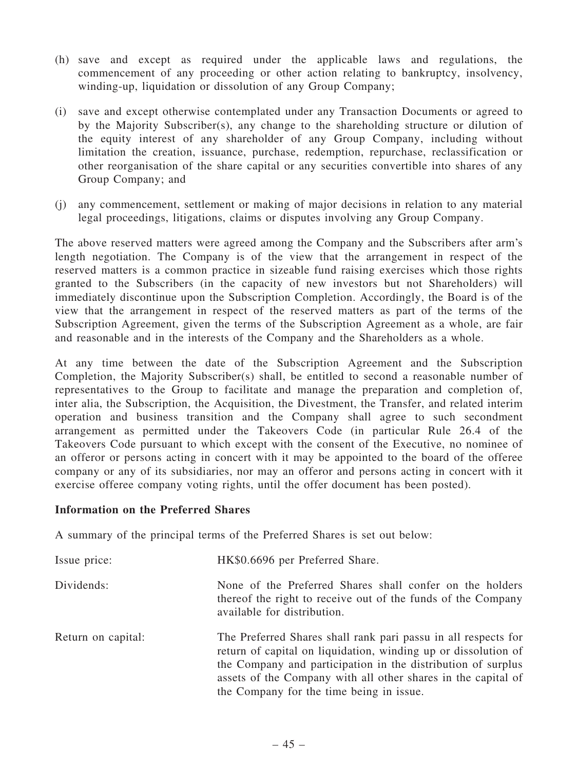- (h) save and except as required under the applicable laws and regulations, the commencement of any proceeding or other action relating to bankruptcy, insolvency, winding-up, liquidation or dissolution of any Group Company;
- (i) save and except otherwise contemplated under any Transaction Documents or agreed to by the Majority Subscriber(s), any change to the shareholding structure or dilution of the equity interest of any shareholder of any Group Company, including without limitation the creation, issuance, purchase, redemption, repurchase, reclassification or other reorganisation of the share capital or any securities convertible into shares of any Group Company; and
- (j) any commencement, settlement or making of major decisions in relation to any material legal proceedings, litigations, claims or disputes involving any Group Company.

The above reserved matters were agreed among the Company and the Subscribers after arm's length negotiation. The Company is of the view that the arrangement in respect of the reserved matters is a common practice in sizeable fund raising exercises which those rights granted to the Subscribers (in the capacity of new investors but not Shareholders) will immediately discontinue upon the Subscription Completion. Accordingly, the Board is of the view that the arrangement in respect of the reserved matters as part of the terms of the Subscription Agreement, given the terms of the Subscription Agreement as a whole, are fair and reasonable and in the interests of the Company and the Shareholders as a whole.

At any time between the date of the Subscription Agreement and the Subscription Completion, the Majority Subscriber(s) shall, be entitled to second a reasonable number of representatives to the Group to facilitate and manage the preparation and completion of, inter alia, the Subscription, the Acquisition, the Divestment, the Transfer, and related interim operation and business transition and the Company shall agree to such secondment arrangement as permitted under the Takeovers Code (in particular Rule 26.4 of the Takeovers Code pursuant to which except with the consent of the Executive, no nominee of an offeror or persons acting in concert with it may be appointed to the board of the offeree company or any of its subsidiaries, nor may an offeror and persons acting in concert with it exercise offeree company voting rights, until the offer document has been posted).

## Information on the Preferred Shares

A summary of the principal terms of the Preferred Shares is set out below:

| Issue price:       | HK\$0.6696 per Preferred Share.                                                                                                                                                                                                                                                                               |
|--------------------|---------------------------------------------------------------------------------------------------------------------------------------------------------------------------------------------------------------------------------------------------------------------------------------------------------------|
| Dividends:         | None of the Preferred Shares shall confer on the holders<br>thereof the right to receive out of the funds of the Company<br>available for distribution.                                                                                                                                                       |
| Return on capital: | The Preferred Shares shall rank pari passu in all respects for<br>return of capital on liquidation, winding up or dissolution of<br>the Company and participation in the distribution of surplus<br>assets of the Company with all other shares in the capital of<br>the Company for the time being in issue. |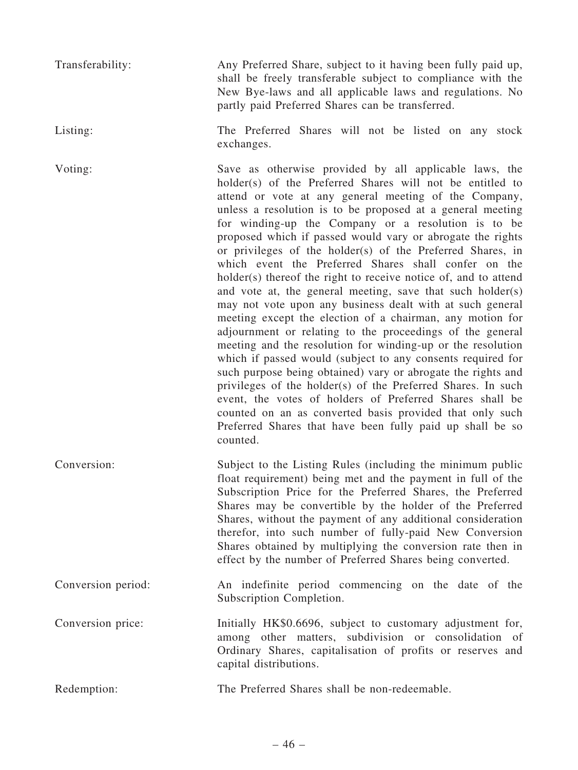Transferability: Any Preferred Share, subject to it having been fully paid up, shall be freely transferable subject to compliance with the New Bye-laws and all applicable laws and regulations. No partly paid Preferred Shares can be transferred.

Listing: The Preferred Shares will not be listed on any stock exchanges.

Voting: Save as otherwise provided by all applicable laws, the holder(s) of the Preferred Shares will not be entitled to attend or vote at any general meeting of the Company, unless a resolution is to be proposed at a general meeting for winding-up the Company or a resolution is to be proposed which if passed would vary or abrogate the rights or privileges of the holder(s) of the Preferred Shares, in which event the Preferred Shares shall confer on the holder(s) thereof the right to receive notice of, and to attend and vote at, the general meeting, save that such holder(s) may not vote upon any business dealt with at such general meeting except the election of a chairman, any motion for adjournment or relating to the proceedings of the general meeting and the resolution for winding-up or the resolution which if passed would (subject to any consents required for such purpose being obtained) vary or abrogate the rights and privileges of the holder(s) of the Preferred Shares. In such event, the votes of holders of Preferred Shares shall be counted on an as converted basis provided that only such Preferred Shares that have been fully paid up shall be so counted.

Conversion: Subject to the Listing Rules (including the minimum public float requirement) being met and the payment in full of the Subscription Price for the Preferred Shares, the Preferred Shares may be convertible by the holder of the Preferred Shares, without the payment of any additional consideration therefor, into such number of fully-paid New Conversion Shares obtained by multiplying the conversion rate then in effect by the number of Preferred Shares being converted.

Conversion period: An indefinite period commencing on the date of the Subscription Completion.

Conversion price: Initially HK\$0.6696, subject to customary adjustment for, among other matters, subdivision or consolidation of Ordinary Shares, capitalisation of profits or reserves and capital distributions.

Redemption: The Preferred Shares shall be non-redeemable.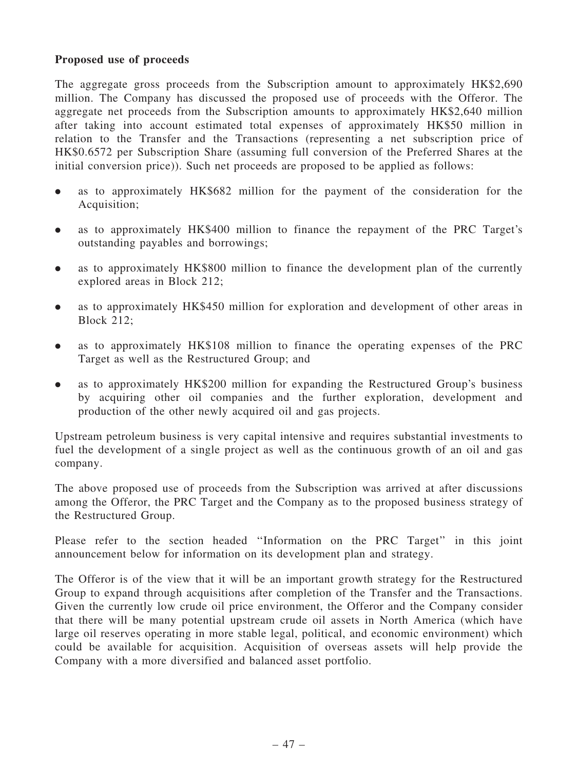# Proposed use of proceeds

The aggregate gross proceeds from the Subscription amount to approximately HK\$2,690 million. The Company has discussed the proposed use of proceeds with the Offeror. The aggregate net proceeds from the Subscription amounts to approximately HK\$2,640 million after taking into account estimated total expenses of approximately HK\$50 million in relation to the Transfer and the Transactions (representing a net subscription price of HK\$0.6572 per Subscription Share (assuming full conversion of the Preferred Shares at the initial conversion price)). Such net proceeds are proposed to be applied as follows:

- . as to approximately HK\$682 million for the payment of the consideration for the Acquisition;
- . as to approximately HK\$400 million to finance the repayment of the PRC Target's outstanding payables and borrowings;
- . as to approximately HK\$800 million to finance the development plan of the currently explored areas in Block 212;
- . as to approximately HK\$450 million for exploration and development of other areas in Block 212;
- . as to approximately HK\$108 million to finance the operating expenses of the PRC Target as well as the Restructured Group; and
- . as to approximately HK\$200 million for expanding the Restructured Group's business by acquiring other oil companies and the further exploration, development and production of the other newly acquired oil and gas projects.

Upstream petroleum business is very capital intensive and requires substantial investments to fuel the development of a single project as well as the continuous growth of an oil and gas company.

The above proposed use of proceeds from the Subscription was arrived at after discussions among the Offeror, the PRC Target and the Company as to the proposed business strategy of the Restructured Group.

Please refer to the section headed "Information on the PRC Target" in this joint announcement below for information on its development plan and strategy.

The Offeror is of the view that it will be an important growth strategy for the Restructured Group to expand through acquisitions after completion of the Transfer and the Transactions. Given the currently low crude oil price environment, the Offeror and the Company consider that there will be many potential upstream crude oil assets in North America (which have large oil reserves operating in more stable legal, political, and economic environment) which could be available for acquisition. Acquisition of overseas assets will help provide the Company with a more diversified and balanced asset portfolio.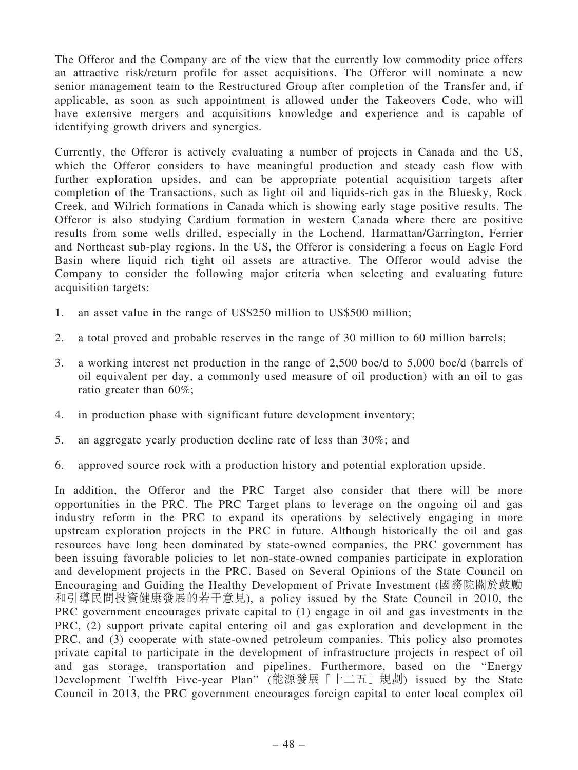The Offeror and the Company are of the view that the currently low commodity price offers an attractive risk/return profile for asset acquisitions. The Offeror will nominate a new senior management team to the Restructured Group after completion of the Transfer and, if applicable, as soon as such appointment is allowed under the Takeovers Code, who will have extensive mergers and acquisitions knowledge and experience and is capable of identifying growth drivers and synergies.

Currently, the Offeror is actively evaluating a number of projects in Canada and the US, which the Offeror considers to have meaningful production and steady cash flow with further exploration upsides, and can be appropriate potential acquisition targets after completion of the Transactions, such as light oil and liquids-rich gas in the Bluesky, Rock Creek, and Wilrich formations in Canada which is showing early stage positive results. The Offeror is also studying Cardium formation in western Canada where there are positive results from some wells drilled, especially in the Lochend, Harmattan/Garrington, Ferrier and Northeast sub-play regions. In the US, the Offeror is considering a focus on Eagle Ford Basin where liquid rich tight oil assets are attractive. The Offeror would advise the Company to consider the following major criteria when selecting and evaluating future acquisition targets:

- 1. an asset value in the range of US\$250 million to US\$500 million;
- 2. a total proved and probable reserves in the range of 30 million to 60 million barrels;
- 3. a working interest net production in the range of 2,500 boe/d to 5,000 boe/d (barrels of oil equivalent per day, a commonly used measure of oil production) with an oil to gas ratio greater than 60%;
- 4. in production phase with significant future development inventory;
- 5. an aggregate yearly production decline rate of less than 30%; and
- 6. approved source rock with a production history and potential exploration upside.

In addition, the Offeror and the PRC Target also consider that there will be more opportunities in the PRC. The PRC Target plans to leverage on the ongoing oil and gas industry reform in the PRC to expand its operations by selectively engaging in more upstream exploration projects in the PRC in future. Although historically the oil and gas resources have long been dominated by state-owned companies, the PRC government has been issuing favorable policies to let non-state-owned companies participate in exploration and development projects in the PRC. Based on Several Opinions of the State Council on Encouraging and Guiding the Healthy Development of Private Investment (國務院關於鼓勵 和引導民間投資健康發展的若干意見), a policy issued by the State Council in 2010, the PRC government encourages private capital to (1) engage in oil and gas investments in the PRC, (2) support private capital entering oil and gas exploration and development in the PRC, and (3) cooperate with state-owned petroleum companies. This policy also promotes private capital to participate in the development of infrastructure projects in respect of oil and gas storage, transportation and pipelines. Furthermore, based on the ''Energy Development Twelfth Five-year Plan'' (能源發展「十二五」規劃) issued by the State Council in 2013, the PRC government encourages foreign capital to enter local complex oil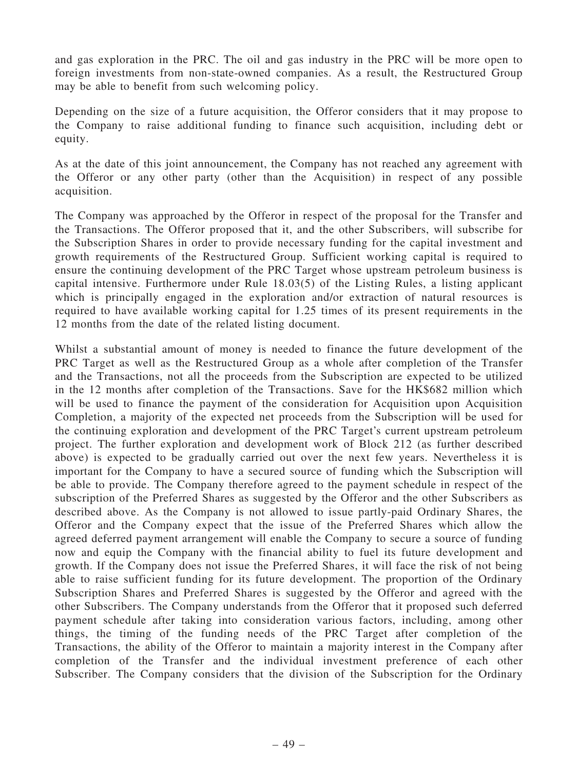and gas exploration in the PRC. The oil and gas industry in the PRC will be more open to foreign investments from non-state-owned companies. As a result, the Restructured Group may be able to benefit from such welcoming policy.

Depending on the size of a future acquisition, the Offeror considers that it may propose to the Company to raise additional funding to finance such acquisition, including debt or equity.

As at the date of this joint announcement, the Company has not reached any agreement with the Offeror or any other party (other than the Acquisition) in respect of any possible acquisition.

The Company was approached by the Offeror in respect of the proposal for the Transfer and the Transactions. The Offeror proposed that it, and the other Subscribers, will subscribe for the Subscription Shares in order to provide necessary funding for the capital investment and growth requirements of the Restructured Group. Sufficient working capital is required to ensure the continuing development of the PRC Target whose upstream petroleum business is capital intensive. Furthermore under Rule 18.03(5) of the Listing Rules, a listing applicant which is principally engaged in the exploration and/or extraction of natural resources is required to have available working capital for 1.25 times of its present requirements in the 12 months from the date of the related listing document.

Whilst a substantial amount of money is needed to finance the future development of the PRC Target as well as the Restructured Group as a whole after completion of the Transfer and the Transactions, not all the proceeds from the Subscription are expected to be utilized in the 12 months after completion of the Transactions. Save for the HK\$682 million which will be used to finance the payment of the consideration for Acquisition upon Acquisition Completion, a majority of the expected net proceeds from the Subscription will be used for the continuing exploration and development of the PRC Target's current upstream petroleum project. The further exploration and development work of Block 212 (as further described above) is expected to be gradually carried out over the next few years. Nevertheless it is important for the Company to have a secured source of funding which the Subscription will be able to provide. The Company therefore agreed to the payment schedule in respect of the subscription of the Preferred Shares as suggested by the Offeror and the other Subscribers as described above. As the Company is not allowed to issue partly-paid Ordinary Shares, the Offeror and the Company expect that the issue of the Preferred Shares which allow the agreed deferred payment arrangement will enable the Company to secure a source of funding now and equip the Company with the financial ability to fuel its future development and growth. If the Company does not issue the Preferred Shares, it will face the risk of not being able to raise sufficient funding for its future development. The proportion of the Ordinary Subscription Shares and Preferred Shares is suggested by the Offeror and agreed with the other Subscribers. The Company understands from the Offeror that it proposed such deferred payment schedule after taking into consideration various factors, including, among other things, the timing of the funding needs of the PRC Target after completion of the Transactions, the ability of the Offeror to maintain a majority interest in the Company after completion of the Transfer and the individual investment preference of each other Subscriber. The Company considers that the division of the Subscription for the Ordinary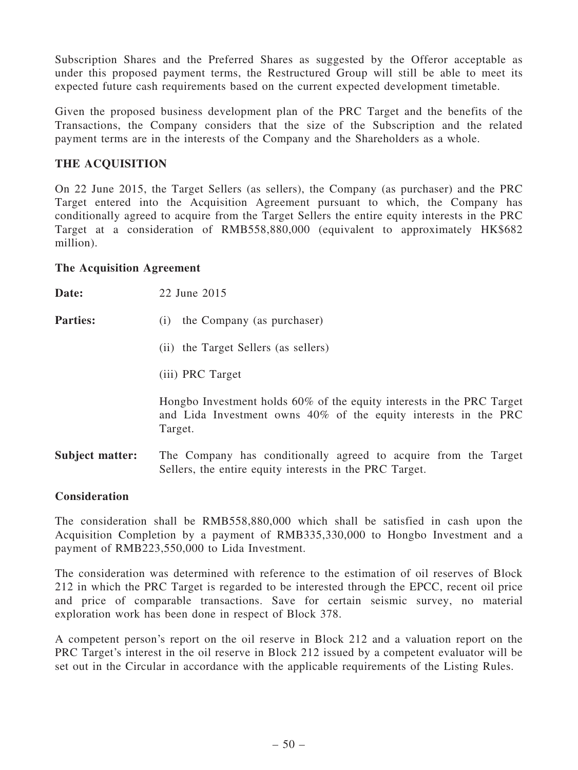Subscription Shares and the Preferred Shares as suggested by the Offeror acceptable as under this proposed payment terms, the Restructured Group will still be able to meet its expected future cash requirements based on the current expected development timetable.

Given the proposed business development plan of the PRC Target and the benefits of the Transactions, the Company considers that the size of the Subscription and the related payment terms are in the interests of the Company and the Shareholders as a whole.

# THE ACQUISITION

On 22 June 2015, the Target Sellers (as sellers), the Company (as purchaser) and the PRC Target entered into the Acquisition Agreement pursuant to which, the Company has conditionally agreed to acquire from the Target Sellers the entire equity interests in the PRC Target at a consideration of RMB558,880,000 (equivalent to approximately HK\$682 million).

## The Acquisition Agreement

| Date:           | 22 June 2015                                                                                                                                        |
|-----------------|-----------------------------------------------------------------------------------------------------------------------------------------------------|
| <b>Parties:</b> | the Company (as purchaser)<br>(i)                                                                                                                   |
|                 | (ii) the Target Sellers (as sellers)                                                                                                                |
|                 | (iii) PRC Target                                                                                                                                    |
|                 | Hongbo Investment holds 60% of the equity interests in the PRC Target<br>and Lida Investment owns 40% of the equity interests in the PRC<br>Target. |
| Subject matter: | The Company has conditionally agreed to acquire from the Target<br>Sellers, the entire equity interests in the PRC Target.                          |

# **Consideration**

The consideration shall be RMB558,880,000 which shall be satisfied in cash upon the Acquisition Completion by a payment of RMB335,330,000 to Hongbo Investment and a payment of RMB223,550,000 to Lida Investment.

The consideration was determined with reference to the estimation of oil reserves of Block 212 in which the PRC Target is regarded to be interested through the EPCC, recent oil price and price of comparable transactions. Save for certain seismic survey, no material exploration work has been done in respect of Block 378.

A competent person's report on the oil reserve in Block 212 and a valuation report on the PRC Target's interest in the oil reserve in Block 212 issued by a competent evaluator will be set out in the Circular in accordance with the applicable requirements of the Listing Rules.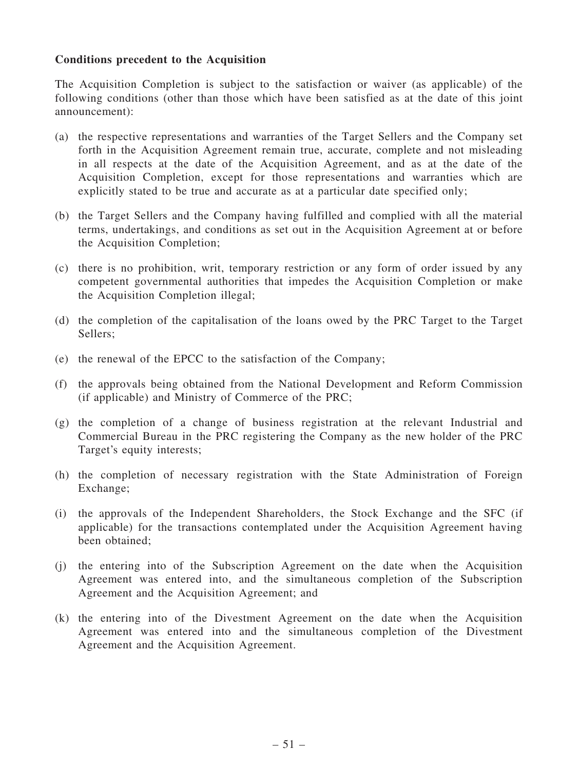## Conditions precedent to the Acquisition

The Acquisition Completion is subject to the satisfaction or waiver (as applicable) of the following conditions (other than those which have been satisfied as at the date of this joint announcement):

- (a) the respective representations and warranties of the Target Sellers and the Company set forth in the Acquisition Agreement remain true, accurate, complete and not misleading in all respects at the date of the Acquisition Agreement, and as at the date of the Acquisition Completion, except for those representations and warranties which are explicitly stated to be true and accurate as at a particular date specified only;
- (b) the Target Sellers and the Company having fulfilled and complied with all the material terms, undertakings, and conditions as set out in the Acquisition Agreement at or before the Acquisition Completion;
- (c) there is no prohibition, writ, temporary restriction or any form of order issued by any competent governmental authorities that impedes the Acquisition Completion or make the Acquisition Completion illegal;
- (d) the completion of the capitalisation of the loans owed by the PRC Target to the Target Sellers;
- (e) the renewal of the EPCC to the satisfaction of the Company;
- (f) the approvals being obtained from the National Development and Reform Commission (if applicable) and Ministry of Commerce of the PRC;
- (g) the completion of a change of business registration at the relevant Industrial and Commercial Bureau in the PRC registering the Company as the new holder of the PRC Target's equity interests;
- (h) the completion of necessary registration with the State Administration of Foreign Exchange;
- (i) the approvals of the Independent Shareholders, the Stock Exchange and the SFC (if applicable) for the transactions contemplated under the Acquisition Agreement having been obtained;
- (j) the entering into of the Subscription Agreement on the date when the Acquisition Agreement was entered into, and the simultaneous completion of the Subscription Agreement and the Acquisition Agreement; and
- (k) the entering into of the Divestment Agreement on the date when the Acquisition Agreement was entered into and the simultaneous completion of the Divestment Agreement and the Acquisition Agreement.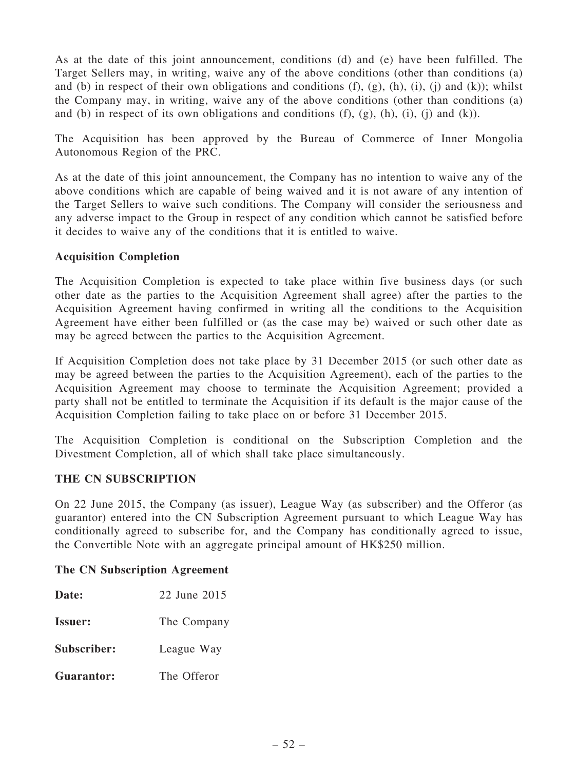As at the date of this joint announcement, conditions (d) and (e) have been fulfilled. The Target Sellers may, in writing, waive any of the above conditions (other than conditions (a) and (b) in respect of their own obligations and conditions  $(f)$ ,  $(g)$ ,  $(h)$ ,  $(i)$ ,  $(i)$  and  $(k)$ ); whilst the Company may, in writing, waive any of the above conditions (other than conditions (a) and (b) in respect of its own obligations and conditions  $(f)$ ,  $(g)$ ,  $(h)$ ,  $(i)$ ,  $(i)$  and  $(k)$ ).

The Acquisition has been approved by the Bureau of Commerce of Inner Mongolia Autonomous Region of the PRC.

As at the date of this joint announcement, the Company has no intention to waive any of the above conditions which are capable of being waived and it is not aware of any intention of the Target Sellers to waive such conditions. The Company will consider the seriousness and any adverse impact to the Group in respect of any condition which cannot be satisfied before it decides to waive any of the conditions that it is entitled to waive.

## Acquisition Completion

The Acquisition Completion is expected to take place within five business days (or such other date as the parties to the Acquisition Agreement shall agree) after the parties to the Acquisition Agreement having confirmed in writing all the conditions to the Acquisition Agreement have either been fulfilled or (as the case may be) waived or such other date as may be agreed between the parties to the Acquisition Agreement.

If Acquisition Completion does not take place by 31 December 2015 (or such other date as may be agreed between the parties to the Acquisition Agreement), each of the parties to the Acquisition Agreement may choose to terminate the Acquisition Agreement; provided a party shall not be entitled to terminate the Acquisition if its default is the major cause of the Acquisition Completion failing to take place on or before 31 December 2015.

The Acquisition Completion is conditional on the Subscription Completion and the Divestment Completion, all of which shall take place simultaneously.

### THE CN SUBSCRIPTION

On 22 June 2015, the Company (as issuer), League Way (as subscriber) and the Offeror (as guarantor) entered into the CN Subscription Agreement pursuant to which League Way has conditionally agreed to subscribe for, and the Company has conditionally agreed to issue, the Convertible Note with an aggregate principal amount of HK\$250 million.

### The CN Subscription Agreement

| 22 June 2015 |
|--------------|
| The Company  |
| League Way   |
| The Offeror  |
|              |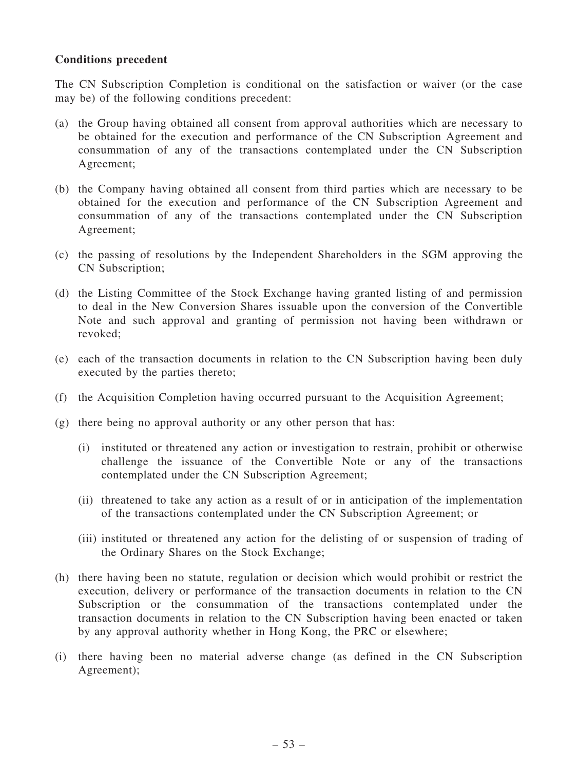## Conditions precedent

The CN Subscription Completion is conditional on the satisfaction or waiver (or the case may be) of the following conditions precedent:

- (a) the Group having obtained all consent from approval authorities which are necessary to be obtained for the execution and performance of the CN Subscription Agreement and consummation of any of the transactions contemplated under the CN Subscription Agreement;
- (b) the Company having obtained all consent from third parties which are necessary to be obtained for the execution and performance of the CN Subscription Agreement and consummation of any of the transactions contemplated under the CN Subscription Agreement;
- (c) the passing of resolutions by the Independent Shareholders in the SGM approving the CN Subscription;
- (d) the Listing Committee of the Stock Exchange having granted listing of and permission to deal in the New Conversion Shares issuable upon the conversion of the Convertible Note and such approval and granting of permission not having been withdrawn or revoked;
- (e) each of the transaction documents in relation to the CN Subscription having been duly executed by the parties thereto;
- (f) the Acquisition Completion having occurred pursuant to the Acquisition Agreement;
- (g) there being no approval authority or any other person that has:
	- (i) instituted or threatened any action or investigation to restrain, prohibit or otherwise challenge the issuance of the Convertible Note or any of the transactions contemplated under the CN Subscription Agreement;
	- (ii) threatened to take any action as a result of or in anticipation of the implementation of the transactions contemplated under the CN Subscription Agreement; or
	- (iii) instituted or threatened any action for the delisting of or suspension of trading of the Ordinary Shares on the Stock Exchange;
- (h) there having been no statute, regulation or decision which would prohibit or restrict the execution, delivery or performance of the transaction documents in relation to the CN Subscription or the consummation of the transactions contemplated under the transaction documents in relation to the CN Subscription having been enacted or taken by any approval authority whether in Hong Kong, the PRC or elsewhere;
- (i) there having been no material adverse change (as defined in the CN Subscription Agreement);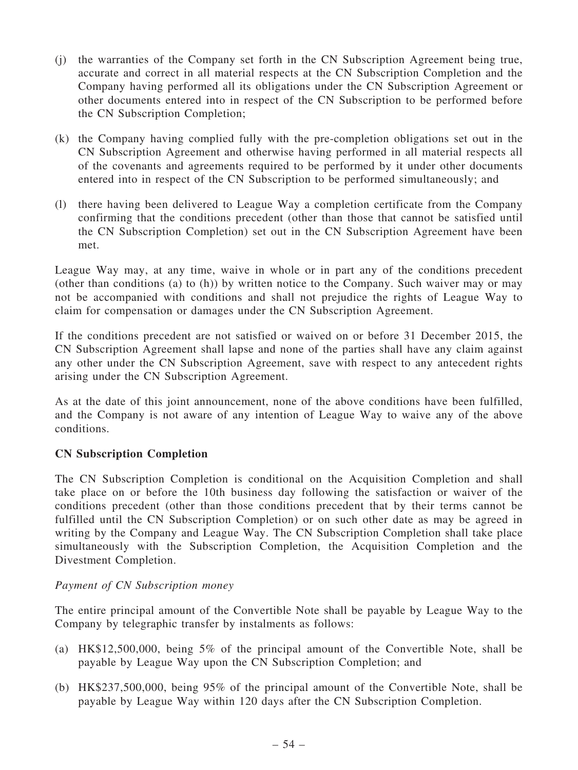- (j) the warranties of the Company set forth in the CN Subscription Agreement being true, accurate and correct in all material respects at the CN Subscription Completion and the Company having performed all its obligations under the CN Subscription Agreement or other documents entered into in respect of the CN Subscription to be performed before the CN Subscription Completion;
- (k) the Company having complied fully with the pre-completion obligations set out in the CN Subscription Agreement and otherwise having performed in all material respects all of the covenants and agreements required to be performed by it under other documents entered into in respect of the CN Subscription to be performed simultaneously; and
- (l) there having been delivered to League Way a completion certificate from the Company confirming that the conditions precedent (other than those that cannot be satisfied until the CN Subscription Completion) set out in the CN Subscription Agreement have been met.

League Way may, at any time, waive in whole or in part any of the conditions precedent (other than conditions (a) to (h)) by written notice to the Company. Such waiver may or may not be accompanied with conditions and shall not prejudice the rights of League Way to claim for compensation or damages under the CN Subscription Agreement.

If the conditions precedent are not satisfied or waived on or before 31 December 2015, the CN Subscription Agreement shall lapse and none of the parties shall have any claim against any other under the CN Subscription Agreement, save with respect to any antecedent rights arising under the CN Subscription Agreement.

As at the date of this joint announcement, none of the above conditions have been fulfilled, and the Company is not aware of any intention of League Way to waive any of the above conditions.

# CN Subscription Completion

The CN Subscription Completion is conditional on the Acquisition Completion and shall take place on or before the 10th business day following the satisfaction or waiver of the conditions precedent (other than those conditions precedent that by their terms cannot be fulfilled until the CN Subscription Completion) or on such other date as may be agreed in writing by the Company and League Way. The CN Subscription Completion shall take place simultaneously with the Subscription Completion, the Acquisition Completion and the Divestment Completion.

# Payment of CN Subscription money

The entire principal amount of the Convertible Note shall be payable by League Way to the Company by telegraphic transfer by instalments as follows:

- (a) HK\$12,500,000, being 5% of the principal amount of the Convertible Note, shall be payable by League Way upon the CN Subscription Completion; and
- (b) HK\$237,500,000, being 95% of the principal amount of the Convertible Note, shall be payable by League Way within 120 days after the CN Subscription Completion.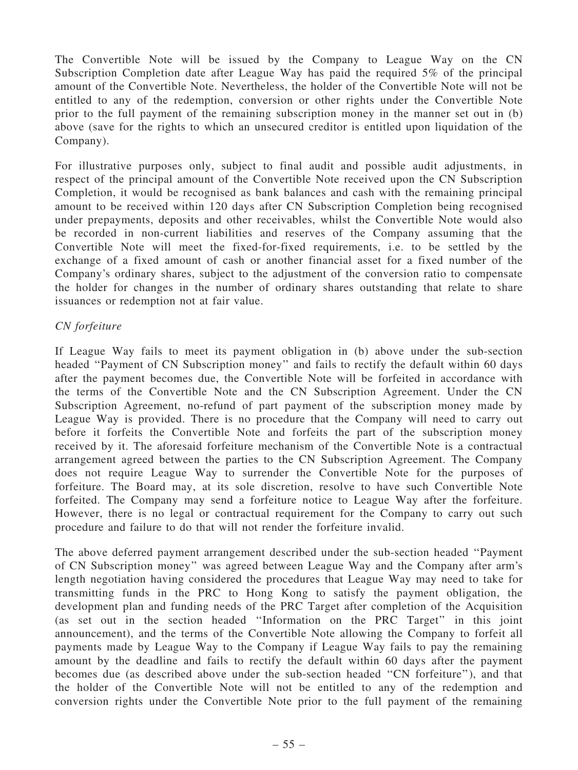The Convertible Note will be issued by the Company to League Way on the CN Subscription Completion date after League Way has paid the required 5% of the principal amount of the Convertible Note. Nevertheless, the holder of the Convertible Note will not be entitled to any of the redemption, conversion or other rights under the Convertible Note prior to the full payment of the remaining subscription money in the manner set out in (b) above (save for the rights to which an unsecured creditor is entitled upon liquidation of the Company).

For illustrative purposes only, subject to final audit and possible audit adjustments, in respect of the principal amount of the Convertible Note received upon the CN Subscription Completion, it would be recognised as bank balances and cash with the remaining principal amount to be received within 120 days after CN Subscription Completion being recognised under prepayments, deposits and other receivables, whilst the Convertible Note would also be recorded in non-current liabilities and reserves of the Company assuming that the Convertible Note will meet the fixed-for-fixed requirements, i.e. to be settled by the exchange of a fixed amount of cash or another financial asset for a fixed number of the Company's ordinary shares, subject to the adjustment of the conversion ratio to compensate the holder for changes in the number of ordinary shares outstanding that relate to share issuances or redemption not at fair value.

## CN forfeiture

If League Way fails to meet its payment obligation in (b) above under the sub-section headed "Payment of CN Subscription money" and fails to rectify the default within 60 days after the payment becomes due, the Convertible Note will be forfeited in accordance with the terms of the Convertible Note and the CN Subscription Agreement. Under the CN Subscription Agreement, no-refund of part payment of the subscription money made by League Way is provided. There is no procedure that the Company will need to carry out before it forfeits the Convertible Note and forfeits the part of the subscription money received by it. The aforesaid forfeiture mechanism of the Convertible Note is a contractual arrangement agreed between the parties to the CN Subscription Agreement. The Company does not require League Way to surrender the Convertible Note for the purposes of forfeiture. The Board may, at its sole discretion, resolve to have such Convertible Note forfeited. The Company may send a forfeiture notice to League Way after the forfeiture. However, there is no legal or contractual requirement for the Company to carry out such procedure and failure to do that will not render the forfeiture invalid.

The above deferred payment arrangement described under the sub-section headed ''Payment of CN Subscription money'' was agreed between League Way and the Company after arm's length negotiation having considered the procedures that League Way may need to take for transmitting funds in the PRC to Hong Kong to satisfy the payment obligation, the development plan and funding needs of the PRC Target after completion of the Acquisition (as set out in the section headed ''Information on the PRC Target'' in this joint announcement), and the terms of the Convertible Note allowing the Company to forfeit all payments made by League Way to the Company if League Way fails to pay the remaining amount by the deadline and fails to rectify the default within 60 days after the payment becomes due (as described above under the sub-section headed ''CN forfeiture''), and that the holder of the Convertible Note will not be entitled to any of the redemption and conversion rights under the Convertible Note prior to the full payment of the remaining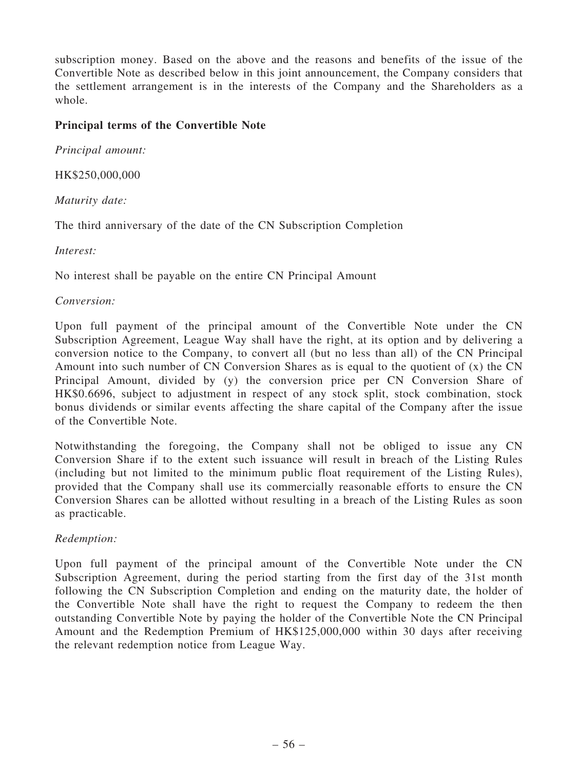subscription money. Based on the above and the reasons and benefits of the issue of the Convertible Note as described below in this joint announcement, the Company considers that the settlement arrangement is in the interests of the Company and the Shareholders as a whole.

## Principal terms of the Convertible Note

Principal amount:

HK\$250,000,000

Maturity date:

The third anniversary of the date of the CN Subscription Completion

Interest:

No interest shall be payable on the entire CN Principal Amount

### Conversion:

Upon full payment of the principal amount of the Convertible Note under the CN Subscription Agreement, League Way shall have the right, at its option and by delivering a conversion notice to the Company, to convert all (but no less than all) of the CN Principal Amount into such number of CN Conversion Shares as is equal to the quotient of (x) the CN Principal Amount, divided by (y) the conversion price per CN Conversion Share of HK\$0.6696, subject to adjustment in respect of any stock split, stock combination, stock bonus dividends or similar events affecting the share capital of the Company after the issue of the Convertible Note.

Notwithstanding the foregoing, the Company shall not be obliged to issue any CN Conversion Share if to the extent such issuance will result in breach of the Listing Rules (including but not limited to the minimum public float requirement of the Listing Rules), provided that the Company shall use its commercially reasonable efforts to ensure the CN Conversion Shares can be allotted without resulting in a breach of the Listing Rules as soon as practicable.

### Redemption:

Upon full payment of the principal amount of the Convertible Note under the CN Subscription Agreement, during the period starting from the first day of the 31st month following the CN Subscription Completion and ending on the maturity date, the holder of the Convertible Note shall have the right to request the Company to redeem the then outstanding Convertible Note by paying the holder of the Convertible Note the CN Principal Amount and the Redemption Premium of HK\$125,000,000 within 30 days after receiving the relevant redemption notice from League Way.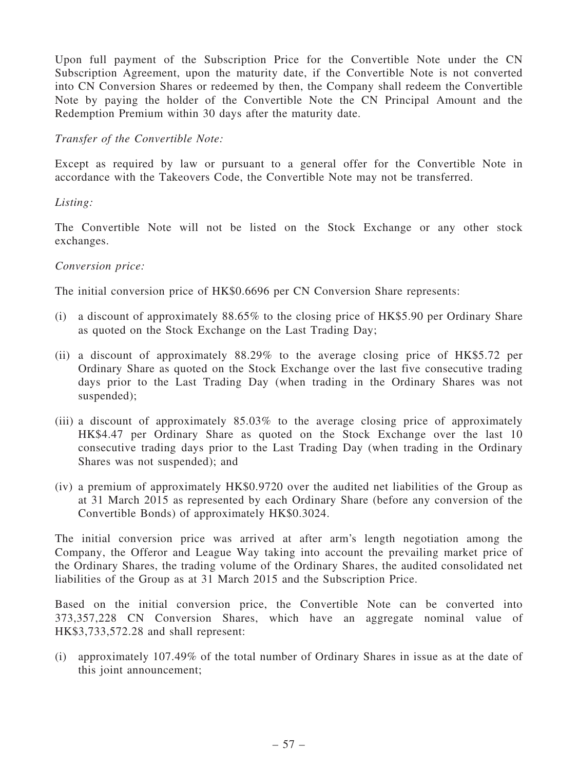Upon full payment of the Subscription Price for the Convertible Note under the CN Subscription Agreement, upon the maturity date, if the Convertible Note is not converted into CN Conversion Shares or redeemed by then, the Company shall redeem the Convertible Note by paying the holder of the Convertible Note the CN Principal Amount and the Redemption Premium within 30 days after the maturity date.

## Transfer of the Convertible Note:

Except as required by law or pursuant to a general offer for the Convertible Note in accordance with the Takeovers Code, the Convertible Note may not be transferred.

### Listing:

The Convertible Note will not be listed on the Stock Exchange or any other stock exchanges.

### Conversion price:

The initial conversion price of HK\$0.6696 per CN Conversion Share represents:

- (i) a discount of approximately 88.65% to the closing price of HK\$5.90 per Ordinary Share as quoted on the Stock Exchange on the Last Trading Day;
- (ii) a discount of approximately 88.29% to the average closing price of HK\$5.72 per Ordinary Share as quoted on the Stock Exchange over the last five consecutive trading days prior to the Last Trading Day (when trading in the Ordinary Shares was not suspended);
- (iii) a discount of approximately 85.03% to the average closing price of approximately HK\$4.47 per Ordinary Share as quoted on the Stock Exchange over the last 10 consecutive trading days prior to the Last Trading Day (when trading in the Ordinary Shares was not suspended); and
- (iv) a premium of approximately HK\$0.9720 over the audited net liabilities of the Group as at 31 March 2015 as represented by each Ordinary Share (before any conversion of the Convertible Bonds) of approximately HK\$0.3024.

The initial conversion price was arrived at after arm's length negotiation among the Company, the Offeror and League Way taking into account the prevailing market price of the Ordinary Shares, the trading volume of the Ordinary Shares, the audited consolidated net liabilities of the Group as at 31 March 2015 and the Subscription Price.

Based on the initial conversion price, the Convertible Note can be converted into 373,357,228 CN Conversion Shares, which have an aggregate nominal value of HK\$3,733,572.28 and shall represent:

(i) approximately 107.49% of the total number of Ordinary Shares in issue as at the date of this joint announcement;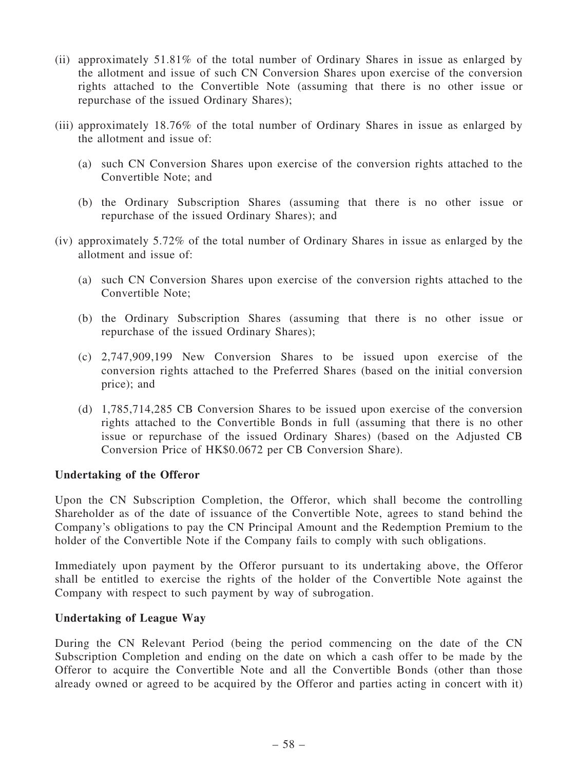- (ii) approximately 51.81% of the total number of Ordinary Shares in issue as enlarged by the allotment and issue of such CN Conversion Shares upon exercise of the conversion rights attached to the Convertible Note (assuming that there is no other issue or repurchase of the issued Ordinary Shares);
- (iii) approximately 18.76% of the total number of Ordinary Shares in issue as enlarged by the allotment and issue of:
	- (a) such CN Conversion Shares upon exercise of the conversion rights attached to the Convertible Note; and
	- (b) the Ordinary Subscription Shares (assuming that there is no other issue or repurchase of the issued Ordinary Shares); and
- (iv) approximately 5.72% of the total number of Ordinary Shares in issue as enlarged by the allotment and issue of:
	- (a) such CN Conversion Shares upon exercise of the conversion rights attached to the Convertible Note;
	- (b) the Ordinary Subscription Shares (assuming that there is no other issue or repurchase of the issued Ordinary Shares);
	- (c) 2,747,909,199 New Conversion Shares to be issued upon exercise of the conversion rights attached to the Preferred Shares (based on the initial conversion price); and
	- (d) 1,785,714,285 CB Conversion Shares to be issued upon exercise of the conversion rights attached to the Convertible Bonds in full (assuming that there is no other issue or repurchase of the issued Ordinary Shares) (based on the Adjusted CB Conversion Price of HK\$0.0672 per CB Conversion Share).

### Undertaking of the Offeror

Upon the CN Subscription Completion, the Offeror, which shall become the controlling Shareholder as of the date of issuance of the Convertible Note, agrees to stand behind the Company's obligations to pay the CN Principal Amount and the Redemption Premium to the holder of the Convertible Note if the Company fails to comply with such obligations.

Immediately upon payment by the Offeror pursuant to its undertaking above, the Offeror shall be entitled to exercise the rights of the holder of the Convertible Note against the Company with respect to such payment by way of subrogation.

### Undertaking of League Way

During the CN Relevant Period (being the period commencing on the date of the CN Subscription Completion and ending on the date on which a cash offer to be made by the Offeror to acquire the Convertible Note and all the Convertible Bonds (other than those already owned or agreed to be acquired by the Offeror and parties acting in concert with it)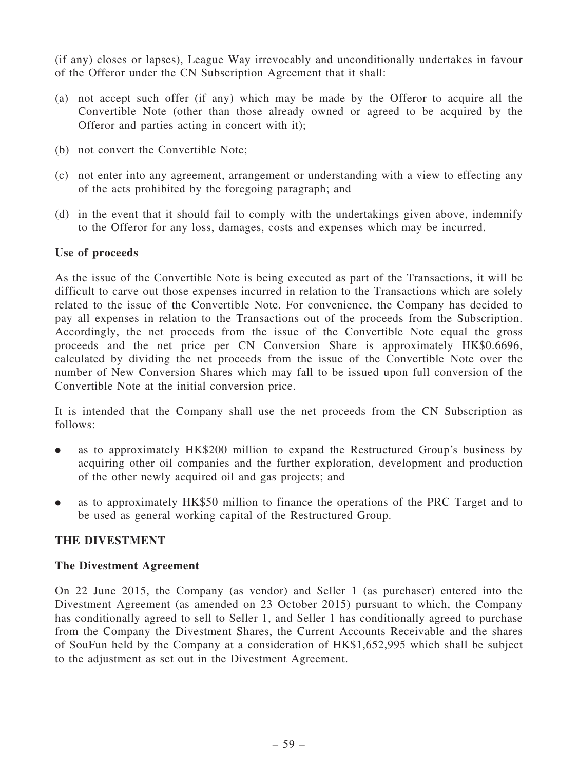(if any) closes or lapses), League Way irrevocably and unconditionally undertakes in favour of the Offeror under the CN Subscription Agreement that it shall:

- (a) not accept such offer (if any) which may be made by the Offeror to acquire all the Convertible Note (other than those already owned or agreed to be acquired by the Offeror and parties acting in concert with it);
- (b) not convert the Convertible Note;
- (c) not enter into any agreement, arrangement or understanding with a view to effecting any of the acts prohibited by the foregoing paragraph; and
- (d) in the event that it should fail to comply with the undertakings given above, indemnify to the Offeror for any loss, damages, costs and expenses which may be incurred.

### Use of proceeds

As the issue of the Convertible Note is being executed as part of the Transactions, it will be difficult to carve out those expenses incurred in relation to the Transactions which are solely related to the issue of the Convertible Note. For convenience, the Company has decided to pay all expenses in relation to the Transactions out of the proceeds from the Subscription. Accordingly, the net proceeds from the issue of the Convertible Note equal the gross proceeds and the net price per CN Conversion Share is approximately HK\$0.6696, calculated by dividing the net proceeds from the issue of the Convertible Note over the number of New Conversion Shares which may fall to be issued upon full conversion of the Convertible Note at the initial conversion price.

It is intended that the Company shall use the net proceeds from the CN Subscription as follows:

- . as to approximately HK\$200 million to expand the Restructured Group's business by acquiring other oil companies and the further exploration, development and production of the other newly acquired oil and gas projects; and
- . as to approximately HK\$50 million to finance the operations of the PRC Target and to be used as general working capital of the Restructured Group.

# THE DIVESTMENT

### The Divestment Agreement

On 22 June 2015, the Company (as vendor) and Seller 1 (as purchaser) entered into the Divestment Agreement (as amended on 23 October 2015) pursuant to which, the Company has conditionally agreed to sell to Seller 1, and Seller 1 has conditionally agreed to purchase from the Company the Divestment Shares, the Current Accounts Receivable and the shares of SouFun held by the Company at a consideration of HK\$1,652,995 which shall be subject to the adjustment as set out in the Divestment Agreement.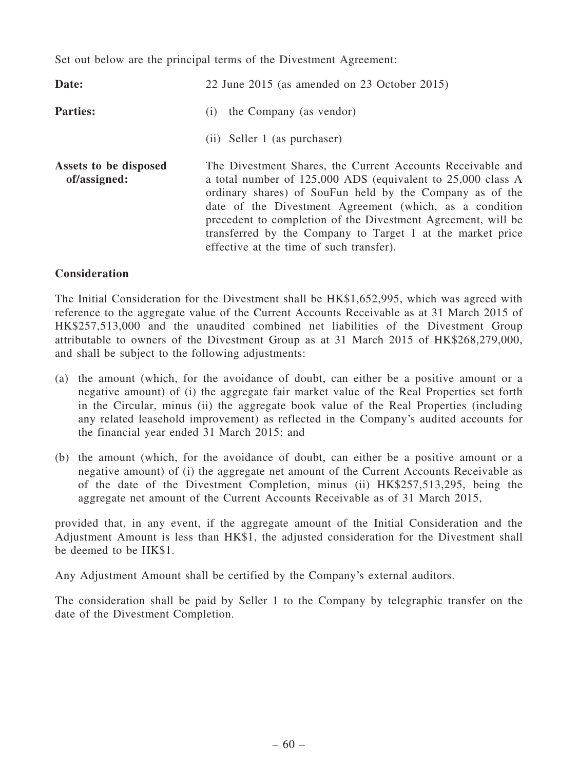Set out below are the principal terms of the Divestment Agreement:

| Date:                                 | 22 June 2015 (as amended on 23 October 2015)                                                                                                                                                                                                                                                                                                                                                                                   |  |  |  |
|---------------------------------------|--------------------------------------------------------------------------------------------------------------------------------------------------------------------------------------------------------------------------------------------------------------------------------------------------------------------------------------------------------------------------------------------------------------------------------|--|--|--|
| <b>Parties:</b>                       | the Company (as vendor)<br>(i)                                                                                                                                                                                                                                                                                                                                                                                                 |  |  |  |
|                                       | (ii) Seller 1 (as purchaser)                                                                                                                                                                                                                                                                                                                                                                                                   |  |  |  |
| Assets to be disposed<br>of/assigned: | The Divestment Shares, the Current Accounts Receivable and<br>a total number of $125,000$ ADS (equivalent to $25,000$ class A<br>ordinary shares) of SouFun held by the Company as of the<br>date of the Divestment Agreement (which, as a condition<br>precedent to completion of the Divestment Agreement, will be<br>transferred by the Company to Target 1 at the market price<br>effective at the time of such transfer). |  |  |  |

#### Consideration

The Initial Consideration for the Divestment shall be HK\$1,652,995, which was agreed with reference to the aggregate value of the Current Accounts Receivable as at 31 March 2015 of HK\$257,513,000 and the unaudited combined net liabilities of the Divestment Group attributable to owners of the Divestment Group as at 31 March 2015 of HK\$268,279,000, and shall be subject to the following adjustments:

- (a) the amount (which, for the avoidance of doubt, can either be a positive amount or a negative amount) of (i) the aggregate fair market value of the Real Properties set forth in the Circular, minus (ii) the aggregate book value of the Real Properties (including any related leasehold improvement) as reflected in the Company's audited accounts for the financial year ended 31 March 2015; and
- (b) the amount (which, for the avoidance of doubt, can either be a positive amount or a negative amount) of (i) the aggregate net amount of the Current Accounts Receivable as of the date of the Divestment Completion, minus (ii) HK\$257,513,295, being the aggregate net amount of the Current Accounts Receivable as of 31 March 2015,

provided that, in any event, if the aggregate amount of the Initial Consideration and the Adjustment Amount is less than HK\$1, the adjusted consideration for the Divestment shall be deemed to be HK\$1.

Any Adjustment Amount shall be certified by the Company's external auditors.

The consideration shall be paid by Seller 1 to the Company by telegraphic transfer on the date of the Divestment Completion.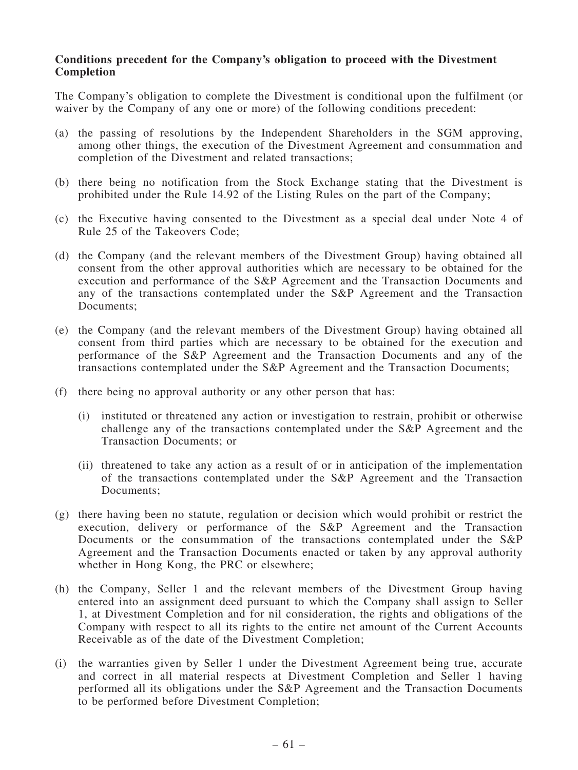#### Conditions precedent for the Company's obligation to proceed with the Divestment Completion

The Company's obligation to complete the Divestment is conditional upon the fulfilment (or waiver by the Company of any one or more) of the following conditions precedent:

- (a) the passing of resolutions by the Independent Shareholders in the SGM approving, among other things, the execution of the Divestment Agreement and consummation and completion of the Divestment and related transactions;
- (b) there being no notification from the Stock Exchange stating that the Divestment is prohibited under the Rule 14.92 of the Listing Rules on the part of the Company;
- (c) the Executive having consented to the Divestment as a special deal under Note 4 of Rule 25 of the Takeovers Code;
- (d) the Company (and the relevant members of the Divestment Group) having obtained all consent from the other approval authorities which are necessary to be obtained for the execution and performance of the S&P Agreement and the Transaction Documents and any of the transactions contemplated under the S&P Agreement and the Transaction Documents;
- (e) the Company (and the relevant members of the Divestment Group) having obtained all consent from third parties which are necessary to be obtained for the execution and performance of the S&P Agreement and the Transaction Documents and any of the transactions contemplated under the S&P Agreement and the Transaction Documents;
- (f) there being no approval authority or any other person that has:
	- (i) instituted or threatened any action or investigation to restrain, prohibit or otherwise challenge any of the transactions contemplated under the S&P Agreement and the Transaction Documents; or
	- (ii) threatened to take any action as a result of or in anticipation of the implementation of the transactions contemplated under the S&P Agreement and the Transaction Documents;
- (g) there having been no statute, regulation or decision which would prohibit or restrict the execution, delivery or performance of the S&P Agreement and the Transaction Documents or the consummation of the transactions contemplated under the S&P Agreement and the Transaction Documents enacted or taken by any approval authority whether in Hong Kong, the PRC or elsewhere;
- (h) the Company, Seller 1 and the relevant members of the Divestment Group having entered into an assignment deed pursuant to which the Company shall assign to Seller 1, at Divestment Completion and for nil consideration, the rights and obligations of the Company with respect to all its rights to the entire net amount of the Current Accounts Receivable as of the date of the Divestment Completion;
- (i) the warranties given by Seller 1 under the Divestment Agreement being true, accurate and correct in all material respects at Divestment Completion and Seller 1 having performed all its obligations under the S&P Agreement and the Transaction Documents to be performed before Divestment Completion;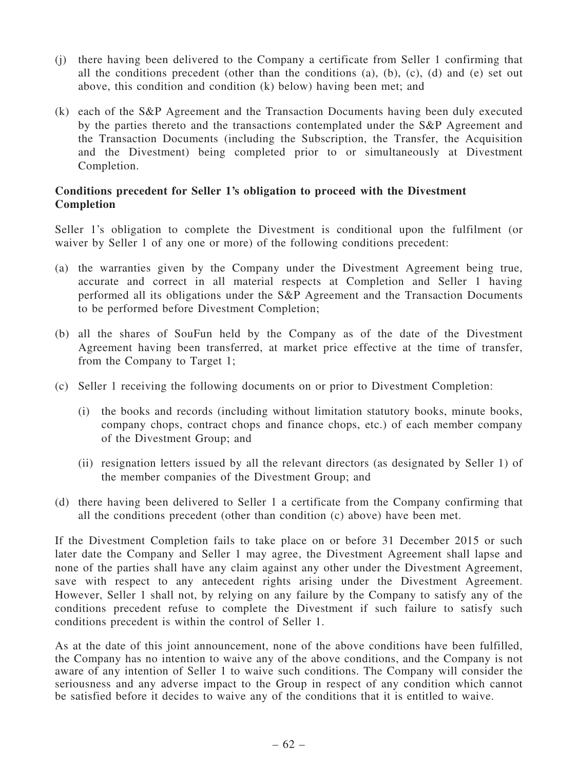- (j) there having been delivered to the Company a certificate from Seller 1 confirming that all the conditions precedent (other than the conditions (a), (b), (c), (d) and (e) set out above, this condition and condition (k) below) having been met; and
- (k) each of the S&P Agreement and the Transaction Documents having been duly executed by the parties thereto and the transactions contemplated under the S&P Agreement and the Transaction Documents (including the Subscription, the Transfer, the Acquisition and the Divestment) being completed prior to or simultaneously at Divestment Completion.

## Conditions precedent for Seller 1's obligation to proceed with the Divestment Completion

Seller 1's obligation to complete the Divestment is conditional upon the fulfilment (or waiver by Seller 1 of any one or more) of the following conditions precedent:

- (a) the warranties given by the Company under the Divestment Agreement being true, accurate and correct in all material respects at Completion and Seller 1 having performed all its obligations under the S&P Agreement and the Transaction Documents to be performed before Divestment Completion;
- (b) all the shares of SouFun held by the Company as of the date of the Divestment Agreement having been transferred, at market price effective at the time of transfer, from the Company to Target 1;
- (c) Seller 1 receiving the following documents on or prior to Divestment Completion:
	- (i) the books and records (including without limitation statutory books, minute books, company chops, contract chops and finance chops, etc.) of each member company of the Divestment Group; and
	- (ii) resignation letters issued by all the relevant directors (as designated by Seller 1) of the member companies of the Divestment Group; and
- (d) there having been delivered to Seller 1 a certificate from the Company confirming that all the conditions precedent (other than condition (c) above) have been met.

If the Divestment Completion fails to take place on or before 31 December 2015 or such later date the Company and Seller 1 may agree, the Divestment Agreement shall lapse and none of the parties shall have any claim against any other under the Divestment Agreement, save with respect to any antecedent rights arising under the Divestment Agreement. However, Seller 1 shall not, by relying on any failure by the Company to satisfy any of the conditions precedent refuse to complete the Divestment if such failure to satisfy such conditions precedent is within the control of Seller 1.

As at the date of this joint announcement, none of the above conditions have been fulfilled, the Company has no intention to waive any of the above conditions, and the Company is not aware of any intention of Seller 1 to waive such conditions. The Company will consider the seriousness and any adverse impact to the Group in respect of any condition which cannot be satisfied before it decides to waive any of the conditions that it is entitled to waive.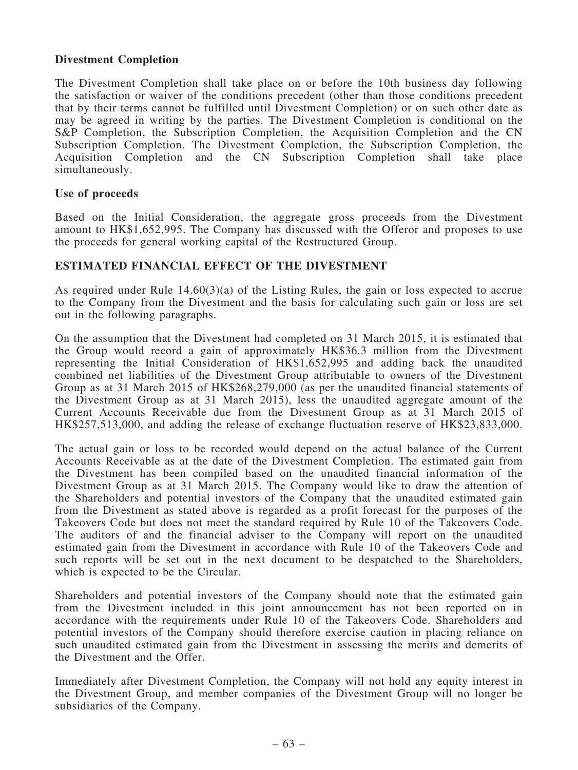## Divestment Completion

The Divestment Completion shall take place on or before the 10th business day following the satisfaction or waiver of the conditions precedent (other than those conditions precedent that by their terms cannot be fulfilled until Divestment Completion) or on such other date as may be agreed in writing by the parties. The Divestment Completion is conditional on the S&P Completion, the Subscription Completion, the Acquisition Completion and the CN Subscription Completion. The Divestment Completion, the Subscription Completion, the Acquisition Completion and the CN Subscription Completion shall take place simultaneously.

### Use of proceeds

Based on the Initial Consideration, the aggregate gross proceeds from the Divestment amount to HK\$1,652,995. The Company has discussed with the Offeror and proposes to use the proceeds for general working capital of the Restructured Group.

## ESTIMATED FINANCIAL EFFECT OF THE DIVESTMENT

As required under Rule 14.60(3)(a) of the Listing Rules, the gain or loss expected to accrue to the Company from the Divestment and the basis for calculating such gain or loss are set out in the following paragraphs.

On the assumption that the Divestment had completed on 31 March 2015, it is estimated that the Group would record a gain of approximately HK\$36.3 million from the Divestment representing the Initial Consideration of HK\$1,652,995 and adding back the unaudited combined net liabilities of the Divestment Group attributable to owners of the Divestment Group as at 31 March 2015 of HK\$268,279,000 (as per the unaudited financial statements of the Divestment Group as at 31 March 2015), less the unaudited aggregate amount of the Current Accounts Receivable due from the Divestment Group as at 31 March 2015 of HK\$257,513,000, and adding the release of exchange fluctuation reserve of HK\$23,833,000.

The actual gain or loss to be recorded would depend on the actual balance of the Current Accounts Receivable as at the date of the Divestment Completion. The estimated gain from the Divestment has been compiled based on the unaudited financial information of the Divestment Group as at 31 March 2015. The Company would like to draw the attention of the Shareholders and potential investors of the Company that the unaudited estimated gain from the Divestment as stated above is regarded as a profit forecast for the purposes of the Takeovers Code but does not meet the standard required by Rule 10 of the Takeovers Code. The auditors of and the financial adviser to the Company will report on the unaudited estimated gain from the Divestment in accordance with Rule 10 of the Takeovers Code and such reports will be set out in the next document to be despatched to the Shareholders, which is expected to be the Circular.

Shareholders and potential investors of the Company should note that the estimated gain from the Divestment included in this joint announcement has not been reported on in accordance with the requirements under Rule 10 of the Takeovers Code. Shareholders and potential investors of the Company should therefore exercise caution in placing reliance on such unaudited estimated gain from the Divestment in assessing the merits and demerits of the Divestment and the Offer.

Immediately after Divestment Completion, the Company will not hold any equity interest in the Divestment Group, and member companies of the Divestment Group will no longer be subsidiaries of the Company.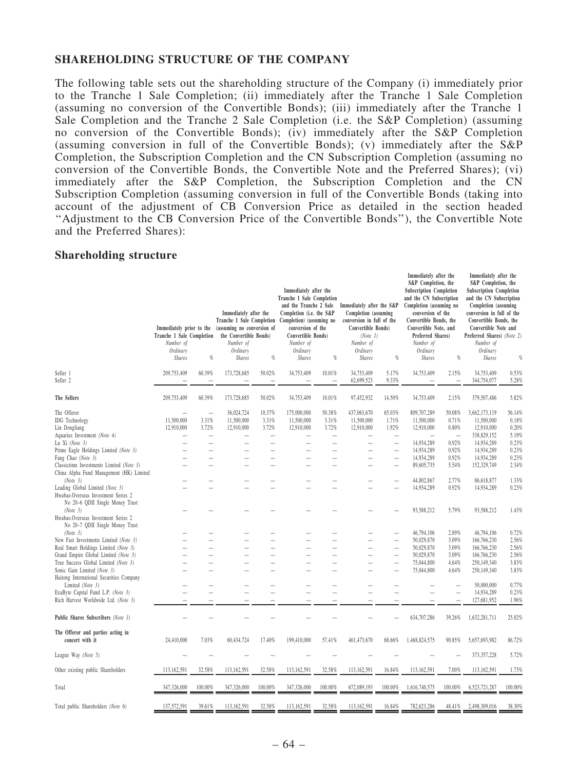#### SHAREHOLDING STRUCTURE OF THE COMPANY

The following table sets out the shareholding structure of the Company (i) immediately prior to the Tranche 1 Sale Completion; (ii) immediately after the Tranche 1 Sale Completion (assuming no conversion of the Convertible Bonds); (iii) immediately after the Tranche 1 Sale Completion and the Tranche 2 Sale Completion (i.e. the S&P Completion) (assuming no conversion of the Convertible Bonds); (iv) immediately after the S&P Completion (assuming conversion in full of the Convertible Bonds); (v) immediately after the S&P Completion, the Subscription Completion and the CN Subscription Completion (assuming no conversion of the Convertible Bonds, the Convertible Note and the Preferred Shares); (vi) immediately after the S&P Completion, the Subscription Completion and the CN Subscription Completion (assuming conversion in full of the Convertible Bonds (taking into account of the adjustment of CB Conversion Price as detailed in the section headed ''Adjustment to the CB Conversion Price of the Convertible Bonds''), the Convertible Note and the Preferred Shares):

Immediately after the

Immediately after the

#### Shareholding structure

|                                                                                                                       | Immediately prior to the<br>Tranche 1 Sale Completion<br>Number of |                                                      | Immediately after the<br>Tranche 1 Sale Completion<br>(assuming no conversion of<br>the Convertible Bonds)<br>Number of |                          | Immediately after the<br>Tranche 1 Sale Completion<br>and the Tranche 2 Sale<br>Completion (i.e. the S&P<br>Completion) (assuming no<br>conversion of the<br>Convertible Bonds)<br>Number of |                          | Immediately after the S&P<br>Completion (assuming<br>conversion in full of the<br>Convertible Bonds)<br>(Note 1)<br>Number of |                                                                                  | S&P Completion, the<br><b>Subscription Completion</b><br>and the CN Subscription<br>Completion (assuming no<br>conversion of the<br>Convertible Bonds, the<br>Convertible Note, and<br>Preferred Shares)<br>Number of |                                   | S&P Completion, the<br><b>Subscription Completion</b><br>and the CN Subscription<br>Completion (assuming<br>conversion in full of the<br>Convertible Bonds, the<br>Convertible Note and<br>Preferred Shares) (Note 2)<br>Number of |                          |
|-----------------------------------------------------------------------------------------------------------------------|--------------------------------------------------------------------|------------------------------------------------------|-------------------------------------------------------------------------------------------------------------------------|--------------------------|----------------------------------------------------------------------------------------------------------------------------------------------------------------------------------------------|--------------------------|-------------------------------------------------------------------------------------------------------------------------------|----------------------------------------------------------------------------------|-----------------------------------------------------------------------------------------------------------------------------------------------------------------------------------------------------------------------|-----------------------------------|------------------------------------------------------------------------------------------------------------------------------------------------------------------------------------------------------------------------------------|--------------------------|
|                                                                                                                       | Ordinary<br><b>Shares</b>                                          | $\%$                                                 | Ordinary<br><b>Shares</b>                                                                                               | $\%$                     | Ordinary<br><b>Shares</b>                                                                                                                                                                    | $\%$                     | Ordinary<br><b>Shares</b>                                                                                                     | $q_{\rm 0}$                                                                      | Ordinary<br><b>Shares</b>                                                                                                                                                                                             | %                                 | Ordinary<br><b>Shares</b>                                                                                                                                                                                                          | $q_{\rm 0}$              |
| Seller 1<br>Seller <sub>2</sub>                                                                                       | 209,753,409                                                        | 60.39%                                               | 173,728,685                                                                                                             | 50.02%                   | 34,753,409                                                                                                                                                                                   | 10.01%<br>$\equiv$       | 34,753,409<br>62,699,523                                                                                                      | 5.17%<br>9.33%                                                                   | 34,753,409                                                                                                                                                                                                            | 2.15%<br>$\overline{\phantom{0}}$ | 34,753,409<br>344,754,077                                                                                                                                                                                                          | 0.53%<br>5.28%           |
| The Sellers                                                                                                           | 209,753,409                                                        | 60.39%                                               | 173,728,685                                                                                                             | 50.02%                   | 34,753,409                                                                                                                                                                                   | 10.01%                   | 97,452,932                                                                                                                    | 14.50%                                                                           | 34,753,409                                                                                                                                                                                                            | 2.15%                             | 379,507,486                                                                                                                                                                                                                        | 5.82%                    |
| The Offeror<br><b>IDG</b> Technology<br>Lin Dongliang                                                                 | 11,500,000<br>12,910,000                                           | $\equiv$<br>3.31%<br>3.72%                           | 36,024,724<br>11,500,000<br>12,910,000                                                                                  | 10.37%<br>3.31%<br>3.72% | 175,000,000<br>11,500,000<br>12,910,000                                                                                                                                                      | 50.38%<br>3.31%<br>3.72% | 437,063,670<br>11,500,000<br>12,910,000                                                                                       | 65.03%<br>1.71%<br>1.92%                                                         | 809,707,289<br>11,500,000<br>12,910,000                                                                                                                                                                               | 50.08%<br>0.71%<br>0.80%          | 3,662,173,119<br>11,500,000<br>12,910,000                                                                                                                                                                                          | 56.14%<br>0.18%<br>0.20% |
| Aquarius Investment (Note 4)<br>Lu Xi (Note 3)<br>Prime Eagle Holdings Limited (Note 3)                               |                                                                    | $\overline{\phantom{0}}$                             |                                                                                                                         |                          |                                                                                                                                                                                              |                          |                                                                                                                               | $\overline{\phantom{0}}$<br>$\overline{\phantom{0}}$<br>$\overline{\phantom{0}}$ | 14,934,289<br>14,934,289                                                                                                                                                                                              | 0.92%<br>0.92%                    | 338,829,152<br>14,934,289<br>14,934,289                                                                                                                                                                                            | 5.19%<br>0.23%<br>0.23%  |
| Fang Chao (Note 3)<br>Classictime Investments Limited (Note 3)<br>China Alpha Fund Management (HK) Limited            |                                                                    |                                                      |                                                                                                                         |                          |                                                                                                                                                                                              |                          |                                                                                                                               | $\qquad \qquad$                                                                  | 14,934,289<br>89,605,735                                                                                                                                                                                              | 0.92%<br>5.54%                    | 14,934,289<br>152,329,749                                                                                                                                                                                                          | 0.23%<br>2.34%           |
| (Note 3)<br>Leading Global Limited (Note 3)<br>Hwabao.Overseas Investment Series 2                                    |                                                                    |                                                      |                                                                                                                         |                          |                                                                                                                                                                                              |                          |                                                                                                                               | $\overline{\phantom{0}}$                                                         | 44,802,867<br>14,934,289                                                                                                                                                                                              | 2.77%<br>0.92%                    | 86,618,877<br>14,934,289                                                                                                                                                                                                           | 1.33%<br>0.23%           |
| No 20-6 QDII Single Money Trust<br>(Note 3)<br>Hwabao.Overseas Investment Series 2<br>No 20-7 QDII Single Money Trust |                                                                    |                                                      |                                                                                                                         |                          |                                                                                                                                                                                              |                          |                                                                                                                               |                                                                                  | 93,588,212                                                                                                                                                                                                            | 5.79%                             | 93,588,212                                                                                                                                                                                                                         | 1.43%                    |
| (Note 3)<br>New Fast Investments Limited (Note 3)                                                                     |                                                                    | $\overline{\phantom{0}}$                             |                                                                                                                         |                          |                                                                                                                                                                                              |                          |                                                                                                                               | $\overline{\phantom{0}}$<br>$\overline{\phantom{0}}$                             | 46,794,106<br>50,029,870                                                                                                                                                                                              | 2.89%<br>3.09%                    | 46,794,106<br>166,766,230                                                                                                                                                                                                          | 0.72%<br>2.56%           |
| Real Smart Holdings Limited (Note 3)<br>Grand Empire Global Limited (Note 3)<br>True Success Global Limited (Note 3)  |                                                                    | $\overline{\phantom{0}}$<br>$\overline{\phantom{0}}$ |                                                                                                                         |                          |                                                                                                                                                                                              |                          |                                                                                                                               | $\overline{\phantom{0}}$<br>$\overline{\phantom{0}}$                             | 50,029,870<br>50,029,870<br>75,044,800                                                                                                                                                                                | 3.09%<br>3.09%<br>4.64%           | 166,766,230<br>166,766,230<br>250,149,340                                                                                                                                                                                          | 2.56%<br>2.56%<br>3.83%  |
| Sonic Gain Limited (Note 3)<br>Haitong International Securities Company<br>Limited (Note 3)                           |                                                                    |                                                      |                                                                                                                         |                          |                                                                                                                                                                                              |                          |                                                                                                                               |                                                                                  | 75,044,800                                                                                                                                                                                                            | 4.64%<br>$\overline{\phantom{0}}$ | 250,149,340<br>50,000,000                                                                                                                                                                                                          | 3.83%<br>0.77%           |
| ExaByte Capital Fund L.P. (Note 3)<br>Rich Harvest Worldwide Ltd. (Note 3)                                            |                                                                    |                                                      |                                                                                                                         |                          |                                                                                                                                                                                              |                          |                                                                                                                               |                                                                                  |                                                                                                                                                                                                                       | $\overline{\phantom{0}}$<br>L,    | 14,934,289<br>127,681,952                                                                                                                                                                                                          | 0.23%<br>1.96%           |
| Public Shares Subscribers (Note 3)                                                                                    |                                                                    |                                                      |                                                                                                                         |                          |                                                                                                                                                                                              |                          |                                                                                                                               |                                                                                  | 634,707,286                                                                                                                                                                                                           | 39.26%                            | 1,632,281,711                                                                                                                                                                                                                      | 25.02%                   |
| The Offeror and parties acting in<br>concert with it                                                                  | 24,410,000                                                         | 7.03%                                                | 60,434,724                                                                                                              | 17.40%                   | 199,410,000                                                                                                                                                                                  | 57.41%                   | 461,473,670                                                                                                                   | 68.66%                                                                           | 1,468,824,575                                                                                                                                                                                                         | 90.85%                            | 5,657,693,982                                                                                                                                                                                                                      | 86.72%                   |
| League Way (Note 5)                                                                                                   |                                                                    |                                                      |                                                                                                                         |                          |                                                                                                                                                                                              |                          |                                                                                                                               |                                                                                  |                                                                                                                                                                                                                       |                                   | 373,357,228                                                                                                                                                                                                                        | 5.72%                    |
| Other existing public Shareholders                                                                                    | 113,162,591                                                        | 32.58%                                               | 113,162,591                                                                                                             | 32.58%                   | 113,162,591                                                                                                                                                                                  | 32.58%                   | 113,162,591                                                                                                                   | 16.84%                                                                           | 113,162,591                                                                                                                                                                                                           | 7.00%                             | 113,162,591                                                                                                                                                                                                                        | 1.73%                    |
| Total                                                                                                                 | 347,326,000                                                        | 100.00%                                              | 347,326,000                                                                                                             | 100.00%                  | 347,326,000                                                                                                                                                                                  | 100.00%                  | 672,089,193                                                                                                                   | 100.00%                                                                          | 1,616,740,575                                                                                                                                                                                                         | 100.00%                           | 6,523,721,287                                                                                                                                                                                                                      | 100.00%                  |
| Total public Shareholders (Note 6)                                                                                    | 137,572,591                                                        | 39.61%                                               | 113, 162, 591                                                                                                           | 32.58%                   | 113,162,591                                                                                                                                                                                  | 32.58%                   | 113,162,591                                                                                                                   | 16.84%                                                                           | 782,623,286                                                                                                                                                                                                           | 48.41%                            | 2,498,309,016                                                                                                                                                                                                                      | 38.30%                   |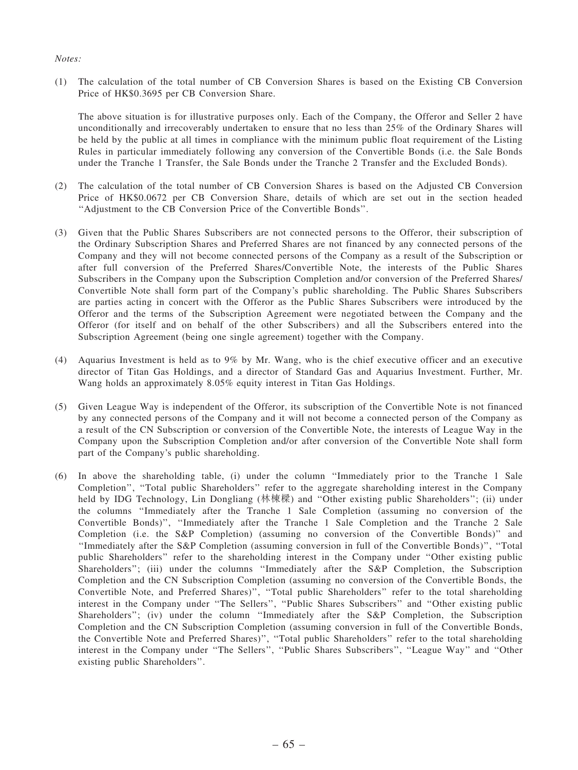#### Notes:

(1) The calculation of the total number of CB Conversion Shares is based on the Existing CB Conversion Price of HK\$0.3695 per CB Conversion Share.

The above situation is for illustrative purposes only. Each of the Company, the Offeror and Seller 2 have unconditionally and irrecoverably undertaken to ensure that no less than 25% of the Ordinary Shares will be held by the public at all times in compliance with the minimum public float requirement of the Listing Rules in particular immediately following any conversion of the Convertible Bonds (i.e. the Sale Bonds under the Tranche 1 Transfer, the Sale Bonds under the Tranche 2 Transfer and the Excluded Bonds).

- (2) The calculation of the total number of CB Conversion Shares is based on the Adjusted CB Conversion Price of HK\$0.0672 per CB Conversion Share, details of which are set out in the section headed ''Adjustment to the CB Conversion Price of the Convertible Bonds''.
- (3) Given that the Public Shares Subscribers are not connected persons to the Offeror, their subscription of the Ordinary Subscription Shares and Preferred Shares are not financed by any connected persons of the Company and they will not become connected persons of the Company as a result of the Subscription or after full conversion of the Preferred Shares/Convertible Note, the interests of the Public Shares Subscribers in the Company upon the Subscription Completion and/or conversion of the Preferred Shares/ Convertible Note shall form part of the Company's public shareholding. The Public Shares Subscribers are parties acting in concert with the Offeror as the Public Shares Subscribers were introduced by the Offeror and the terms of the Subscription Agreement were negotiated between the Company and the Offeror (for itself and on behalf of the other Subscribers) and all the Subscribers entered into the Subscription Agreement (being one single agreement) together with the Company.
- (4) Aquarius Investment is held as to 9% by Mr. Wang, who is the chief executive officer and an executive director of Titan Gas Holdings, and a director of Standard Gas and Aquarius Investment. Further, Mr. Wang holds an approximately 8.05% equity interest in Titan Gas Holdings.
- (5) Given League Way is independent of the Offeror, its subscription of the Convertible Note is not financed by any connected persons of the Company and it will not become a connected person of the Company as a result of the CN Subscription or conversion of the Convertible Note, the interests of League Way in the Company upon the Subscription Completion and/or after conversion of the Convertible Note shall form part of the Company's public shareholding.
- (6) In above the shareholding table, (i) under the column ''Immediately prior to the Tranche 1 Sale Completion'', ''Total public Shareholders'' refer to the aggregate shareholding interest in the Company held by IDG Technology, Lin Dongliang (林棟樑) and ''Other existing public Shareholders''; (ii) under the columns ''Immediately after the Tranche 1 Sale Completion (assuming no conversion of the Convertible Bonds)'', ''Immediately after the Tranche 1 Sale Completion and the Tranche 2 Sale Completion (i.e. the S&P Completion) (assuming no conversion of the Convertible Bonds)'' and ''Immediately after the S&P Completion (assuming conversion in full of the Convertible Bonds)'', ''Total public Shareholders'' refer to the shareholding interest in the Company under ''Other existing public Shareholders''; (iii) under the columns ''Immediately after the S&P Completion, the Subscription Completion and the CN Subscription Completion (assuming no conversion of the Convertible Bonds, the Convertible Note, and Preferred Shares)'', ''Total public Shareholders'' refer to the total shareholding interest in the Company under "The Sellers", "Public Shares Subscribers" and "Other existing public Shareholders''; (iv) under the column ''Immediately after the S&P Completion, the Subscription Completion and the CN Subscription Completion (assuming conversion in full of the Convertible Bonds, the Convertible Note and Preferred Shares)'', ''Total public Shareholders'' refer to the total shareholding interest in the Company under "The Sellers", "Public Shares Subscribers", "League Way" and "Other existing public Shareholders''.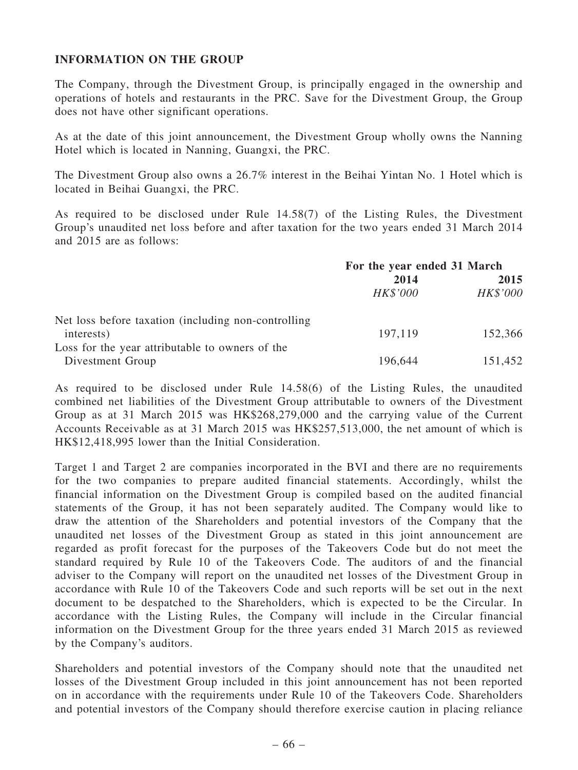# INFORMATION ON THE GROUP

The Company, through the Divestment Group, is principally engaged in the ownership and operations of hotels and restaurants in the PRC. Save for the Divestment Group, the Group does not have other significant operations.

As at the date of this joint announcement, the Divestment Group wholly owns the Nanning Hotel which is located in Nanning, Guangxi, the PRC.

The Divestment Group also owns a 26.7% interest in the Beihai Yintan No. 1 Hotel which is located in Beihai Guangxi, the PRC.

As required to be disclosed under Rule 14.58(7) of the Listing Rules, the Divestment Group's unaudited net loss before and after taxation for the two years ended 31 March 2014 and 2015 are as follows:

|                                                      | For the year ended 31 March |          |  |
|------------------------------------------------------|-----------------------------|----------|--|
|                                                      | 2014                        | 2015     |  |
|                                                      | <b>HK\$'000</b>             | HK\$'000 |  |
| Net loss before taxation (including non-controlling) |                             |          |  |
| interests)                                           | 197,119                     | 152,366  |  |
| Loss for the year attributable to owners of the      |                             |          |  |
| Divestment Group                                     | 196,644                     | 151,452  |  |

As required to be disclosed under Rule 14.58(6) of the Listing Rules, the unaudited combined net liabilities of the Divestment Group attributable to owners of the Divestment Group as at 31 March 2015 was HK\$268,279,000 and the carrying value of the Current Accounts Receivable as at 31 March 2015 was HK\$257,513,000, the net amount of which is HK\$12,418,995 lower than the Initial Consideration.

Target 1 and Target 2 are companies incorporated in the BVI and there are no requirements for the two companies to prepare audited financial statements. Accordingly, whilst the financial information on the Divestment Group is compiled based on the audited financial statements of the Group, it has not been separately audited. The Company would like to draw the attention of the Shareholders and potential investors of the Company that the unaudited net losses of the Divestment Group as stated in this joint announcement are regarded as profit forecast for the purposes of the Takeovers Code but do not meet the standard required by Rule 10 of the Takeovers Code. The auditors of and the financial adviser to the Company will report on the unaudited net losses of the Divestment Group in accordance with Rule 10 of the Takeovers Code and such reports will be set out in the next document to be despatched to the Shareholders, which is expected to be the Circular. In accordance with the Listing Rules, the Company will include in the Circular financial information on the Divestment Group for the three years ended 31 March 2015 as reviewed by the Company's auditors.

Shareholders and potential investors of the Company should note that the unaudited net losses of the Divestment Group included in this joint announcement has not been reported on in accordance with the requirements under Rule 10 of the Takeovers Code. Shareholders and potential investors of the Company should therefore exercise caution in placing reliance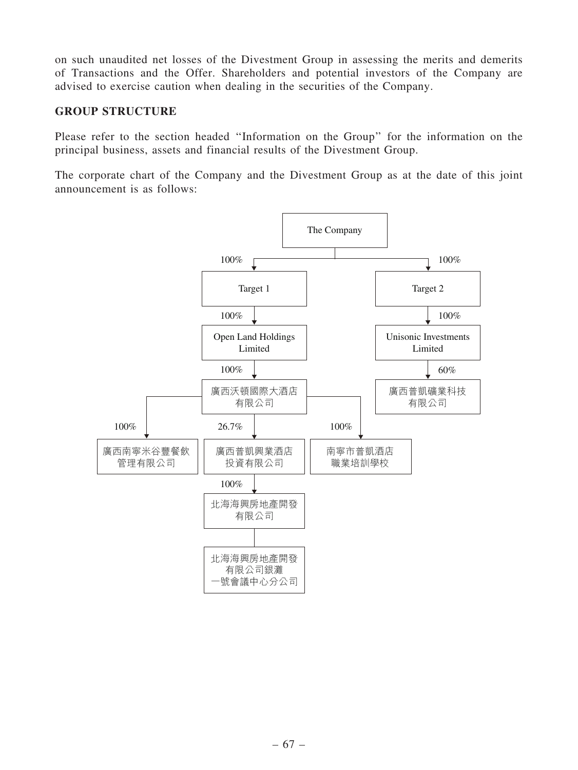on such unaudited net losses of the Divestment Group in assessing the merits and demerits of Transactions and the Offer. Shareholders and potential investors of the Company are advised to exercise caution when dealing in the securities of the Company.

# GROUP STRUCTURE

Please refer to the section headed ''Information on the Group'' for the information on the principal business, assets and financial results of the Divestment Group.

The corporate chart of the Company and the Divestment Group as at the date of this joint announcement is as follows:

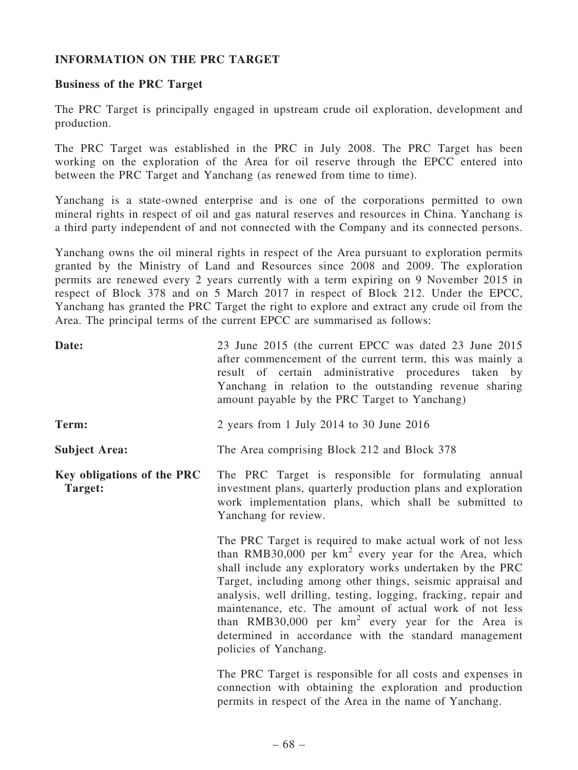# INFORMATION ON THE PRC TARGET

### Business of the PRC Target

The PRC Target is principally engaged in upstream crude oil exploration, development and production.

The PRC Target was established in the PRC in July 2008. The PRC Target has been working on the exploration of the Area for oil reserve through the EPCC entered into between the PRC Target and Yanchang (as renewed from time to time).

Yanchang is a state-owned enterprise and is one of the corporations permitted to own mineral rights in respect of oil and gas natural reserves and resources in China. Yanchang is a third party independent of and not connected with the Company and its connected persons.

Yanchang owns the oil mineral rights in respect of the Area pursuant to exploration permits granted by the Ministry of Land and Resources since 2008 and 2009. The exploration permits are renewed every 2 years currently with a term expiring on 9 November 2015 in respect of Block 378 and on 5 March 2017 in respect of Block 212. Under the EPCC, Yanchang has granted the PRC Target the right to explore and extract any crude oil from the Area. The principal terms of the current EPCC are summarised as follows:

| Date:                                 | 23 June 2015 (the current EPCC was dated 23 June 2015<br>after commencement of the current term, this was mainly a<br>result of certain administrative procedures taken by<br>Yanchang in relation to the outstanding revenue sharing<br>amount payable by the PRC Target to Yanchang)                                                                                                                                                                                                                                     |  |  |  |
|---------------------------------------|----------------------------------------------------------------------------------------------------------------------------------------------------------------------------------------------------------------------------------------------------------------------------------------------------------------------------------------------------------------------------------------------------------------------------------------------------------------------------------------------------------------------------|--|--|--|
| Term:                                 | 2 years from 1 July 2014 to 30 June 2016                                                                                                                                                                                                                                                                                                                                                                                                                                                                                   |  |  |  |
| <b>Subject Area:</b>                  | The Area comprising Block 212 and Block 378                                                                                                                                                                                                                                                                                                                                                                                                                                                                                |  |  |  |
| Key obligations of the PRC<br>Target: | The PRC Target is responsible for formulating annual<br>investment plans, quarterly production plans and exploration<br>work implementation plans, which shall be submitted to<br>Yanchang for review.                                                                                                                                                                                                                                                                                                                     |  |  |  |
|                                       | The PRC Target is required to make actual work of not less<br>than RMB30,000 per $km^2$ every year for the Area, which<br>shall include any exploratory works undertaken by the PRC<br>Target, including among other things, seismic appraisal and<br>analysis, well drilling, testing, logging, fracking, repair and<br>maintenance, etc. The amount of actual work of not less<br>than RMB30,000 per $km^2$ every year for the Area is<br>determined in accordance with the standard management<br>policies of Yanchang. |  |  |  |
|                                       | The PRC Target is responsible for all costs and expenses in<br>connection with obtaining the exploration and production<br>permits in respect of the Area in the name of Yanchang.                                                                                                                                                                                                                                                                                                                                         |  |  |  |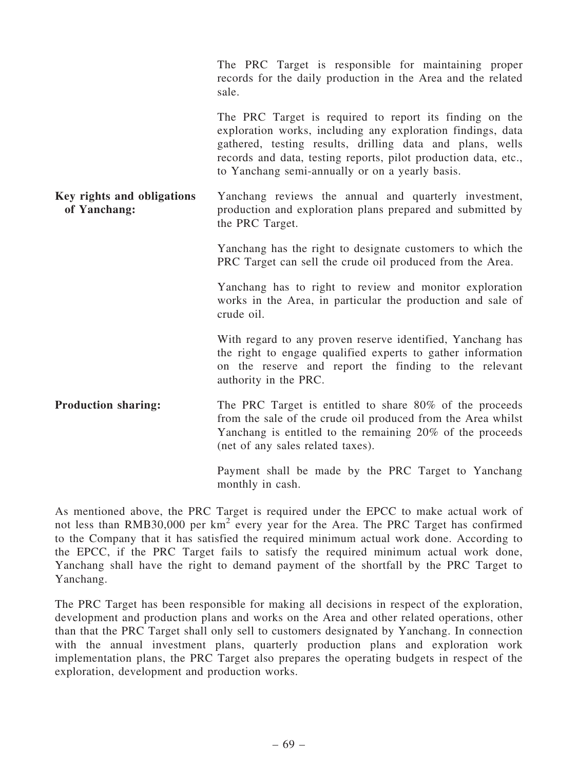|                                            | The PRC Target is responsible for maintaining proper<br>records for the daily production in the Area and the related<br>sale.                                                                                                                                                                             |
|--------------------------------------------|-----------------------------------------------------------------------------------------------------------------------------------------------------------------------------------------------------------------------------------------------------------------------------------------------------------|
|                                            | The PRC Target is required to report its finding on the<br>exploration works, including any exploration findings, data<br>gathered, testing results, drilling data and plans, wells<br>records and data, testing reports, pilot production data, etc.,<br>to Yanchang semi-annually or on a yearly basis. |
| Key rights and obligations<br>of Yanchang: | Yanchang reviews the annual and quarterly investment,<br>production and exploration plans prepared and submitted by<br>the PRC Target.                                                                                                                                                                    |
|                                            | Yanchang has the right to designate customers to which the<br>PRC Target can sell the crude oil produced from the Area.                                                                                                                                                                                   |
|                                            | Yanchang has to right to review and monitor exploration<br>works in the Area, in particular the production and sale of<br>crude oil.                                                                                                                                                                      |
|                                            | With regard to any proven reserve identified, Yanchang has<br>the right to engage qualified experts to gather information<br>on the reserve and report the finding to the relevant<br>authority in the PRC.                                                                                               |
| <b>Production sharing:</b>                 | The PRC Target is entitled to share 80% of the proceeds<br>from the sale of the crude oil produced from the Area whilst<br>Yanchang is entitled to the remaining 20% of the proceeds<br>(net of any sales related taxes).                                                                                 |
|                                            | Payment shall be made by the PRC Target to Yanchang                                                                                                                                                                                                                                                       |

As mentioned above, the PRC Target is required under the EPCC to make actual work of not less than RMB30,000 per km<sup>2</sup> every year for the Area. The PRC Target has confirmed to the Company that it has satisfied the required minimum actual work done. According to the EPCC, if the PRC Target fails to satisfy the required minimum actual work done, Yanchang shall have the right to demand payment of the shortfall by the PRC Target to Yanchang.

monthly in cash.

The PRC Target has been responsible for making all decisions in respect of the exploration, development and production plans and works on the Area and other related operations, other than that the PRC Target shall only sell to customers designated by Yanchang. In connection with the annual investment plans, quarterly production plans and exploration work implementation plans, the PRC Target also prepares the operating budgets in respect of the exploration, development and production works.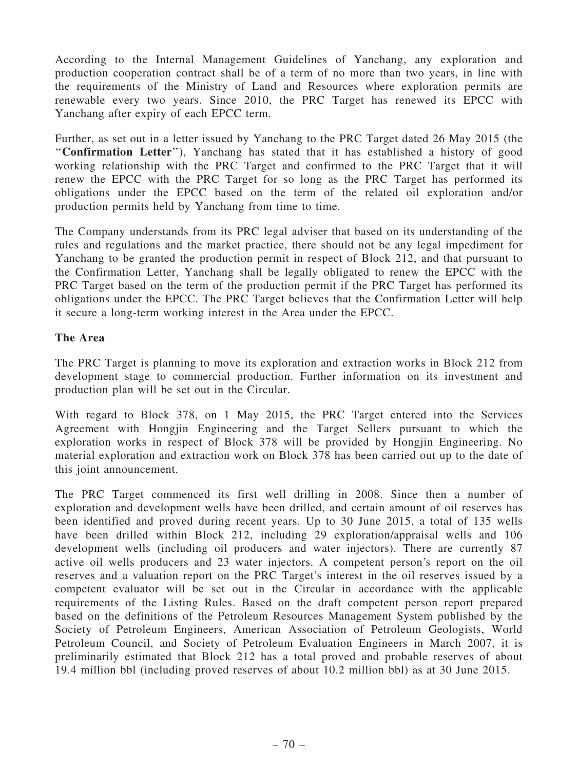According to the Internal Management Guidelines of Yanchang, any exploration and production cooperation contract shall be of a term of no more than two years, in line with the requirements of the Ministry of Land and Resources where exploration permits are renewable every two years. Since 2010, the PRC Target has renewed its EPCC with Yanchang after expiry of each EPCC term.

Further, as set out in a letter issued by Yanchang to the PRC Target dated 26 May 2015 (the ''Confirmation Letter''), Yanchang has stated that it has established a history of good working relationship with the PRC Target and confirmed to the PRC Target that it will renew the EPCC with the PRC Target for so long as the PRC Target has performed its obligations under the EPCC based on the term of the related oil exploration and/or production permits held by Yanchang from time to time.

The Company understands from its PRC legal adviser that based on its understanding of the rules and regulations and the market practice, there should not be any legal impediment for Yanchang to be granted the production permit in respect of Block 212, and that pursuant to the Confirmation Letter, Yanchang shall be legally obligated to renew the EPCC with the PRC Target based on the term of the production permit if the PRC Target has performed its obligations under the EPCC. The PRC Target believes that the Confirmation Letter will help it secure a long-term working interest in the Area under the EPCC.

## The Area

The PRC Target is planning to move its exploration and extraction works in Block 212 from development stage to commercial production. Further information on its investment and production plan will be set out in the Circular.

With regard to Block 378, on 1 May 2015, the PRC Target entered into the Services Agreement with Hongjin Engineering and the Target Sellers pursuant to which the exploration works in respect of Block 378 will be provided by Hongjin Engineering. No material exploration and extraction work on Block 378 has been carried out up to the date of this joint announcement.

The PRC Target commenced its first well drilling in 2008. Since then a number of exploration and development wells have been drilled, and certain amount of oil reserves has been identified and proved during recent years. Up to 30 June 2015, a total of 135 wells have been drilled within Block 212, including 29 exploration/appraisal wells and 106 development wells (including oil producers and water injectors). There are currently 87 active oil wells producers and 23 water injectors. A competent person's report on the oil reserves and a valuation report on the PRC Target's interest in the oil reserves issued by a competent evaluator will be set out in the Circular in accordance with the applicable requirements of the Listing Rules. Based on the draft competent person report prepared based on the definitions of the Petroleum Resources Management System published by the Society of Petroleum Engineers, American Association of Petroleum Geologists, World Petroleum Council, and Society of Petroleum Evaluation Engineers in March 2007, it is preliminarily estimated that Block 212 has a total proved and probable reserves of about 19.4 million bbl (including proved reserves of about 10.2 million bbl) as at 30 June 2015.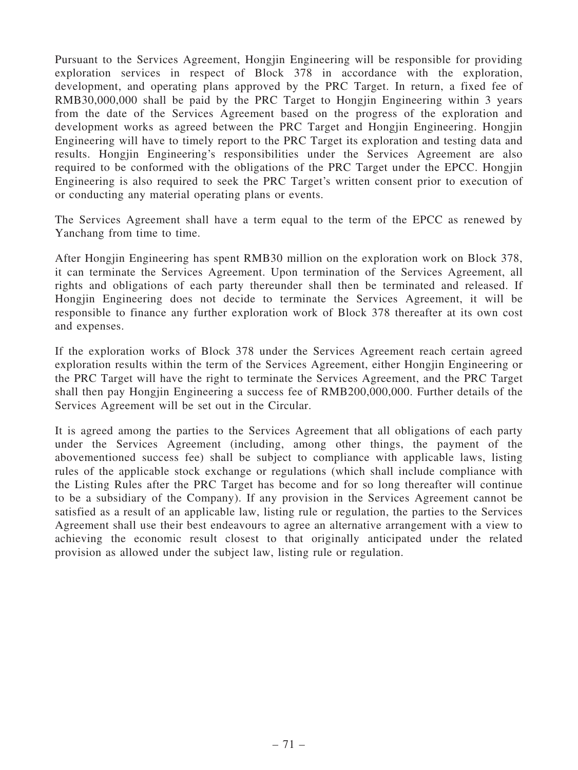Pursuant to the Services Agreement, Hongjin Engineering will be responsible for providing exploration services in respect of Block 378 in accordance with the exploration, development, and operating plans approved by the PRC Target. In return, a fixed fee of RMB30,000,000 shall be paid by the PRC Target to Hongjin Engineering within 3 years from the date of the Services Agreement based on the progress of the exploration and development works as agreed between the PRC Target and Hongjin Engineering. Hongjin Engineering will have to timely report to the PRC Target its exploration and testing data and results. Hongjin Engineering's responsibilities under the Services Agreement are also required to be conformed with the obligations of the PRC Target under the EPCC. Hongjin Engineering is also required to seek the PRC Target's written consent prior to execution of or conducting any material operating plans or events.

The Services Agreement shall have a term equal to the term of the EPCC as renewed by Yanchang from time to time.

After Hongjin Engineering has spent RMB30 million on the exploration work on Block 378, it can terminate the Services Agreement. Upon termination of the Services Agreement, all rights and obligations of each party thereunder shall then be terminated and released. If Hongjin Engineering does not decide to terminate the Services Agreement, it will be responsible to finance any further exploration work of Block 378 thereafter at its own cost and expenses.

If the exploration works of Block 378 under the Services Agreement reach certain agreed exploration results within the term of the Services Agreement, either Hongjin Engineering or the PRC Target will have the right to terminate the Services Agreement, and the PRC Target shall then pay Hongjin Engineering a success fee of RMB200,000,000. Further details of the Services Agreement will be set out in the Circular.

It is agreed among the parties to the Services Agreement that all obligations of each party under the Services Agreement (including, among other things, the payment of the abovementioned success fee) shall be subject to compliance with applicable laws, listing rules of the applicable stock exchange or regulations (which shall include compliance with the Listing Rules after the PRC Target has become and for so long thereafter will continue to be a subsidiary of the Company). If any provision in the Services Agreement cannot be satisfied as a result of an applicable law, listing rule or regulation, the parties to the Services Agreement shall use their best endeavours to agree an alternative arrangement with a view to achieving the economic result closest to that originally anticipated under the related provision as allowed under the subject law, listing rule or regulation.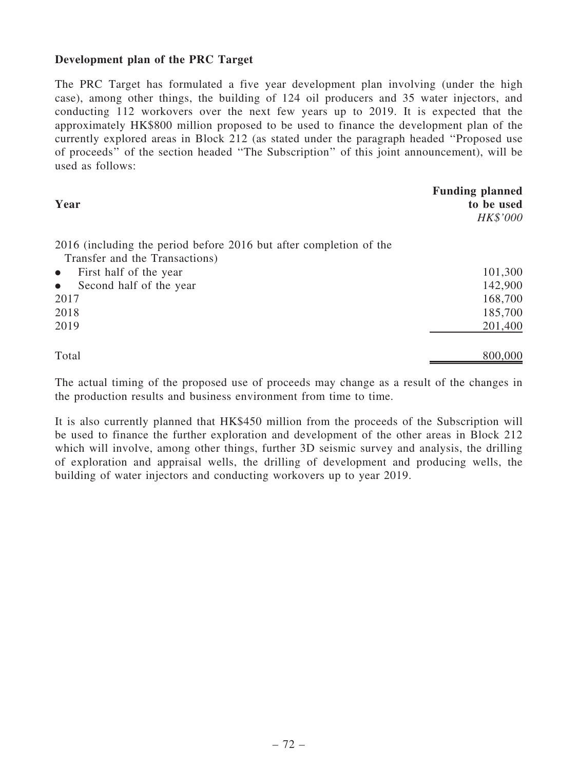# Development plan of the PRC Target

The PRC Target has formulated a five year development plan involving (under the high case), among other things, the building of 124 oil producers and 35 water injectors, and conducting 112 workovers over the next few years up to 2019. It is expected that the approximately HK\$800 million proposed to be used to finance the development plan of the currently explored areas in Block 212 (as stated under the paragraph headed ''Proposed use of proceeds'' of the section headed ''The Subscription'' of this joint announcement), will be used as follows:

| Year                                                               | <b>Funding planned</b><br>to be used<br>HK\$'000 |
|--------------------------------------------------------------------|--------------------------------------------------|
| 2016 (including the period before 2016 but after completion of the |                                                  |
| Transfer and the Transactions)                                     |                                                  |
| First half of the year<br>$\bullet$                                | 101,300                                          |
| Second half of the year<br>$\bullet$                               | 142,900                                          |
| 2017                                                               | 168,700                                          |
| 2018                                                               | 185,700                                          |
| 2019                                                               | 201,400                                          |
| Total                                                              | 800,000                                          |

The actual timing of the proposed use of proceeds may change as a result of the changes in the production results and business environment from time to time.

It is also currently planned that HK\$450 million from the proceeds of the Subscription will be used to finance the further exploration and development of the other areas in Block 212 which will involve, among other things, further 3D seismic survey and analysis, the drilling of exploration and appraisal wells, the drilling of development and producing wells, the building of water injectors and conducting workovers up to year 2019.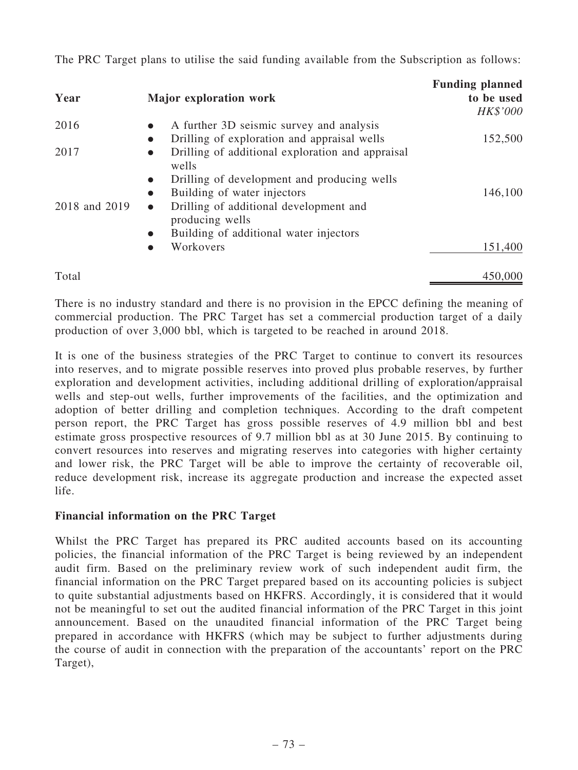The PRC Target plans to utilise the said funding available from the Subscription as follows:

| Year          | Major exploration work                                                 | <b>Funding planned</b><br>to be used<br>HK\$'000 |
|---------------|------------------------------------------------------------------------|--------------------------------------------------|
| 2016          | A further 3D seismic survey and analysis<br>$\bullet$                  |                                                  |
|               | Drilling of exploration and appraisal wells<br>$\bullet$               | 152,500                                          |
| 2017          | Drilling of additional exploration and appraisal<br>$\bullet$<br>wells |                                                  |
|               | Drilling of development and producing wells<br>$\bullet$               |                                                  |
|               | Building of water injectors<br>$\bullet$                               | 146,100                                          |
| 2018 and 2019 | Drilling of additional development and<br>$\bullet$<br>producing wells |                                                  |
|               | Building of additional water injectors<br>$\bullet$                    |                                                  |
|               | Workovers<br>●                                                         | 151,400                                          |
| Total         |                                                                        | 450,000                                          |

There is no industry standard and there is no provision in the EPCC defining the meaning of commercial production. The PRC Target has set a commercial production target of a daily production of over 3,000 bbl, which is targeted to be reached in around 2018.

It is one of the business strategies of the PRC Target to continue to convert its resources into reserves, and to migrate possible reserves into proved plus probable reserves, by further exploration and development activities, including additional drilling of exploration/appraisal wells and step-out wells, further improvements of the facilities, and the optimization and adoption of better drilling and completion techniques. According to the draft competent person report, the PRC Target has gross possible reserves of 4.9 million bbl and best estimate gross prospective resources of 9.7 million bbl as at 30 June 2015. By continuing to convert resources into reserves and migrating reserves into categories with higher certainty and lower risk, the PRC Target will be able to improve the certainty of recoverable oil, reduce development risk, increase its aggregate production and increase the expected asset life.

# Financial information on the PRC Target

Whilst the PRC Target has prepared its PRC audited accounts based on its accounting policies, the financial information of the PRC Target is being reviewed by an independent audit firm. Based on the preliminary review work of such independent audit firm, the financial information on the PRC Target prepared based on its accounting policies is subject to quite substantial adjustments based on HKFRS. Accordingly, it is considered that it would not be meaningful to set out the audited financial information of the PRC Target in this joint announcement. Based on the unaudited financial information of the PRC Target being prepared in accordance with HKFRS (which may be subject to further adjustments during the course of audit in connection with the preparation of the accountants' report on the PRC Target),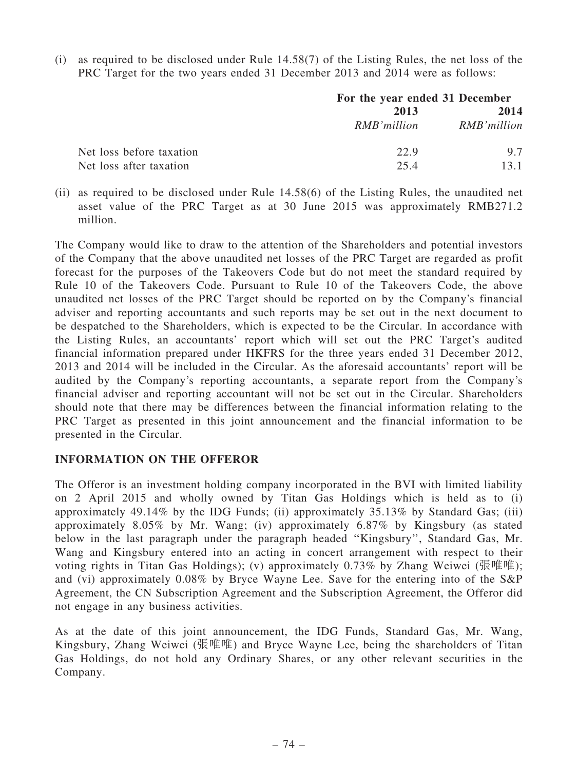(i) as required to be disclosed under Rule 14.58(7) of the Listing Rules, the net loss of the PRC Target for the two years ended 31 December 2013 and 2014 were as follows:

|                          | For the year ended 31 December |             |
|--------------------------|--------------------------------|-------------|
|                          | 2013                           |             |
|                          | RMB'million                    | RMB'million |
| Net loss before taxation | 22.9                           | 97          |
| Net loss after taxation  | 25.4                           | 13.1        |

(ii) as required to be disclosed under Rule 14.58(6) of the Listing Rules, the unaudited net asset value of the PRC Target as at 30 June 2015 was approximately RMB271.2 million.

The Company would like to draw to the attention of the Shareholders and potential investors of the Company that the above unaudited net losses of the PRC Target are regarded as profit forecast for the purposes of the Takeovers Code but do not meet the standard required by Rule 10 of the Takeovers Code. Pursuant to Rule 10 of the Takeovers Code, the above unaudited net losses of the PRC Target should be reported on by the Company's financial adviser and reporting accountants and such reports may be set out in the next document to be despatched to the Shareholders, which is expected to be the Circular. In accordance with the Listing Rules, an accountants' report which will set out the PRC Target's audited financial information prepared under HKFRS for the three years ended 31 December 2012, 2013 and 2014 will be included in the Circular. As the aforesaid accountants' report will be audited by the Company's reporting accountants, a separate report from the Company's financial adviser and reporting accountant will not be set out in the Circular. Shareholders should note that there may be differences between the financial information relating to the PRC Target as presented in this joint announcement and the financial information to be presented in the Circular.

## INFORMATION ON THE OFFEROR

The Offeror is an investment holding company incorporated in the BVI with limited liability on 2 April 2015 and wholly owned by Titan Gas Holdings which is held as to (i) approximately 49.14% by the IDG Funds; (ii) approximately 35.13% by Standard Gas; (iii) approximately 8.05% by Mr. Wang; (iv) approximately 6.87% by Kingsbury (as stated below in the last paragraph under the paragraph headed ''Kingsbury'', Standard Gas, Mr. Wang and Kingsbury entered into an acting in concert arrangement with respect to their voting rights in Titan Gas Holdings); (v) approximately 0.73% by Zhang Weiwei (張唯唯); and (vi) approximately 0.08% by Bryce Wayne Lee. Save for the entering into of the S&P Agreement, the CN Subscription Agreement and the Subscription Agreement, the Offeror did not engage in any business activities.

As at the date of this joint announcement, the IDG Funds, Standard Gas, Mr. Wang, Kingsbury, Zhang Weiwei (張唯唯) and Bryce Wayne Lee, being the shareholders of Titan Gas Holdings, do not hold any Ordinary Shares, or any other relevant securities in the Company.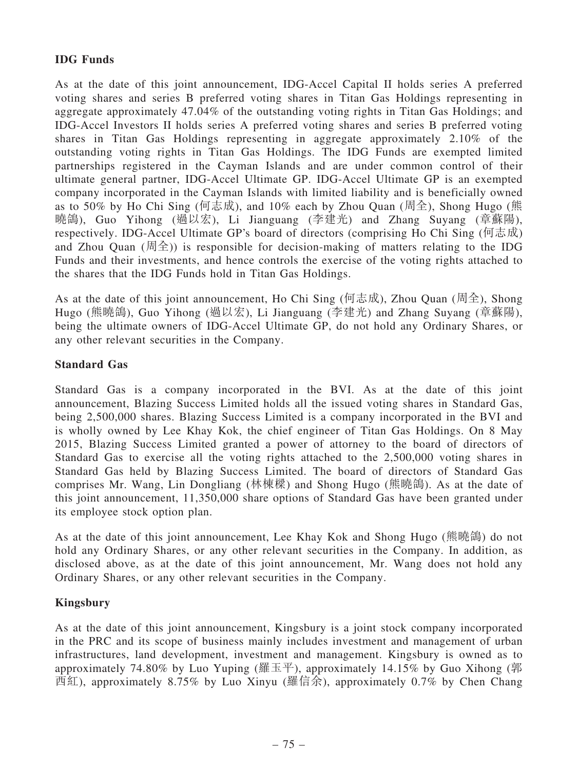# IDG Funds

As at the date of this joint announcement, IDG-Accel Capital II holds series A preferred voting shares and series B preferred voting shares in Titan Gas Holdings representing in aggregate approximately 47.04% of the outstanding voting rights in Titan Gas Holdings; and IDG-Accel Investors II holds series A preferred voting shares and series B preferred voting shares in Titan Gas Holdings representing in aggregate approximately 2.10% of the outstanding voting rights in Titan Gas Holdings. The IDG Funds are exempted limited partnerships registered in the Cayman Islands and are under common control of their ultimate general partner, IDG-Accel Ultimate GP. IDG-Accel Ultimate GP is an exempted company incorporated in the Cayman Islands with limited liability and is beneficially owned as to 50% by Ho Chi Sing (何志成), and 10% each by Zhou Quan (周全), Shong Hugo (熊 曉鴿), Guo Yihong (過以宏), Li Jianguang (李建光) and Zhang Suyang (章蘇陽), respectively. IDG-Accel Ultimate GP's board of directors (comprising Ho Chi Sing (何志成) and Zhou Quan (周全)) is responsible for decision-making of matters relating to the IDG Funds and their investments, and hence controls the exercise of the voting rights attached to the shares that the IDG Funds hold in Titan Gas Holdings.

As at the date of this joint announcement, Ho Chi Sing (何志成), Zhou Quan (周全), Shong Hugo (熊曉鴿), Guo Yihong (過以宏), Li Jianguang (李建光) and Zhang Suyang (章蘇陽), being the ultimate owners of IDG-Accel Ultimate GP, do not hold any Ordinary Shares, or any other relevant securities in the Company.

# Standard Gas

Standard Gas is a company incorporated in the BVI. As at the date of this joint announcement, Blazing Success Limited holds all the issued voting shares in Standard Gas, being 2,500,000 shares. Blazing Success Limited is a company incorporated in the BVI and is wholly owned by Lee Khay Kok, the chief engineer of Titan Gas Holdings. On 8 May 2015, Blazing Success Limited granted a power of attorney to the board of directors of Standard Gas to exercise all the voting rights attached to the 2,500,000 voting shares in Standard Gas held by Blazing Success Limited. The board of directors of Standard Gas comprises Mr. Wang, Lin Dongliang (林棟樑) and Shong Hugo (熊曉鴿). As at the date of this joint announcement, 11,350,000 share options of Standard Gas have been granted under its employee stock option plan.

As at the date of this joint announcement, Lee Khay Kok and Shong Hugo (熊曉鴿) do not hold any Ordinary Shares, or any other relevant securities in the Company. In addition, as disclosed above, as at the date of this joint announcement, Mr. Wang does not hold any Ordinary Shares, or any other relevant securities in the Company.

## Kingsbury

As at the date of this joint announcement, Kingsbury is a joint stock company incorporated in the PRC and its scope of business mainly includes investment and management of urban infrastructures, land development, investment and management. Kingsbury is owned as to approximately 74.80% by Luo Yuping (羅玉平), approximately 14.15% by Guo Xihong (郭 西紅), approximately 8.75% by Luo Xinyu (羅信余), approximately 0.7% by Chen Chang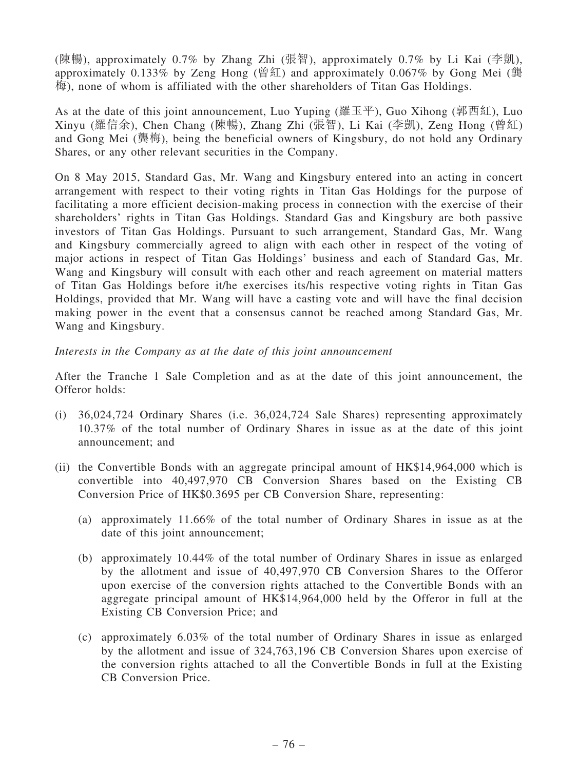(陳暢), approximately 0.7% by Zhang Zhi (張智), approximately 0.7% by Li Kai (李凱), approximately 0.133% by Zeng Hong (曾紅) and approximately 0.067% by Gong Mei (龔  $\overline{m}$ ), none of whom is affiliated with the other shareholders of Titan Gas Holdings.

As at the date of this joint announcement, Luo Yuping (羅玉平), Guo Xihong (郭西紅), Luo Xinyu (羅信余), Chen Chang (陳暢), Zhang Zhi (張智), Li Kai (李凱), Zeng Hong (曾紅) and Gong Mei (龔梅), being the beneficial owners of Kingsbury, do not hold any Ordinary Shares, or any other relevant securities in the Company.

On 8 May 2015, Standard Gas, Mr. Wang and Kingsbury entered into an acting in concert arrangement with respect to their voting rights in Titan Gas Holdings for the purpose of facilitating a more efficient decision-making process in connection with the exercise of their shareholders' rights in Titan Gas Holdings. Standard Gas and Kingsbury are both passive investors of Titan Gas Holdings. Pursuant to such arrangement, Standard Gas, Mr. Wang and Kingsbury commercially agreed to align with each other in respect of the voting of major actions in respect of Titan Gas Holdings' business and each of Standard Gas, Mr. Wang and Kingsbury will consult with each other and reach agreement on material matters of Titan Gas Holdings before it/he exercises its/his respective voting rights in Titan Gas Holdings, provided that Mr. Wang will have a casting vote and will have the final decision making power in the event that a consensus cannot be reached among Standard Gas, Mr. Wang and Kingsbury.

#### Interests in the Company as at the date of this joint announcement

After the Tranche 1 Sale Completion and as at the date of this joint announcement, the Offeror holds:

- (i) 36,024,724 Ordinary Shares (i.e. 36,024,724 Sale Shares) representing approximately 10.37% of the total number of Ordinary Shares in issue as at the date of this joint announcement; and
- (ii) the Convertible Bonds with an aggregate principal amount of HK\$14,964,000 which is convertible into 40,497,970 CB Conversion Shares based on the Existing CB Conversion Price of HK\$0.3695 per CB Conversion Share, representing:
	- (a) approximately 11.66% of the total number of Ordinary Shares in issue as at the date of this joint announcement;
	- (b) approximately 10.44% of the total number of Ordinary Shares in issue as enlarged by the allotment and issue of 40,497,970 CB Conversion Shares to the Offeror upon exercise of the conversion rights attached to the Convertible Bonds with an aggregate principal amount of HK\$14,964,000 held by the Offeror in full at the Existing CB Conversion Price; and
	- (c) approximately 6.03% of the total number of Ordinary Shares in issue as enlarged by the allotment and issue of 324,763,196 CB Conversion Shares upon exercise of the conversion rights attached to all the Convertible Bonds in full at the Existing CB Conversion Price.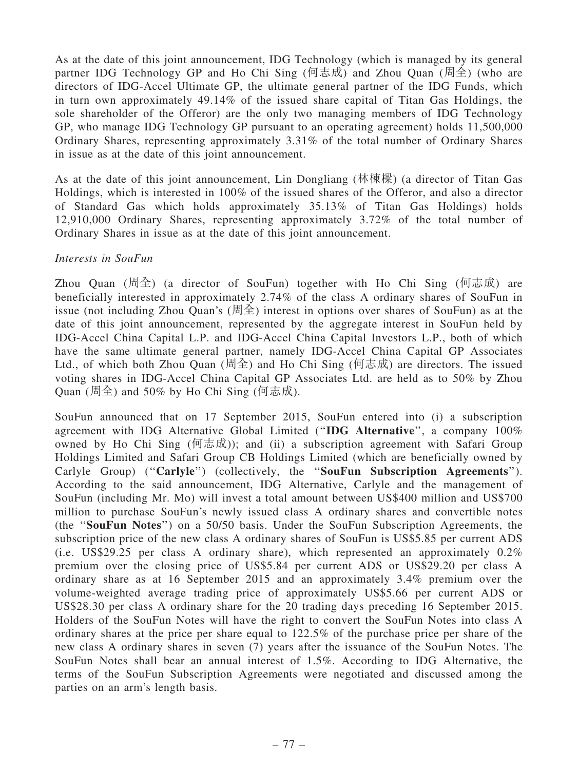As at the date of this joint announcement, IDG Technology (which is managed by its general partner IDG Technology GP and Ho Chi Sing (何志成) and Zhou Quan (周全) (who are directors of IDG-Accel Ultimate GP, the ultimate general partner of the IDG Funds, which in turn own approximately 49.14% of the issued share capital of Titan Gas Holdings, the sole shareholder of the Offeror) are the only two managing members of IDG Technology GP, who manage IDG Technology GP pursuant to an operating agreement) holds 11,500,000 Ordinary Shares, representing approximately 3.31% of the total number of Ordinary Shares in issue as at the date of this joint announcement.

As at the date of this joint announcement, Lin Dongliang (林棟樑) (a director of Titan Gas Holdings, which is interested in 100% of the issued shares of the Offeror, and also a director of Standard Gas which holds approximately 35.13% of Titan Gas Holdings) holds 12,910,000 Ordinary Shares, representing approximately 3.72% of the total number of Ordinary Shares in issue as at the date of this joint announcement.

#### Interests in SouFun

Zhou Quan (周全) (a director of SouFun) together with Ho Chi Sing (何志成) are beneficially interested in approximately 2.74% of the class A ordinary shares of SouFun in issue (not including Zhou Quan's (周全) interest in options over shares of SouFun) as at the date of this joint announcement, represented by the aggregate interest in SouFun held by IDG-Accel China Capital L.P. and IDG-Accel China Capital Investors L.P., both of which have the same ultimate general partner, namely IDG-Accel China Capital GP Associates Ltd., of which both Zhou Quan (周全) and Ho Chi Sing (何志成) are directors. The issued voting shares in IDG-Accel China Capital GP Associates Ltd. are held as to 50% by Zhou Quan (周全) and 50% by Ho Chi Sing (何志成).

SouFun announced that on 17 September 2015, SouFun entered into (i) a subscription agreement with IDG Alternative Global Limited (''IDG Alternative'', a company 100% owned by Ho Chi Sing (何志成)); and (ii) a subscription agreement with Safari Group Holdings Limited and Safari Group CB Holdings Limited (which are beneficially owned by Carlyle Group) ("Carlyle") (collectively, the "SouFun Subscription Agreements"). According to the said announcement, IDG Alternative, Carlyle and the management of SouFun (including Mr. Mo) will invest a total amount between US\$400 million and US\$700 million to purchase SouFun's newly issued class A ordinary shares and convertible notes (the ''SouFun Notes'') on a 50/50 basis. Under the SouFun Subscription Agreements, the subscription price of the new class A ordinary shares of SouFun is US\$5.85 per current ADS (i.e. US\$29.25 per class A ordinary share), which represented an approximately 0.2% premium over the closing price of US\$5.84 per current ADS or US\$29.20 per class A ordinary share as at 16 September 2015 and an approximately 3.4% premium over the volume-weighted average trading price of approximately US\$5.66 per current ADS or US\$28.30 per class A ordinary share for the 20 trading days preceding 16 September 2015. Holders of the SouFun Notes will have the right to convert the SouFun Notes into class A ordinary shares at the price per share equal to 122.5% of the purchase price per share of the new class A ordinary shares in seven (7) years after the issuance of the SouFun Notes. The SouFun Notes shall bear an annual interest of 1.5%. According to IDG Alternative, the terms of the SouFun Subscription Agreements were negotiated and discussed among the parties on an arm's length basis.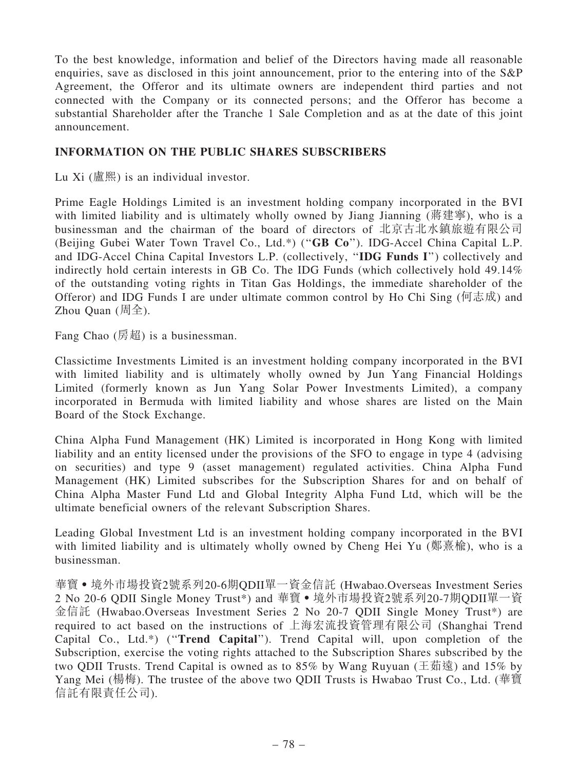To the best knowledge, information and belief of the Directors having made all reasonable enquiries, save as disclosed in this joint announcement, prior to the entering into of the S&P Agreement, the Offeror and its ultimate owners are independent third parties and not connected with the Company or its connected persons; and the Offeror has become a substantial Shareholder after the Tranche 1 Sale Completion and as at the date of this joint announcement.

### INFORMATION ON THE PUBLIC SHARES SUBSCRIBERS

Lu  $Xi$  (盧熙) is an individual investor.

Prime Eagle Holdings Limited is an investment holding company incorporated in the BVI with limited liability and is ultimately wholly owned by Jiang Jianning (蔣建寧), who is a businessman and the chairman of the board of directors of 北京古北水鎮旅遊有限公司 (Beijing Gubei Water Town Travel Co., Ltd.\*) (''GB Co''). IDG-Accel China Capital L.P. and IDG-Accel China Capital Investors L.P. (collectively, ''IDG Funds I'') collectively and indirectly hold certain interests in GB Co. The IDG Funds (which collectively hold 49.14% of the outstanding voting rights in Titan Gas Holdings, the immediate shareholder of the Offeror) and IDG Funds I are under ultimate common control by Ho Chi Sing (何志成) and Zhou Quan (周全).

Fang Chao (房超) is a businessman.

Classictime Investments Limited is an investment holding company incorporated in the BVI with limited liability and is ultimately wholly owned by Jun Yang Financial Holdings Limited (formerly known as Jun Yang Solar Power Investments Limited), a company incorporated in Bermuda with limited liability and whose shares are listed on the Main Board of the Stock Exchange.

China Alpha Fund Management (HK) Limited is incorporated in Hong Kong with limited liability and an entity licensed under the provisions of the SFO to engage in type 4 (advising on securities) and type 9 (asset management) regulated activities. China Alpha Fund Management (HK) Limited subscribes for the Subscription Shares for and on behalf of China Alpha Master Fund Ltd and Global Integrity Alpha Fund Ltd, which will be the ultimate beneficial owners of the relevant Subscription Shares.

Leading Global Investment Ltd is an investment holding company incorporated in the BVI with limited liability and is ultimately wholly owned by Cheng Hei Yu (鄭熹楡), who is a businessman.

華寶•境外市場投資2號系列20-6期QDII單一資金信託 (Hwabao.Overseas Investment Series 2 No 20-6 QDII Single Money Trust\*) and 華寶 • 境外市場投資2號系列20-7期QDII單一資 金信託 (Hwabao.Overseas Investment Series 2 No 20-7 QDII Single Money Trust\*) are required to act based on the instructions of 上海宏流投資管理有限公司 (Shanghai Trend Capital Co., Ltd.\*) (''Trend Capital''). Trend Capital will, upon completion of the Subscription, exercise the voting rights attached to the Subscription Shares subscribed by the two QDII Trusts. Trend Capital is owned as to 85% by Wang Ruyuan (王茹遠) and 15% by Yang Mei (楊梅). The trustee of the above two QDII Trusts is Hwabao Trust Co., Ltd. (華寶 信託有限責任公司).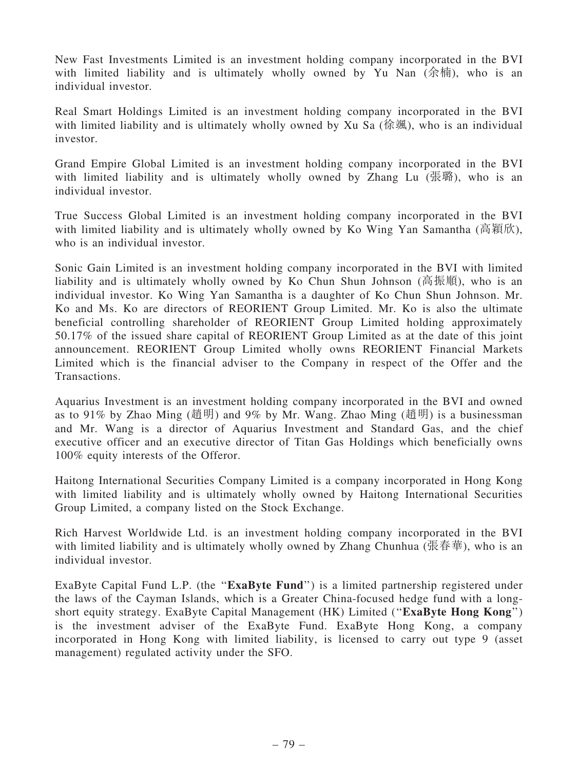New Fast Investments Limited is an investment holding company incorporated in the BVI with limited liability and is ultimately wholly owned by Yu Nan (余楠), who is an individual investor.

Real Smart Holdings Limited is an investment holding company incorporated in the BVI with limited liability and is ultimately wholly owned by Xu Sa (徐颯), who is an individual investor.

Grand Empire Global Limited is an investment holding company incorporated in the BVI with limited liability and is ultimately wholly owned by Zhang Lu (張璐), who is an individual investor.

True Success Global Limited is an investment holding company incorporated in the BVI with limited liability and is ultimately wholly owned by Ko Wing Yan Samantha (高穎欣), who is an individual investor.

Sonic Gain Limited is an investment holding company incorporated in the BVI with limited liability and is ultimately wholly owned by Ko Chun Shun Johnson (高振順), who is an individual investor. Ko Wing Yan Samantha is a daughter of Ko Chun Shun Johnson. Mr. Ko and Ms. Ko are directors of REORIENT Group Limited. Mr. Ko is also the ultimate beneficial controlling shareholder of REORIENT Group Limited holding approximately 50.17% of the issued share capital of REORIENT Group Limited as at the date of this joint announcement. REORIENT Group Limited wholly owns REORIENT Financial Markets Limited which is the financial adviser to the Company in respect of the Offer and the Transactions.

Aquarius Investment is an investment holding company incorporated in the BVI and owned as to 91% by Zhao Ming (趙明) and 9% by Mr. Wang. Zhao Ming (趙明) is a businessman and Mr. Wang is a director of Aquarius Investment and Standard Gas, and the chief executive officer and an executive director of Titan Gas Holdings which beneficially owns 100% equity interests of the Offeror.

Haitong International Securities Company Limited is a company incorporated in Hong Kong with limited liability and is ultimately wholly owned by Haitong International Securities Group Limited, a company listed on the Stock Exchange.

Rich Harvest Worldwide Ltd. is an investment holding company incorporated in the BVI with limited liability and is ultimately wholly owned by Zhang Chunhua (張春華), who is an individual investor.

ExaByte Capital Fund L.P. (the "ExaByte Fund") is a limited partnership registered under the laws of the Cayman Islands, which is a Greater China-focused hedge fund with a longshort equity strategy. ExaByte Capital Management (HK) Limited ("ExaByte Hong Kong") is the investment adviser of the ExaByte Fund. ExaByte Hong Kong, a company incorporated in Hong Kong with limited liability, is licensed to carry out type 9 (asset management) regulated activity under the SFO.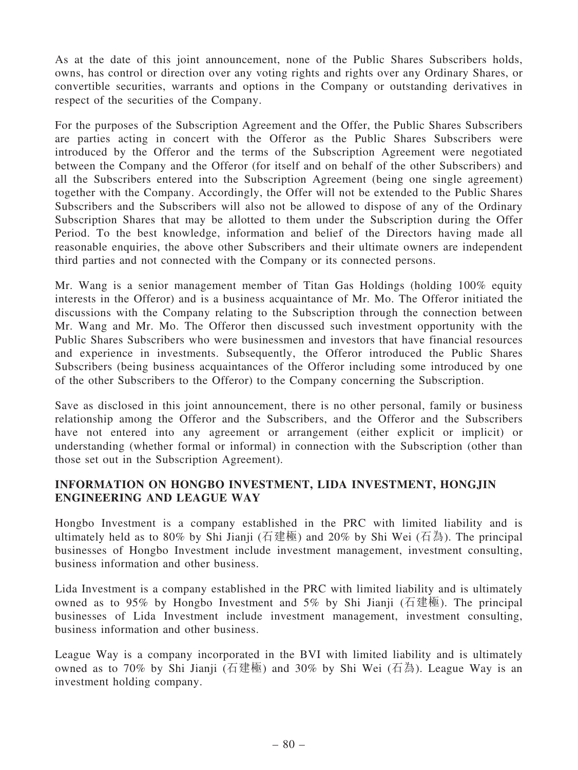As at the date of this joint announcement, none of the Public Shares Subscribers holds, owns, has control or direction over any voting rights and rights over any Ordinary Shares, or convertible securities, warrants and options in the Company or outstanding derivatives in respect of the securities of the Company.

For the purposes of the Subscription Agreement and the Offer, the Public Shares Subscribers are parties acting in concert with the Offeror as the Public Shares Subscribers were introduced by the Offeror and the terms of the Subscription Agreement were negotiated between the Company and the Offeror (for itself and on behalf of the other Subscribers) and all the Subscribers entered into the Subscription Agreement (being one single agreement) together with the Company. Accordingly, the Offer will not be extended to the Public Shares Subscribers and the Subscribers will also not be allowed to dispose of any of the Ordinary Subscription Shares that may be allotted to them under the Subscription during the Offer Period. To the best knowledge, information and belief of the Directors having made all reasonable enquiries, the above other Subscribers and their ultimate owners are independent third parties and not connected with the Company or its connected persons.

Mr. Wang is a senior management member of Titan Gas Holdings (holding 100% equity interests in the Offeror) and is a business acquaintance of Mr. Mo. The Offeror initiated the discussions with the Company relating to the Subscription through the connection between Mr. Wang and Mr. Mo. The Offeror then discussed such investment opportunity with the Public Shares Subscribers who were businessmen and investors that have financial resources and experience in investments. Subsequently, the Offeror introduced the Public Shares Subscribers (being business acquaintances of the Offeror including some introduced by one of the other Subscribers to the Offeror) to the Company concerning the Subscription.

Save as disclosed in this joint announcement, there is no other personal, family or business relationship among the Offeror and the Subscribers, and the Offeror and the Subscribers have not entered into any agreement or arrangement (either explicit or implicit) or understanding (whether formal or informal) in connection with the Subscription (other than those set out in the Subscription Agreement).

### INFORMATION ON HONGBO INVESTMENT, LIDA INVESTMENT, HONGJIN ENGINEERING AND LEAGUE WAY

Hongbo Investment is a company established in the PRC with limited liability and is ultimately held as to 80% by Shi Jianji (石建極) and 20% by Shi Wei (石為). The principal businesses of Hongbo Investment include investment management, investment consulting, business information and other business.

Lida Investment is a company established in the PRC with limited liability and is ultimately owned as to 95% by Hongbo Investment and 5% by Shi Jianji (石建極). The principal businesses of Lida Investment include investment management, investment consulting, business information and other business.

League Way is a company incorporated in the BVI with limited liability and is ultimately owned as to 70% by Shi Jianji (石建極) and 30% by Shi Wei (石為). League Way is an investment holding company.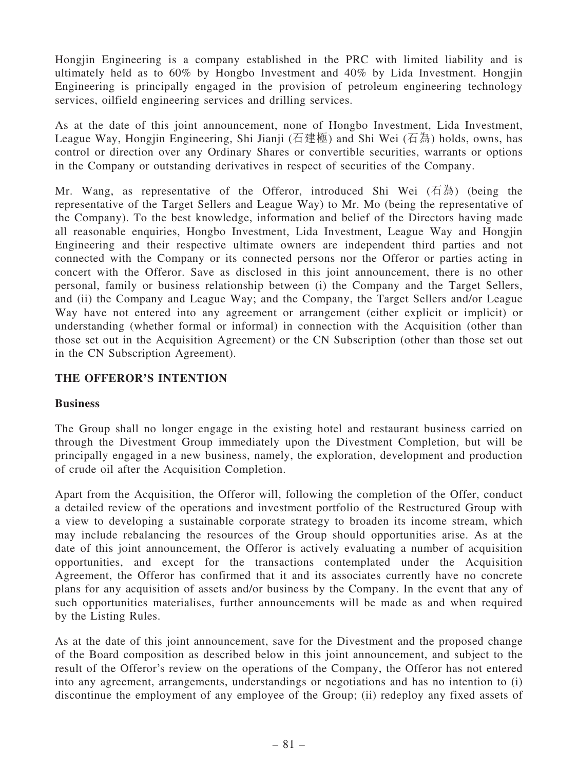Hongjin Engineering is a company established in the PRC with limited liability and is ultimately held as to 60% by Hongbo Investment and 40% by Lida Investment. Hongjin Engineering is principally engaged in the provision of petroleum engineering technology services, oilfield engineering services and drilling services.

As at the date of this joint announcement, none of Hongbo Investment, Lida Investment, League Way, Hongjin Engineering, Shi Jianji (石建極) and Shi Wei (石為) holds, owns, has control or direction over any Ordinary Shares or convertible securities, warrants or options in the Company or outstanding derivatives in respect of securities of the Company.

Mr. Wang, as representative of the Offeror, introduced Shi Wei  $(1\overline{A})$  (being the representative of the Target Sellers and League Way) to Mr. Mo (being the representative of the Company). To the best knowledge, information and belief of the Directors having made all reasonable enquiries, Hongbo Investment, Lida Investment, League Way and Hongjin Engineering and their respective ultimate owners are independent third parties and not connected with the Company or its connected persons nor the Offeror or parties acting in concert with the Offeror. Save as disclosed in this joint announcement, there is no other personal, family or business relationship between (i) the Company and the Target Sellers, and (ii) the Company and League Way; and the Company, the Target Sellers and/or League Way have not entered into any agreement or arrangement (either explicit or implicit) or understanding (whether formal or informal) in connection with the Acquisition (other than those set out in the Acquisition Agreement) or the CN Subscription (other than those set out in the CN Subscription Agreement).

### THE OFFEROR'S INTENTION

#### Business

The Group shall no longer engage in the existing hotel and restaurant business carried on through the Divestment Group immediately upon the Divestment Completion, but will be principally engaged in a new business, namely, the exploration, development and production of crude oil after the Acquisition Completion.

Apart from the Acquisition, the Offeror will, following the completion of the Offer, conduct a detailed review of the operations and investment portfolio of the Restructured Group with a view to developing a sustainable corporate strategy to broaden its income stream, which may include rebalancing the resources of the Group should opportunities arise. As at the date of this joint announcement, the Offeror is actively evaluating a number of acquisition opportunities, and except for the transactions contemplated under the Acquisition Agreement, the Offeror has confirmed that it and its associates currently have no concrete plans for any acquisition of assets and/or business by the Company. In the event that any of such opportunities materialises, further announcements will be made as and when required by the Listing Rules.

As at the date of this joint announcement, save for the Divestment and the proposed change of the Board composition as described below in this joint announcement, and subject to the result of the Offeror's review on the operations of the Company, the Offeror has not entered into any agreement, arrangements, understandings or negotiations and has no intention to (i) discontinue the employment of any employee of the Group; (ii) redeploy any fixed assets of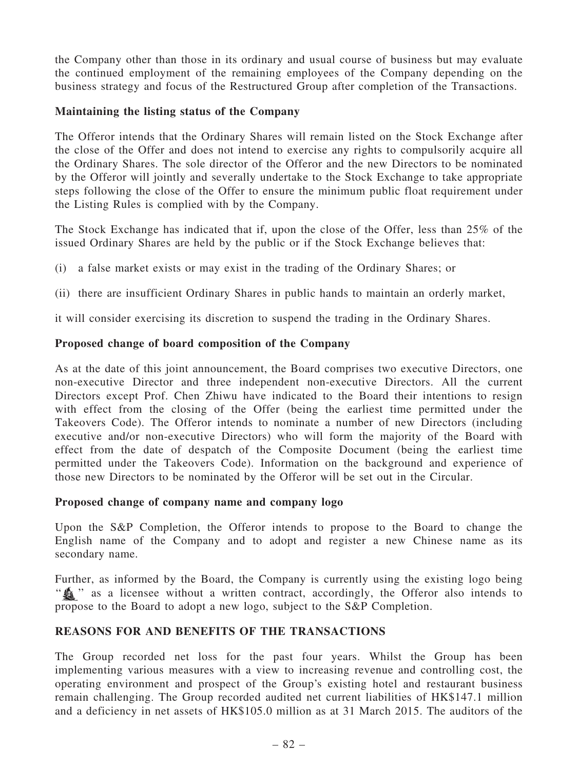the Company other than those in its ordinary and usual course of business but may evaluate the continued employment of the remaining employees of the Company depending on the business strategy and focus of the Restructured Group after completion of the Transactions.

### Maintaining the listing status of the Company

The Offeror intends that the Ordinary Shares will remain listed on the Stock Exchange after the close of the Offer and does not intend to exercise any rights to compulsorily acquire all the Ordinary Shares. The sole director of the Offeror and the new Directors to be nominated by the Offeror will jointly and severally undertake to the Stock Exchange to take appropriate steps following the close of the Offer to ensure the minimum public float requirement under the Listing Rules is complied with by the Company.

The Stock Exchange has indicated that if, upon the close of the Offer, less than 25% of the issued Ordinary Shares are held by the public or if the Stock Exchange believes that:

- (i) a false market exists or may exist in the trading of the Ordinary Shares; or
- (ii) there are insufficient Ordinary Shares in public hands to maintain an orderly market,

it will consider exercising its discretion to suspend the trading in the Ordinary Shares.

## Proposed change of board composition of the Company

As at the date of this joint announcement, the Board comprises two executive Directors, one non-executive Director and three independent non-executive Directors. All the current Directors except Prof. Chen Zhiwu have indicated to the Board their intentions to resign with effect from the closing of the Offer (being the earliest time permitted under the Takeovers Code). The Offeror intends to nominate a number of new Directors (including executive and/or non-executive Directors) who will form the majority of the Board with effect from the date of despatch of the Composite Document (being the earliest time permitted under the Takeovers Code). Information on the background and experience of those new Directors to be nominated by the Offeror will be set out in the Circular.

## Proposed change of company name and company logo

Upon the S&P Completion, the Offeror intends to propose to the Board to change the English name of the Company and to adopt and register a new Chinese name as its secondary name.

Further, as informed by the Board, the Company is currently using the existing logo being " $\mathcal{L}$ " as a licensee without a written contract, accordingly, the Offeror also intends to propose to the Board to adopt a new logo, subject to the S&P Completion.

# REASONS FOR AND BENEFITS OF THE TRANSACTIONS

The Group recorded net loss for the past four years. Whilst the Group has been implementing various measures with a view to increasing revenue and controlling cost, the operating environment and prospect of the Group's existing hotel and restaurant business remain challenging. The Group recorded audited net current liabilities of HK\$147.1 million and a deficiency in net assets of HK\$105.0 million as at 31 March 2015. The auditors of the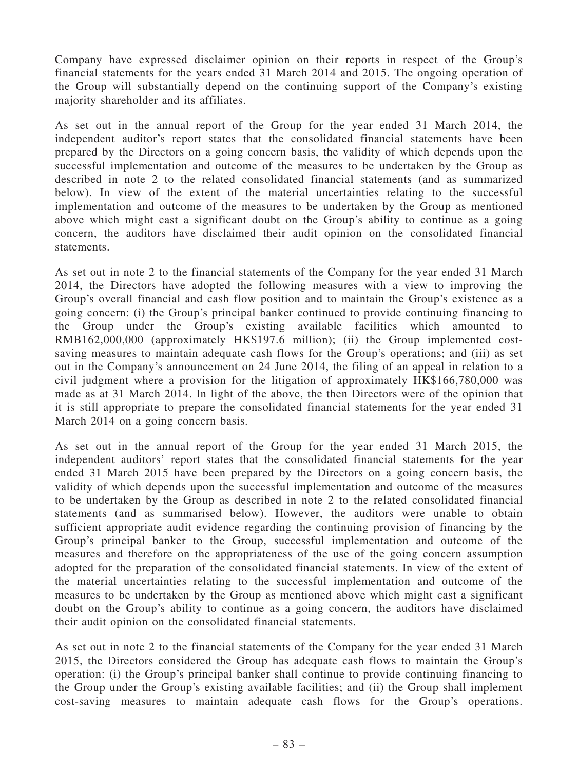Company have expressed disclaimer opinion on their reports in respect of the Group's financial statements for the years ended 31 March 2014 and 2015. The ongoing operation of the Group will substantially depend on the continuing support of the Company's existing majority shareholder and its affiliates.

As set out in the annual report of the Group for the year ended 31 March 2014, the independent auditor's report states that the consolidated financial statements have been prepared by the Directors on a going concern basis, the validity of which depends upon the successful implementation and outcome of the measures to be undertaken by the Group as described in note 2 to the related consolidated financial statements (and as summarized below). In view of the extent of the material uncertainties relating to the successful implementation and outcome of the measures to be undertaken by the Group as mentioned above which might cast a significant doubt on the Group's ability to continue as a going concern, the auditors have disclaimed their audit opinion on the consolidated financial statements.

As set out in note 2 to the financial statements of the Company for the year ended 31 March 2014, the Directors have adopted the following measures with a view to improving the Group's overall financial and cash flow position and to maintain the Group's existence as a going concern: (i) the Group's principal banker continued to provide continuing financing to the Group under the Group's existing available facilities which amounted to RMB162,000,000 (approximately HK\$197.6 million); (ii) the Group implemented costsaving measures to maintain adequate cash flows for the Group's operations; and (iii) as set out in the Company's announcement on 24 June 2014, the filing of an appeal in relation to a civil judgment where a provision for the litigation of approximately HK\$166,780,000 was made as at 31 March 2014. In light of the above, the then Directors were of the opinion that it is still appropriate to prepare the consolidated financial statements for the year ended 31 March 2014 on a going concern basis.

As set out in the annual report of the Group for the year ended 31 March 2015, the independent auditors' report states that the consolidated financial statements for the year ended 31 March 2015 have been prepared by the Directors on a going concern basis, the validity of which depends upon the successful implementation and outcome of the measures to be undertaken by the Group as described in note 2 to the related consolidated financial statements (and as summarised below). However, the auditors were unable to obtain sufficient appropriate audit evidence regarding the continuing provision of financing by the Group's principal banker to the Group, successful implementation and outcome of the measures and therefore on the appropriateness of the use of the going concern assumption adopted for the preparation of the consolidated financial statements. In view of the extent of the material uncertainties relating to the successful implementation and outcome of the measures to be undertaken by the Group as mentioned above which might cast a significant doubt on the Group's ability to continue as a going concern, the auditors have disclaimed their audit opinion on the consolidated financial statements.

As set out in note 2 to the financial statements of the Company for the year ended 31 March 2015, the Directors considered the Group has adequate cash flows to maintain the Group's operation: (i) the Group's principal banker shall continue to provide continuing financing to the Group under the Group's existing available facilities; and (ii) the Group shall implement cost-saving measures to maintain adequate cash flows for the Group's operations.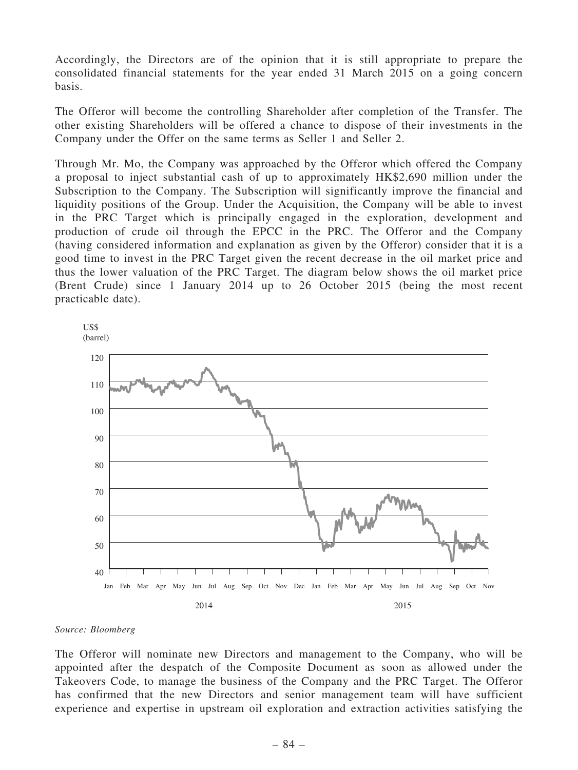Accordingly, the Directors are of the opinion that it is still appropriate to prepare the consolidated financial statements for the year ended 31 March 2015 on a going concern basis.

The Offeror will become the controlling Shareholder after completion of the Transfer. The other existing Shareholders will be offered a chance to dispose of their investments in the Company under the Offer on the same terms as Seller 1 and Seller 2.

Through Mr. Mo, the Company was approached by the Offeror which offered the Company a proposal to inject substantial cash of up to approximately HK\$2,690 million under the Subscription to the Company. The Subscription will significantly improve the financial and liquidity positions of the Group. Under the Acquisition, the Company will be able to invest in the PRC Target which is principally engaged in the exploration, development and production of crude oil through the EPCC in the PRC. The Offeror and the Company (having considered information and explanation as given by the Offeror) consider that it is a good time to invest in the PRC Target given the recent decrease in the oil market price and thus the lower valuation of the PRC Target. The diagram below shows the oil market price (Brent Crude) since 1 January 2014 up to 26 October 2015 (being the most recent practicable date).





The Offeror will nominate new Directors and management to the Company, who will be appointed after the despatch of the Composite Document as soon as allowed under the Takeovers Code, to manage the business of the Company and the PRC Target. The Offeror has confirmed that the new Directors and senior management team will have sufficient experience and expertise in upstream oil exploration and extraction activities satisfying the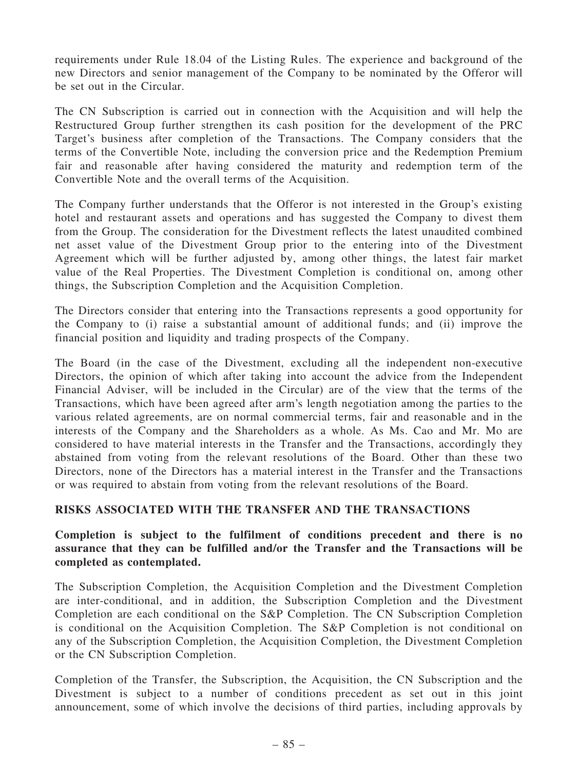requirements under Rule 18.04 of the Listing Rules. The experience and background of the new Directors and senior management of the Company to be nominated by the Offeror will be set out in the Circular.

The CN Subscription is carried out in connection with the Acquisition and will help the Restructured Group further strengthen its cash position for the development of the PRC Target's business after completion of the Transactions. The Company considers that the terms of the Convertible Note, including the conversion price and the Redemption Premium fair and reasonable after having considered the maturity and redemption term of the Convertible Note and the overall terms of the Acquisition.

The Company further understands that the Offeror is not interested in the Group's existing hotel and restaurant assets and operations and has suggested the Company to divest them from the Group. The consideration for the Divestment reflects the latest unaudited combined net asset value of the Divestment Group prior to the entering into of the Divestment Agreement which will be further adjusted by, among other things, the latest fair market value of the Real Properties. The Divestment Completion is conditional on, among other things, the Subscription Completion and the Acquisition Completion.

The Directors consider that entering into the Transactions represents a good opportunity for the Company to (i) raise a substantial amount of additional funds; and (ii) improve the financial position and liquidity and trading prospects of the Company.

The Board (in the case of the Divestment, excluding all the independent non-executive Directors, the opinion of which after taking into account the advice from the Independent Financial Adviser, will be included in the Circular) are of the view that the terms of the Transactions, which have been agreed after arm's length negotiation among the parties to the various related agreements, are on normal commercial terms, fair and reasonable and in the interests of the Company and the Shareholders as a whole. As Ms. Cao and Mr. Mo are considered to have material interests in the Transfer and the Transactions, accordingly they abstained from voting from the relevant resolutions of the Board. Other than these two Directors, none of the Directors has a material interest in the Transfer and the Transactions or was required to abstain from voting from the relevant resolutions of the Board.

## RISKS ASSOCIATED WITH THE TRANSFER AND THE TRANSACTIONS

### Completion is subject to the fulfilment of conditions precedent and there is no assurance that they can be fulfilled and/or the Transfer and the Transactions will be completed as contemplated.

The Subscription Completion, the Acquisition Completion and the Divestment Completion are inter-conditional, and in addition, the Subscription Completion and the Divestment Completion are each conditional on the S&P Completion. The CN Subscription Completion is conditional on the Acquisition Completion. The S&P Completion is not conditional on any of the Subscription Completion, the Acquisition Completion, the Divestment Completion or the CN Subscription Completion.

Completion of the Transfer, the Subscription, the Acquisition, the CN Subscription and the Divestment is subject to a number of conditions precedent as set out in this joint announcement, some of which involve the decisions of third parties, including approvals by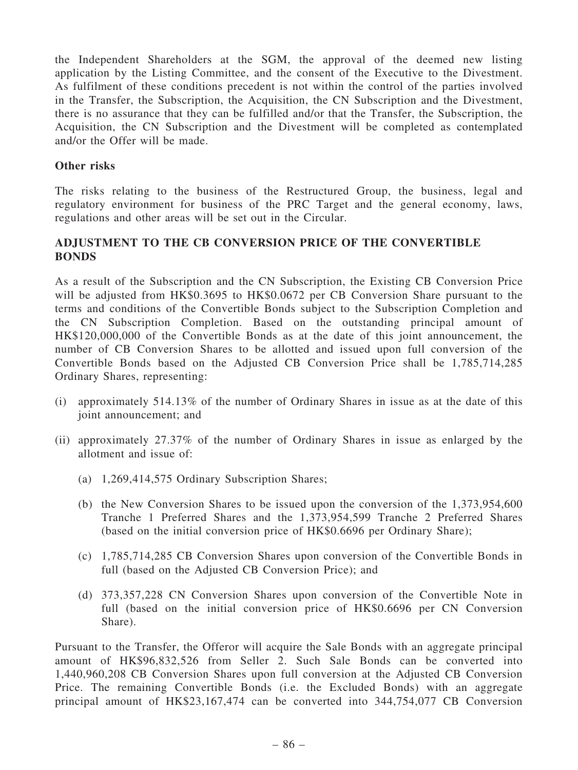the Independent Shareholders at the SGM, the approval of the deemed new listing application by the Listing Committee, and the consent of the Executive to the Divestment. As fulfilment of these conditions precedent is not within the control of the parties involved in the Transfer, the Subscription, the Acquisition, the CN Subscription and the Divestment, there is no assurance that they can be fulfilled and/or that the Transfer, the Subscription, the Acquisition, the CN Subscription and the Divestment will be completed as contemplated and/or the Offer will be made.

#### Other risks

The risks relating to the business of the Restructured Group, the business, legal and regulatory environment for business of the PRC Target and the general economy, laws, regulations and other areas will be set out in the Circular.

# ADJUSTMENT TO THE CB CONVERSION PRICE OF THE CONVERTIBLE BONDS

As a result of the Subscription and the CN Subscription, the Existing CB Conversion Price will be adjusted from HK\$0.3695 to HK\$0.0672 per CB Conversion Share pursuant to the terms and conditions of the Convertible Bonds subject to the Subscription Completion and the CN Subscription Completion. Based on the outstanding principal amount of HK\$120,000,000 of the Convertible Bonds as at the date of this joint announcement, the number of CB Conversion Shares to be allotted and issued upon full conversion of the Convertible Bonds based on the Adjusted CB Conversion Price shall be 1,785,714,285 Ordinary Shares, representing:

- (i) approximately 514.13% of the number of Ordinary Shares in issue as at the date of this joint announcement; and
- (ii) approximately 27.37% of the number of Ordinary Shares in issue as enlarged by the allotment and issue of:
	- (a) 1,269,414,575 Ordinary Subscription Shares;
	- (b) the New Conversion Shares to be issued upon the conversion of the 1,373,954,600 Tranche 1 Preferred Shares and the 1,373,954,599 Tranche 2 Preferred Shares (based on the initial conversion price of HK\$0.6696 per Ordinary Share);
	- (c) 1,785,714,285 CB Conversion Shares upon conversion of the Convertible Bonds in full (based on the Adjusted CB Conversion Price); and
	- (d) 373,357,228 CN Conversion Shares upon conversion of the Convertible Note in full (based on the initial conversion price of HK\$0.6696 per CN Conversion Share).

Pursuant to the Transfer, the Offeror will acquire the Sale Bonds with an aggregate principal amount of HK\$96,832,526 from Seller 2. Such Sale Bonds can be converted into 1,440,960,208 CB Conversion Shares upon full conversion at the Adjusted CB Conversion Price. The remaining Convertible Bonds (i.e. the Excluded Bonds) with an aggregate principal amount of HK\$23,167,474 can be converted into 344,754,077 CB Conversion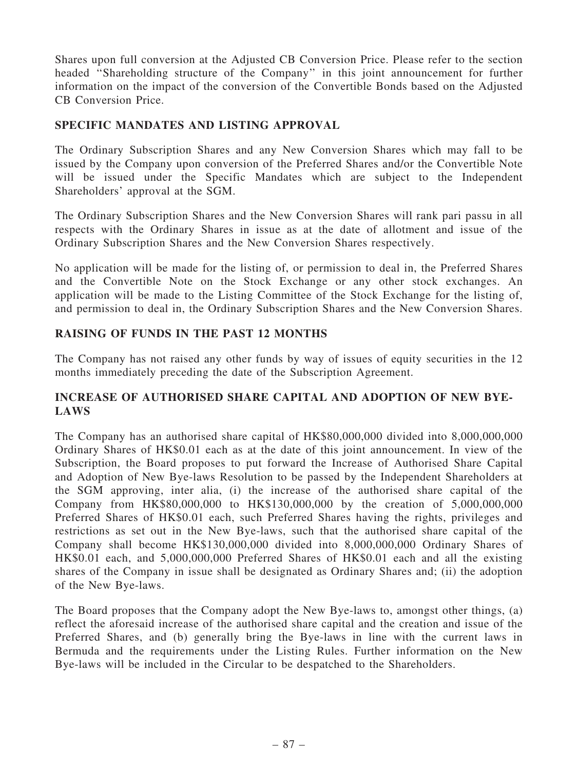Shares upon full conversion at the Adjusted CB Conversion Price. Please refer to the section headed ''Shareholding structure of the Company'' in this joint announcement for further information on the impact of the conversion of the Convertible Bonds based on the Adjusted CB Conversion Price.

### SPECIFIC MANDATES AND LISTING APPROVAL

The Ordinary Subscription Shares and any New Conversion Shares which may fall to be issued by the Company upon conversion of the Preferred Shares and/or the Convertible Note will be issued under the Specific Mandates which are subject to the Independent Shareholders' approval at the SGM.

The Ordinary Subscription Shares and the New Conversion Shares will rank pari passu in all respects with the Ordinary Shares in issue as at the date of allotment and issue of the Ordinary Subscription Shares and the New Conversion Shares respectively.

No application will be made for the listing of, or permission to deal in, the Preferred Shares and the Convertible Note on the Stock Exchange or any other stock exchanges. An application will be made to the Listing Committee of the Stock Exchange for the listing of, and permission to deal in, the Ordinary Subscription Shares and the New Conversion Shares.

### RAISING OF FUNDS IN THE PAST 12 MONTHS

The Company has not raised any other funds by way of issues of equity securities in the 12 months immediately preceding the date of the Subscription Agreement.

### INCREASE OF AUTHORISED SHARE CAPITAL AND ADOPTION OF NEW BYE-LAWS

The Company has an authorised share capital of HK\$80,000,000 divided into 8,000,000,000 Ordinary Shares of HK\$0.01 each as at the date of this joint announcement. In view of the Subscription, the Board proposes to put forward the Increase of Authorised Share Capital and Adoption of New Bye-laws Resolution to be passed by the Independent Shareholders at the SGM approving, inter alia, (i) the increase of the authorised share capital of the Company from HK\$80,000,000 to HK\$130,000,000 by the creation of 5,000,000,000 Preferred Shares of HK\$0.01 each, such Preferred Shares having the rights, privileges and restrictions as set out in the New Bye-laws, such that the authorised share capital of the Company shall become HK\$130,000,000 divided into 8,000,000,000 Ordinary Shares of HK\$0.01 each, and 5,000,000,000 Preferred Shares of HK\$0.01 each and all the existing shares of the Company in issue shall be designated as Ordinary Shares and; (ii) the adoption of the New Bye-laws.

The Board proposes that the Company adopt the New Bye-laws to, amongst other things, (a) reflect the aforesaid increase of the authorised share capital and the creation and issue of the Preferred Shares, and (b) generally bring the Bye-laws in line with the current laws in Bermuda and the requirements under the Listing Rules. Further information on the New Bye-laws will be included in the Circular to be despatched to the Shareholders.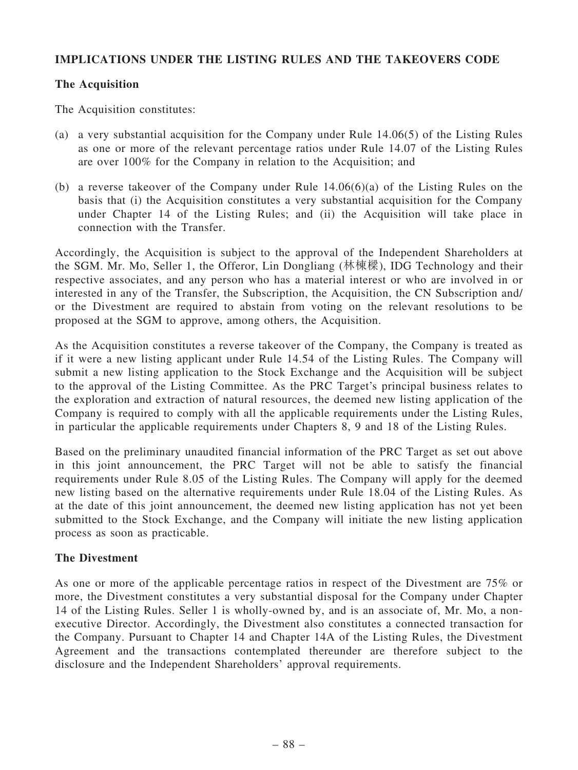## IMPLICATIONS UNDER THE LISTING RULES AND THE TAKEOVERS CODE

### The Acquisition

The Acquisition constitutes:

- (a) a very substantial acquisition for the Company under Rule 14.06(5) of the Listing Rules as one or more of the relevant percentage ratios under Rule 14.07 of the Listing Rules are over 100% for the Company in relation to the Acquisition; and
- (b) a reverse takeover of the Company under Rule 14.06(6)(a) of the Listing Rules on the basis that (i) the Acquisition constitutes a very substantial acquisition for the Company under Chapter 14 of the Listing Rules; and (ii) the Acquisition will take place in connection with the Transfer.

Accordingly, the Acquisition is subject to the approval of the Independent Shareholders at the SGM. Mr. Mo, Seller 1, the Offeror, Lin Dongliang (林棟樑), IDG Technology and their respective associates, and any person who has a material interest or who are involved in or interested in any of the Transfer, the Subscription, the Acquisition, the CN Subscription and/ or the Divestment are required to abstain from voting on the relevant resolutions to be proposed at the SGM to approve, among others, the Acquisition.

As the Acquisition constitutes a reverse takeover of the Company, the Company is treated as if it were a new listing applicant under Rule 14.54 of the Listing Rules. The Company will submit a new listing application to the Stock Exchange and the Acquisition will be subject to the approval of the Listing Committee. As the PRC Target's principal business relates to the exploration and extraction of natural resources, the deemed new listing application of the Company is required to comply with all the applicable requirements under the Listing Rules, in particular the applicable requirements under Chapters 8, 9 and 18 of the Listing Rules.

Based on the preliminary unaudited financial information of the PRC Target as set out above in this joint announcement, the PRC Target will not be able to satisfy the financial requirements under Rule 8.05 of the Listing Rules. The Company will apply for the deemed new listing based on the alternative requirements under Rule 18.04 of the Listing Rules. As at the date of this joint announcement, the deemed new listing application has not yet been submitted to the Stock Exchange, and the Company will initiate the new listing application process as soon as practicable.

## The Divestment

As one or more of the applicable percentage ratios in respect of the Divestment are 75% or more, the Divestment constitutes a very substantial disposal for the Company under Chapter 14 of the Listing Rules. Seller 1 is wholly-owned by, and is an associate of, Mr. Mo, a nonexecutive Director. Accordingly, the Divestment also constitutes a connected transaction for the Company. Pursuant to Chapter 14 and Chapter 14A of the Listing Rules, the Divestment Agreement and the transactions contemplated thereunder are therefore subject to the disclosure and the Independent Shareholders' approval requirements.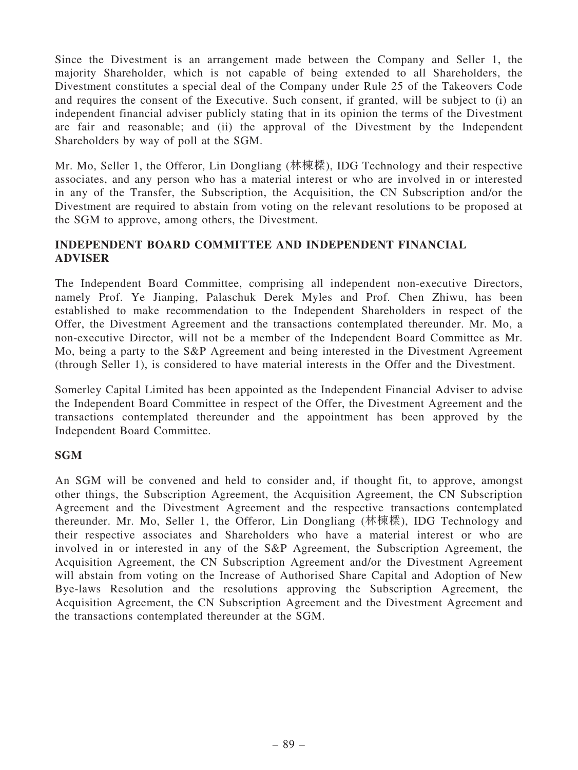Since the Divestment is an arrangement made between the Company and Seller 1, the majority Shareholder, which is not capable of being extended to all Shareholders, the Divestment constitutes a special deal of the Company under Rule 25 of the Takeovers Code and requires the consent of the Executive. Such consent, if granted, will be subject to (i) an independent financial adviser publicly stating that in its opinion the terms of the Divestment are fair and reasonable; and (ii) the approval of the Divestment by the Independent Shareholders by way of poll at the SGM.

Mr. Mo, Seller 1, the Offeror, Lin Dongliang (林棟樑), IDG Technology and their respective associates, and any person who has a material interest or who are involved in or interested in any of the Transfer, the Subscription, the Acquisition, the CN Subscription and/or the Divestment are required to abstain from voting on the relevant resolutions to be proposed at the SGM to approve, among others, the Divestment.

# INDEPENDENT BOARD COMMITTEE AND INDEPENDENT FINANCIAL ADVISER

The Independent Board Committee, comprising all independent non-executive Directors, namely Prof. Ye Jianping, Palaschuk Derek Myles and Prof. Chen Zhiwu, has been established to make recommendation to the Independent Shareholders in respect of the Offer, the Divestment Agreement and the transactions contemplated thereunder. Mr. Mo, a non-executive Director, will not be a member of the Independent Board Committee as Mr. Mo, being a party to the S&P Agreement and being interested in the Divestment Agreement (through Seller 1), is considered to have material interests in the Offer and the Divestment.

Somerley Capital Limited has been appointed as the Independent Financial Adviser to advise the Independent Board Committee in respect of the Offer, the Divestment Agreement and the transactions contemplated thereunder and the appointment has been approved by the Independent Board Committee.

## **SGM**

An SGM will be convened and held to consider and, if thought fit, to approve, amongst other things, the Subscription Agreement, the Acquisition Agreement, the CN Subscription Agreement and the Divestment Agreement and the respective transactions contemplated thereunder. Mr. Mo, Seller 1, the Offeror, Lin Dongliang (林棟樑), IDG Technology and their respective associates and Shareholders who have a material interest or who are involved in or interested in any of the S&P Agreement, the Subscription Agreement, the Acquisition Agreement, the CN Subscription Agreement and/or the Divestment Agreement will abstain from voting on the Increase of Authorised Share Capital and Adoption of New Bye-laws Resolution and the resolutions approving the Subscription Agreement, the Acquisition Agreement, the CN Subscription Agreement and the Divestment Agreement and the transactions contemplated thereunder at the SGM.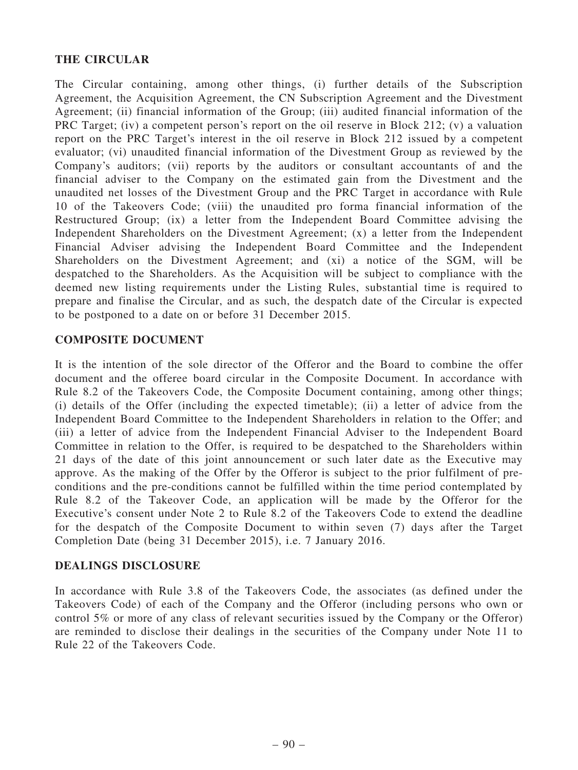## THE CIRCULAR

The Circular containing, among other things, (i) further details of the Subscription Agreement, the Acquisition Agreement, the CN Subscription Agreement and the Divestment Agreement; (ii) financial information of the Group; (iii) audited financial information of the PRC Target; (iv) a competent person's report on the oil reserve in Block 212; (v) a valuation report on the PRC Target's interest in the oil reserve in Block 212 issued by a competent evaluator; (vi) unaudited financial information of the Divestment Group as reviewed by the Company's auditors; (vii) reports by the auditors or consultant accountants of and the financial adviser to the Company on the estimated gain from the Divestment and the unaudited net losses of the Divestment Group and the PRC Target in accordance with Rule 10 of the Takeovers Code; (viii) the unaudited pro forma financial information of the Restructured Group; (ix) a letter from the Independent Board Committee advising the Independent Shareholders on the Divestment Agreement; (x) a letter from the Independent Financial Adviser advising the Independent Board Committee and the Independent Shareholders on the Divestment Agreement; and (xi) a notice of the SGM, will be despatched to the Shareholders. As the Acquisition will be subject to compliance with the deemed new listing requirements under the Listing Rules, substantial time is required to prepare and finalise the Circular, and as such, the despatch date of the Circular is expected to be postponed to a date on or before 31 December 2015.

### COMPOSITE DOCUMENT

It is the intention of the sole director of the Offeror and the Board to combine the offer document and the offeree board circular in the Composite Document. In accordance with Rule 8.2 of the Takeovers Code, the Composite Document containing, among other things; (i) details of the Offer (including the expected timetable); (ii) a letter of advice from the Independent Board Committee to the Independent Shareholders in relation to the Offer; and (iii) a letter of advice from the Independent Financial Adviser to the Independent Board Committee in relation to the Offer, is required to be despatched to the Shareholders within 21 days of the date of this joint announcement or such later date as the Executive may approve. As the making of the Offer by the Offeror is subject to the prior fulfilment of preconditions and the pre-conditions cannot be fulfilled within the time period contemplated by Rule 8.2 of the Takeover Code, an application will be made by the Offeror for the Executive's consent under Note 2 to Rule 8.2 of the Takeovers Code to extend the deadline for the despatch of the Composite Document to within seven (7) days after the Target Completion Date (being 31 December 2015), i.e. 7 January 2016.

#### DEALINGS DISCLOSURE

In accordance with Rule 3.8 of the Takeovers Code, the associates (as defined under the Takeovers Code) of each of the Company and the Offeror (including persons who own or control 5% or more of any class of relevant securities issued by the Company or the Offeror) are reminded to disclose their dealings in the securities of the Company under Note 11 to Rule 22 of the Takeovers Code.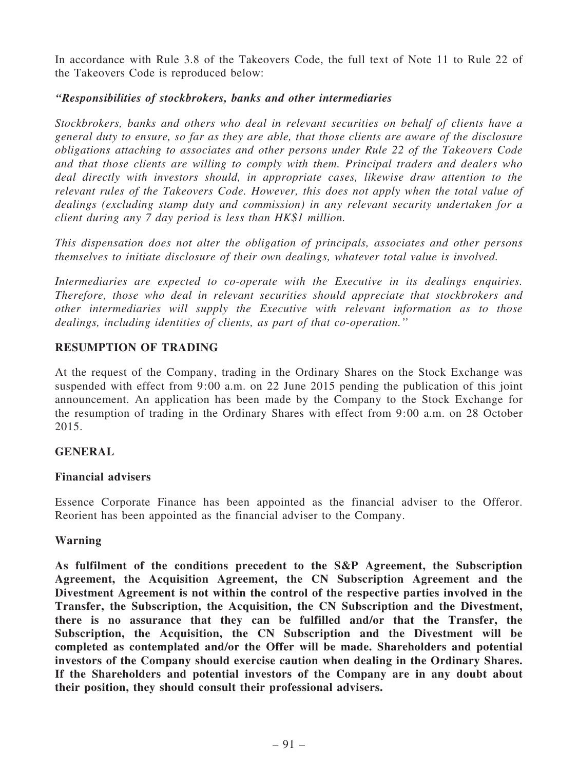In accordance with Rule 3.8 of the Takeovers Code, the full text of Note 11 to Rule 22 of the Takeovers Code is reproduced below:

## ''Responsibilities of stockbrokers, banks and other intermediaries

Stockbrokers, banks and others who deal in relevant securities on behalf of clients have a general duty to ensure, so far as they are able, that those clients are aware of the disclosure obligations attaching to associates and other persons under Rule 22 of the Takeovers Code and that those clients are willing to comply with them. Principal traders and dealers who deal directly with investors should, in appropriate cases, likewise draw attention to the relevant rules of the Takeovers Code. However, this does not apply when the total value of dealings (excluding stamp duty and commission) in any relevant security undertaken for a client during any 7 day period is less than HK\$1 million.

This dispensation does not alter the obligation of principals, associates and other persons themselves to initiate disclosure of their own dealings, whatever total value is involved.

Intermediaries are expected to co-operate with the Executive in its dealings enquiries. Therefore, those who deal in relevant securities should appreciate that stockbrokers and other intermediaries will supply the Executive with relevant information as to those dealings, including identities of clients, as part of that co-operation.''

# RESUMPTION OF TRADING

At the request of the Company, trading in the Ordinary Shares on the Stock Exchange was suspended with effect from 9:00 a.m. on 22 June 2015 pending the publication of this joint announcement. An application has been made by the Company to the Stock Exchange for the resumption of trading in the Ordinary Shares with effect from 9:00 a.m. on 28 October 2015.

## GENERAL

## Financial advisers

Essence Corporate Finance has been appointed as the financial adviser to the Offeror. Reorient has been appointed as the financial adviser to the Company.

#### Warning

As fulfilment of the conditions precedent to the S&P Agreement, the Subscription Agreement, the Acquisition Agreement, the CN Subscription Agreement and the Divestment Agreement is not within the control of the respective parties involved in the Transfer, the Subscription, the Acquisition, the CN Subscription and the Divestment, there is no assurance that they can be fulfilled and/or that the Transfer, the Subscription, the Acquisition, the CN Subscription and the Divestment will be completed as contemplated and/or the Offer will be made. Shareholders and potential investors of the Company should exercise caution when dealing in the Ordinary Shares. If the Shareholders and potential investors of the Company are in any doubt about their position, they should consult their professional advisers.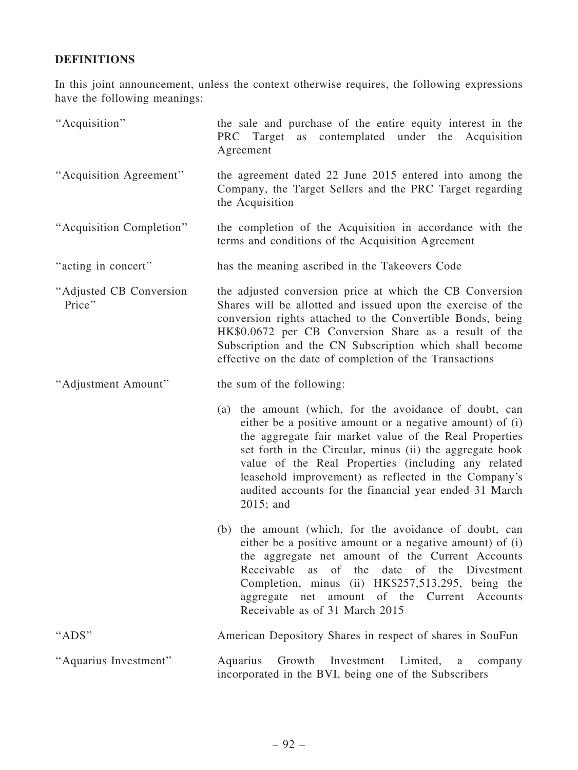# DEFINITIONS

In this joint announcement, unless the context otherwise requires, the following expressions have the following meanings:

| "Acquisition"                     | the sale and purchase of the entire equity interest in the<br>Target as contemplated under the Acquisition<br>PRC<br>Agreement                                                                                                                                                                                                                                                                                                    |
|-----------------------------------|-----------------------------------------------------------------------------------------------------------------------------------------------------------------------------------------------------------------------------------------------------------------------------------------------------------------------------------------------------------------------------------------------------------------------------------|
| "Acquisition Agreement"           | the agreement dated 22 June 2015 entered into among the<br>Company, the Target Sellers and the PRC Target regarding<br>the Acquisition                                                                                                                                                                                                                                                                                            |
| "Acquisition Completion"          | the completion of the Acquisition in accordance with the<br>terms and conditions of the Acquisition Agreement                                                                                                                                                                                                                                                                                                                     |
| "acting in concert"               | has the meaning ascribed in the Takeovers Code                                                                                                                                                                                                                                                                                                                                                                                    |
| "Adjusted CB Conversion<br>Price" | the adjusted conversion price at which the CB Conversion<br>Shares will be allotted and issued upon the exercise of the<br>conversion rights attached to the Convertible Bonds, being<br>HK\$0.0672 per CB Conversion Share as a result of the<br>Subscription and the CN Subscription which shall become<br>effective on the date of completion of the Transactions                                                              |
| "Adjustment Amount"               | the sum of the following:                                                                                                                                                                                                                                                                                                                                                                                                         |
|                                   | (a) the amount (which, for the avoidance of doubt, can<br>either be a positive amount or a negative amount) of (i)<br>the aggregate fair market value of the Real Properties<br>set forth in the Circular, minus (ii) the aggregate book<br>value of the Real Properties (including any related<br>leasehold improvement) as reflected in the Company's<br>audited accounts for the financial year ended 31 March<br>$2015$ ; and |
|                                   | the amount (which, for the avoidance of doubt, can<br>(b)<br>either be a positive amount or a negative amount) of (i)<br>the aggregate net amount of the Current Accounts<br>Receivable as of the<br>date<br>of the Divestment<br>Completion, minus (ii) HK\$257,513,295, being the<br>aggregate net amount of the Current Accounts<br>Receivable as of 31 March 2015                                                             |
| "ADS"                             | American Depository Shares in respect of shares in SouFun                                                                                                                                                                                                                                                                                                                                                                         |
| "Aquarius Investment"             | Aquarius Growth Investment<br>Limited,<br>$\rm{a}$<br>company<br>incorporated in the BVI, being one of the Subscribers                                                                                                                                                                                                                                                                                                            |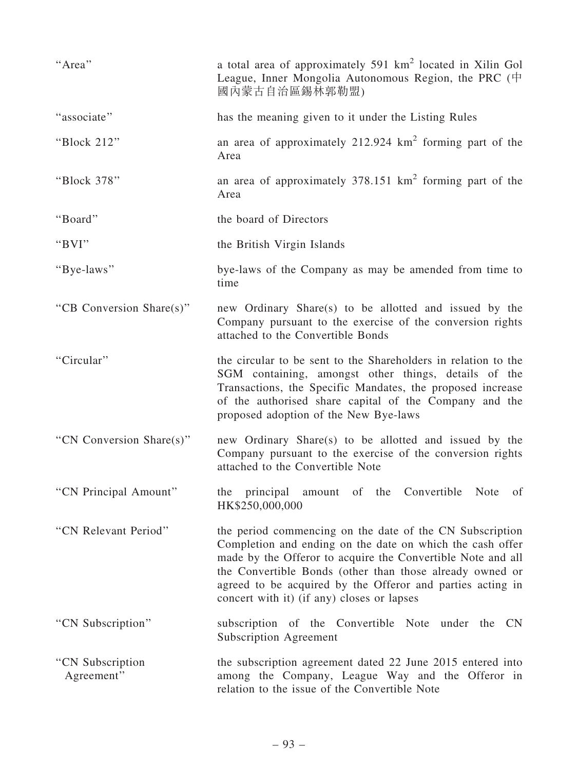| "Area"                          | a total area of approximately 591 km <sup>2</sup> located in Xilin Gol<br>League, Inner Mongolia Autonomous Region, the PRC $(\dagger)$<br>國內蒙古自治區錫林郭勒盟)                                                                                                                                                                                                     |
|---------------------------------|--------------------------------------------------------------------------------------------------------------------------------------------------------------------------------------------------------------------------------------------------------------------------------------------------------------------------------------------------------------|
| "associate"                     | has the meaning given to it under the Listing Rules                                                                                                                                                                                                                                                                                                          |
| "Block 212"                     | an area of approximately $212.924 \text{ km}^2$ forming part of the<br>Area                                                                                                                                                                                                                                                                                  |
| "Block 378"                     | an area of approximately $378.151 \text{ km}^2$ forming part of the<br>Area                                                                                                                                                                                                                                                                                  |
| "Board"                         | the board of Directors                                                                                                                                                                                                                                                                                                                                       |
| "BVI"                           | the British Virgin Islands                                                                                                                                                                                                                                                                                                                                   |
| "Bye-laws"                      | bye-laws of the Company as may be amended from time to<br>time                                                                                                                                                                                                                                                                                               |
| "CB Conversion Share(s)"        | new Ordinary Share(s) to be allotted and issued by the<br>Company pursuant to the exercise of the conversion rights<br>attached to the Convertible Bonds                                                                                                                                                                                                     |
| "Circular"                      | the circular to be sent to the Shareholders in relation to the<br>SGM containing, amongst other things, details of the<br>Transactions, the Specific Mandates, the proposed increase<br>of the authorised share capital of the Company and the<br>proposed adoption of the New Bye-laws                                                                      |
| "CN Conversion Share(s)"        | new Ordinary Share(s) to be allotted and issued by the<br>Company pursuant to the exercise of the conversion rights<br>attached to the Convertible Note                                                                                                                                                                                                      |
| "CN Principal Amount"           | the principal amount of the Convertible Note of<br>HK\$250,000,000                                                                                                                                                                                                                                                                                           |
| "CN Relevant Period"            | the period commencing on the date of the CN Subscription<br>Completion and ending on the date on which the cash offer<br>made by the Offeror to acquire the Convertible Note and all<br>the Convertible Bonds (other than those already owned or<br>agreed to be acquired by the Offeror and parties acting in<br>concert with it) (if any) closes or lapses |
| "CN Subscription"               | subscription of the Convertible Note under the CN<br><b>Subscription Agreement</b>                                                                                                                                                                                                                                                                           |
| "CN Subscription"<br>Agreement" | the subscription agreement dated 22 June 2015 entered into<br>among the Company, League Way and the Offeror in<br>relation to the issue of the Convertible Note                                                                                                                                                                                              |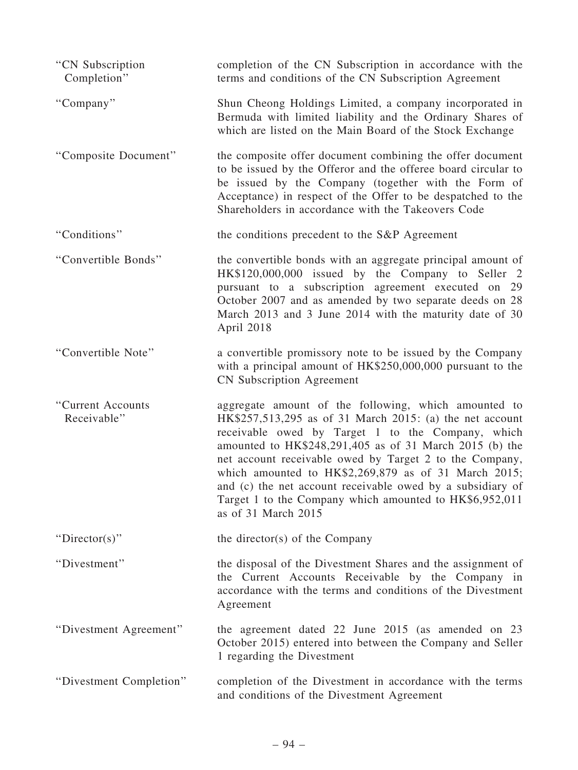| "CN Subscription<br>Completion"  | completion of the CN Subscription in accordance with the<br>terms and conditions of the CN Subscription Agreement                                                                                                                                                                                                                                                                                                                                                                                   |
|----------------------------------|-----------------------------------------------------------------------------------------------------------------------------------------------------------------------------------------------------------------------------------------------------------------------------------------------------------------------------------------------------------------------------------------------------------------------------------------------------------------------------------------------------|
| "Company"                        | Shun Cheong Holdings Limited, a company incorporated in<br>Bermuda with limited liability and the Ordinary Shares of<br>which are listed on the Main Board of the Stock Exchange                                                                                                                                                                                                                                                                                                                    |
| "Composite Document"             | the composite offer document combining the offer document<br>to be issued by the Offeror and the offeree board circular to<br>be issued by the Company (together with the Form of<br>Acceptance) in respect of the Offer to be despatched to the<br>Shareholders in accordance with the Takeovers Code                                                                                                                                                                                              |
| "Conditions"                     | the conditions precedent to the S&P Agreement                                                                                                                                                                                                                                                                                                                                                                                                                                                       |
| "Convertible Bonds"              | the convertible bonds with an aggregate principal amount of<br>HK\$120,000,000 issued by the Company to Seller 2<br>pursuant to a subscription agreement executed on 29<br>October 2007 and as amended by two separate deeds on 28<br>March 2013 and 3 June 2014 with the maturity date of 30<br>April 2018                                                                                                                                                                                         |
| "Convertible Note"               | a convertible promissory note to be issued by the Company<br>with a principal amount of HK\$250,000,000 pursuant to the<br><b>CN</b> Subscription Agreement                                                                                                                                                                                                                                                                                                                                         |
| "Current Accounts<br>Receivable" | aggregate amount of the following, which amounted to<br>HK\$257,513,295 as of 31 March 2015: (a) the net account<br>receivable owed by Target 1 to the Company, which<br>amounted to HK\$248,291,405 as of 31 March 2015 (b) the<br>net account receivable owed by Target 2 to the Company,<br>which amounted to HK\$2,269,879 as of 31 March 2015;<br>and (c) the net account receivable owed by a subsidiary of<br>Target 1 to the Company which amounted to HK\$6,952,011<br>as of 31 March 2015 |
| "Director(s)"                    | the director(s) of the Company                                                                                                                                                                                                                                                                                                                                                                                                                                                                      |
| "Divestment"                     | the disposal of the Divestment Shares and the assignment of<br>the Current Accounts Receivable by the Company in<br>accordance with the terms and conditions of the Divestment<br>Agreement                                                                                                                                                                                                                                                                                                         |
| "Divestment Agreement"           | the agreement dated 22 June 2015 (as amended on 23<br>October 2015) entered into between the Company and Seller<br>1 regarding the Divestment                                                                                                                                                                                                                                                                                                                                                       |
| "Divestment Completion"          | completion of the Divestment in accordance with the terms<br>and conditions of the Divestment Agreement                                                                                                                                                                                                                                                                                                                                                                                             |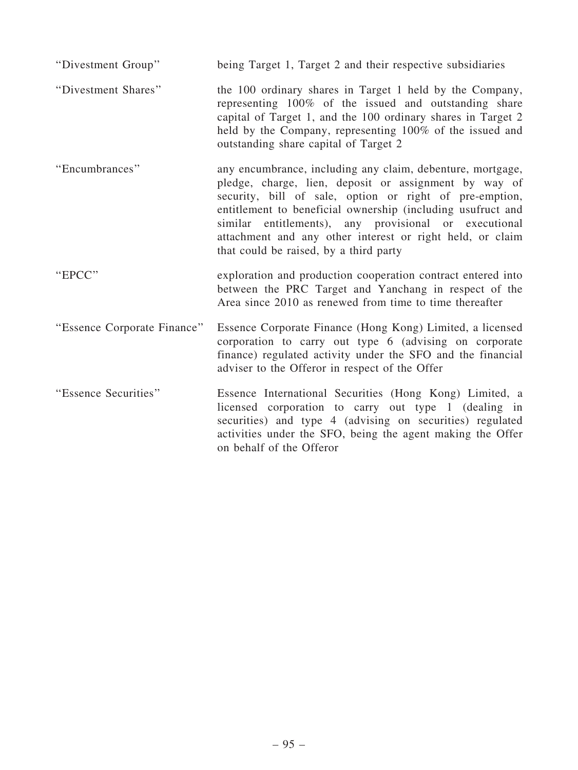| "Divestment Group"          | being Target 1, Target 2 and their respective subsidiaries                                                                                                                                                                                                                                                                                                                                                    |
|-----------------------------|---------------------------------------------------------------------------------------------------------------------------------------------------------------------------------------------------------------------------------------------------------------------------------------------------------------------------------------------------------------------------------------------------------------|
| "Divestment Shares"         | the 100 ordinary shares in Target 1 held by the Company,<br>representing 100% of the issued and outstanding share<br>capital of Target 1, and the 100 ordinary shares in Target 2<br>held by the Company, representing 100% of the issued and<br>outstanding share capital of Target 2                                                                                                                        |
| "Encumbrances"              | any encumbrance, including any claim, debenture, mortgage,<br>pledge, charge, lien, deposit or assignment by way of<br>security, bill of sale, option or right of pre-emption,<br>entitlement to beneficial ownership (including usufruct and<br>similar entitlements), any provisional or executional<br>attachment and any other interest or right held, or claim<br>that could be raised, by a third party |
| "EPCC"                      | exploration and production cooperation contract entered into<br>between the PRC Target and Yanchang in respect of the<br>Area since 2010 as renewed from time to time thereafter                                                                                                                                                                                                                              |
| "Essence Corporate Finance" | Essence Corporate Finance (Hong Kong) Limited, a licensed<br>corporation to carry out type 6 (advising on corporate<br>finance) regulated activity under the SFO and the financial<br>adviser to the Offeror in respect of the Offer                                                                                                                                                                          |
| "Essence Securities"        | Essence International Securities (Hong Kong) Limited, a<br>licensed corporation to carry out type 1 (dealing in<br>securities) and type 4 (advising on securities) regulated<br>activities under the SFO, being the agent making the Offer<br>on behalf of the Offeror                                                                                                                                        |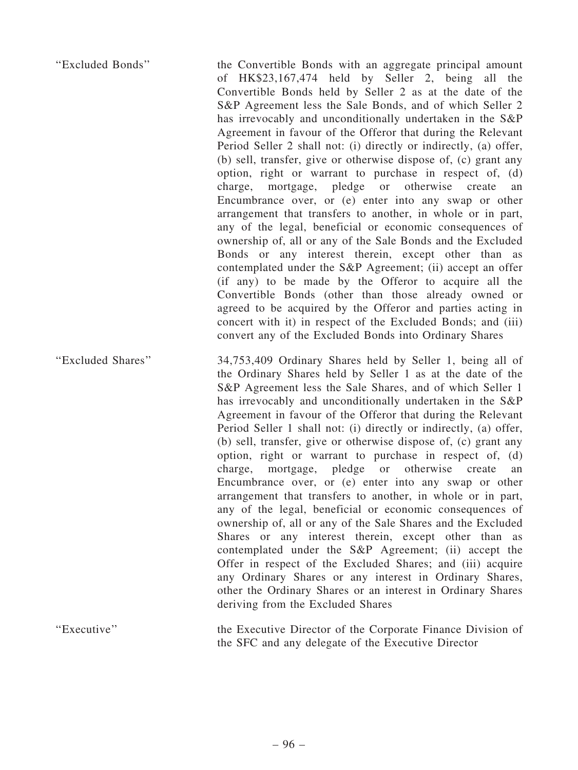| "Excluded Bonds"  | the Convertible Bonds with an aggregate principal amount<br>of HK\$23,167,474 held by Seller 2, being all the<br>Convertible Bonds held by Seller 2 as at the date of the<br>S&P Agreement less the Sale Bonds, and of which Seller 2<br>has irrevocably and unconditionally undertaken in the S&P<br>Agreement in favour of the Offeror that during the Relevant<br>Period Seller 2 shall not: (i) directly or indirectly, (a) offer,<br>(b) sell, transfer, give or otherwise dispose of, (c) grant any<br>option, right or warrant to purchase in respect of, (d)<br>mortgage, pledge or otherwise create<br>charge,<br>an<br>Encumbrance over, or (e) enter into any swap or other<br>arrangement that transfers to another, in whole or in part,<br>any of the legal, beneficial or economic consequences of<br>ownership of, all or any of the Sale Bonds and the Excluded<br>Bonds or any interest therein, except other than as<br>contemplated under the S&P Agreement; (ii) accept an offer<br>(if any) to be made by the Offeror to acquire all the<br>Convertible Bonds (other than those already owned or<br>agreed to be acquired by the Offeror and parties acting in<br>concert with it) in respect of the Excluded Bonds; and (iii)<br>convert any of the Excluded Bonds into Ordinary Shares |
|-------------------|----------------------------------------------------------------------------------------------------------------------------------------------------------------------------------------------------------------------------------------------------------------------------------------------------------------------------------------------------------------------------------------------------------------------------------------------------------------------------------------------------------------------------------------------------------------------------------------------------------------------------------------------------------------------------------------------------------------------------------------------------------------------------------------------------------------------------------------------------------------------------------------------------------------------------------------------------------------------------------------------------------------------------------------------------------------------------------------------------------------------------------------------------------------------------------------------------------------------------------------------------------------------------------------------------------------|
| "Excluded Shares" | 34,753,409 Ordinary Shares held by Seller 1, being all of<br>the Ordinary Shares held by Seller 1 as at the date of the<br>S&P Agreement less the Sale Shares, and of which Seller 1<br>has irrevocably and unconditionally undertaken in the S&P<br>Agreement in favour of the Offeror that during the Relevant<br>Period Seller 1 shall not: (i) directly or indirectly, (a) offer,<br>(b) sell, transfer, give or otherwise dispose of, (c) grant any<br>option, right or warrant to purchase in respect of, (d)<br>mortgage, pledge or otherwise create<br>charge,<br>an<br>Encumbrance over, or (e) enter into any swap or other<br>arrangement that transfers to another, in whole or in part,<br>any of the legal, beneficial or economic consequences of<br>ownership of, all or any of the Sale Shares and the Excluded<br>Shares or any interest therein, except other than as<br>contemplated under the S&P Agreement; (ii) accept the<br>Offer in respect of the Excluded Shares; and (iii) acquire<br>any Ordinary Shares or any interest in Ordinary Shares,<br>other the Ordinary Shares or an interest in Ordinary Shares<br>deriving from the Excluded Shares                                                                                                                                 |

"Executive" the Executive Director of the Corporate Finance Division of the SFC and any delegate of the Executive Director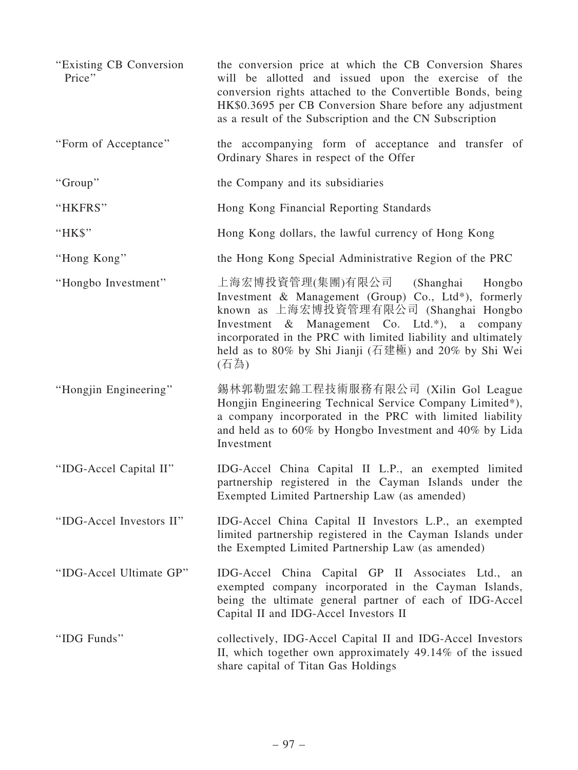| "Existing CB Conversion"<br>Price" | the conversion price at which the CB Conversion Shares<br>will be allotted and issued upon the exercise of the<br>conversion rights attached to the Convertible Bonds, being<br>HK\$0.3695 per CB Conversion Share before any adjustment<br>as a result of the Subscription and the CN Subscription                          |
|------------------------------------|------------------------------------------------------------------------------------------------------------------------------------------------------------------------------------------------------------------------------------------------------------------------------------------------------------------------------|
| "Form of Acceptance"               | the accompanying form of acceptance and transfer of<br>Ordinary Shares in respect of the Offer                                                                                                                                                                                                                               |
| "Group"                            | the Company and its subsidiaries                                                                                                                                                                                                                                                                                             |
| "HKFRS"                            | Hong Kong Financial Reporting Standards                                                                                                                                                                                                                                                                                      |
| "HK\$"                             | Hong Kong dollars, the lawful currency of Hong Kong                                                                                                                                                                                                                                                                          |
| "Hong Kong"                        | the Hong Kong Special Administrative Region of the PRC                                                                                                                                                                                                                                                                       |
| "Hongbo Investment"                | 上海宏博投資管理(集團)有限公司 (Shanghai<br>Hongbo<br>Investment & Management (Group) Co., Ltd*), formerly<br>known as 上海宏博投資管理有限公司 (Shanghai Hongbo<br>Investment & Management Co. Ltd.*),<br>a company<br>incorporated in the PRC with limited liability and ultimately<br>held as to 80% by Shi Jianji (石建極) and 20% by Shi Wei<br>(石為) |
| "Hongjin Engineering"              | 錫林郭勒盟宏錦工程技術服務有限公司 (Xilin Gol League<br>Hongjin Engineering Technical Service Company Limited*),<br>a company incorporated in the PRC with limited liability<br>and held as to 60% by Hongbo Investment and 40% by Lida<br>Investment                                                                                         |
| "IDG-Accel Capital II"             | IDG-Accel China Capital II L.P., an exempted limited<br>partnership registered in the Cayman Islands under the<br>Exempted Limited Partnership Law (as amended)                                                                                                                                                              |
| "IDG-Accel Investors II"           | IDG-Accel China Capital II Investors L.P., an exempted<br>limited partnership registered in the Cayman Islands under<br>the Exempted Limited Partnership Law (as amended)                                                                                                                                                    |
| "IDG-Accel Ultimate GP"            | IDG-Accel China Capital GP II Associates Ltd., an<br>exempted company incorporated in the Cayman Islands,<br>being the ultimate general partner of each of IDG-Accel<br>Capital II and IDG-Accel Investors II                                                                                                                |
| "IDG Funds"                        | collectively, IDG-Accel Capital II and IDG-Accel Investors<br>II, which together own approximately 49.14% of the issued<br>share capital of Titan Gas Holdings                                                                                                                                                               |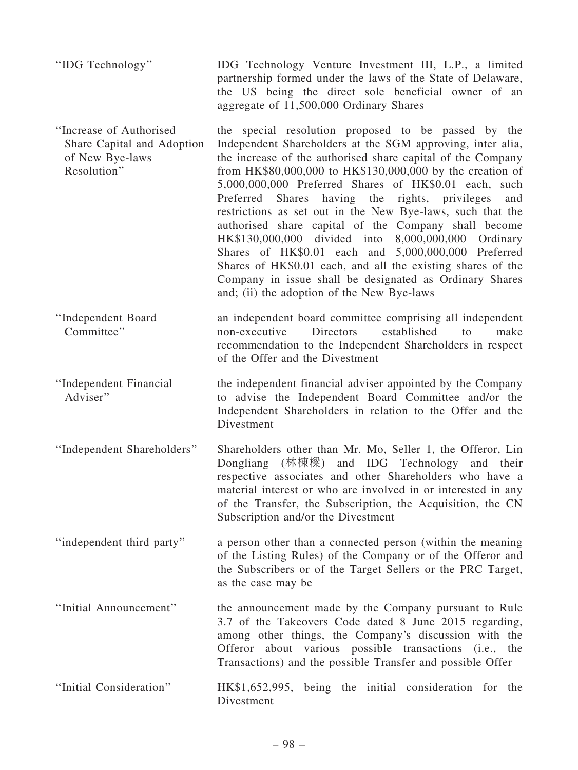| "IDG Technology"                                                                        | IDG Technology Venture Investment III, L.P., a limited<br>partnership formed under the laws of the State of Delaware,<br>the US being the direct sole beneficial owner of an<br>aggregate of 11,500,000 Ordinary Shares                                                                                                                                                                                                                                                                                                                                                                                                                                                                                                                                                        |
|-----------------------------------------------------------------------------------------|--------------------------------------------------------------------------------------------------------------------------------------------------------------------------------------------------------------------------------------------------------------------------------------------------------------------------------------------------------------------------------------------------------------------------------------------------------------------------------------------------------------------------------------------------------------------------------------------------------------------------------------------------------------------------------------------------------------------------------------------------------------------------------|
| "Increase of Authorised<br>Share Capital and Adoption<br>of New Bye-laws<br>Resolution" | the special resolution proposed to be passed by the<br>Independent Shareholders at the SGM approving, inter alia,<br>the increase of the authorised share capital of the Company<br>from HK\$80,000,000 to HK\$130,000,000 by the creation of<br>5,000,000,000 Preferred Shares of HK\$0.01 each, such<br>Preferred Shares having the<br>rights, privileges<br>and<br>restrictions as set out in the New Bye-laws, such that the<br>authorised share capital of the Company shall become<br>HK\$130,000,000 divided into 8,000,000,000 Ordinary<br>Shares of HK\$0.01 each and 5,000,000,000 Preferred<br>Shares of HK\$0.01 each, and all the existing shares of the<br>Company in issue shall be designated as Ordinary Shares<br>and; (ii) the adoption of the New Bye-laws |
| "Independent Board<br>Committee"                                                        | an independent board committee comprising all independent<br>established<br><b>Directors</b><br>non-executive<br>make<br>to<br>recommendation to the Independent Shareholders in respect<br>of the Offer and the Divestment                                                                                                                                                                                                                                                                                                                                                                                                                                                                                                                                                    |
| "Independent Financial<br>Adviser"                                                      | the independent financial adviser appointed by the Company<br>to advise the Independent Board Committee and/or the<br>Independent Shareholders in relation to the Offer and the<br>Divestment                                                                                                                                                                                                                                                                                                                                                                                                                                                                                                                                                                                  |
| "Independent Shareholders"                                                              | Shareholders other than Mr. Mo, Seller 1, the Offeror, Lin<br>Dongliang (林棟樑) and IDG Technology and their<br>respective associates and other Shareholders who have a<br>material interest or who are involved in or interested in any<br>of the Transfer, the Subscription, the Acquisition, the CN<br>Subscription and/or the Divestment                                                                                                                                                                                                                                                                                                                                                                                                                                     |
| "independent third party"                                                               | a person other than a connected person (within the meaning<br>of the Listing Rules) of the Company or of the Offeror and<br>the Subscribers or of the Target Sellers or the PRC Target,<br>as the case may be                                                                                                                                                                                                                                                                                                                                                                                                                                                                                                                                                                  |
| "Initial Announcement"                                                                  | the announcement made by the Company pursuant to Rule<br>3.7 of the Takeovers Code dated 8 June 2015 regarding,<br>among other things, the Company's discussion with the<br>Offeror about various possible transactions (i.e., the<br>Transactions) and the possible Transfer and possible Offer                                                                                                                                                                                                                                                                                                                                                                                                                                                                               |
| "Initial Consideration"                                                                 | HK\$1,652,995, being the initial consideration for the<br>Divestment                                                                                                                                                                                                                                                                                                                                                                                                                                                                                                                                                                                                                                                                                                           |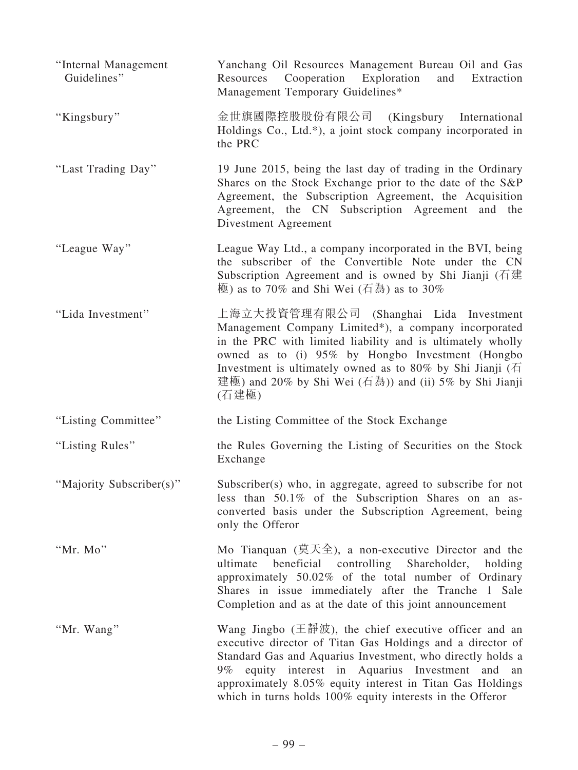| "Internal Management<br>Guidelines" | Yanchang Oil Resources Management Bureau Oil and Gas<br>Cooperation Exploration<br>Resources<br>and<br>Extraction<br>Management Temporary Guidelines*                                                                                                                                                                                                                                          |
|-------------------------------------|------------------------------------------------------------------------------------------------------------------------------------------------------------------------------------------------------------------------------------------------------------------------------------------------------------------------------------------------------------------------------------------------|
| "Kingsbury"                         | 金世旗國際控股股份有限公司 (Kingsbury International<br>Holdings Co., Ltd.*), a joint stock company incorporated in<br>the PRC                                                                                                                                                                                                                                                                               |
| "Last Trading Day"                  | 19 June 2015, being the last day of trading in the Ordinary<br>Shares on the Stock Exchange prior to the date of the S&P<br>Agreement, the Subscription Agreement, the Acquisition<br>Agreement, the CN Subscription Agreement and the<br>Divestment Agreement                                                                                                                                 |
| "League Way"                        | League Way Ltd., a company incorporated in the BVI, being<br>the subscriber of the Convertible Note under the CN<br>Subscription Agreement and is owned by Shi Jianji ( $\overline{A}$ )<br>極) as to 70% and Shi Wei (石為) as to 30%                                                                                                                                                            |
| "Lida Investment"                   | 上海立大投資管理有限公司 (Shanghai Lida Investment<br>Management Company Limited*), a company incorporated<br>in the PRC with limited liability and is ultimately wholly<br>owned as to (i) 95% by Hongbo Investment (Hongbo<br>Investment is ultimately owned as to 80% by Shi Jianji ( $\overline{A}$ )<br>建極) and 20% by Shi Wei (石為)) and (ii) 5% by Shi Jianji<br>(石建極)                               |
| "Listing Committee"                 | the Listing Committee of the Stock Exchange                                                                                                                                                                                                                                                                                                                                                    |
| "Listing Rules"                     | the Rules Governing the Listing of Securities on the Stock<br>Exchange                                                                                                                                                                                                                                                                                                                         |
| "Majority Subscriber(s)"            | Subscriber(s) who, in aggregate, agreed to subscribe for not<br>less than 50.1% of the Subscription Shares on an as-<br>converted basis under the Subscription Agreement, being<br>only the Offeror                                                                                                                                                                                            |
| "Mr. Mo"                            | Mo Tianquan $($ 莫天全), a non-executive Director and the<br>beneficial<br>controlling<br>ultimate<br>Shareholder,<br>holding<br>approximately 50.02% of the total number of Ordinary<br>Shares in issue immediately after the Tranche 1 Sale<br>Completion and as at the date of this joint announcement                                                                                         |
| "Mr. Wang"                          | Wang Jingbo $(\pm \frac{3\pi}{6})$ , the chief executive officer and an<br>executive director of Titan Gas Holdings and a director of<br>Standard Gas and Aquarius Investment, who directly holds a<br>equity interest in Aquarius Investment<br>9% $\sim$<br>and an<br>approximately 8.05% equity interest in Titan Gas Holdings<br>which in turns holds 100% equity interests in the Offeror |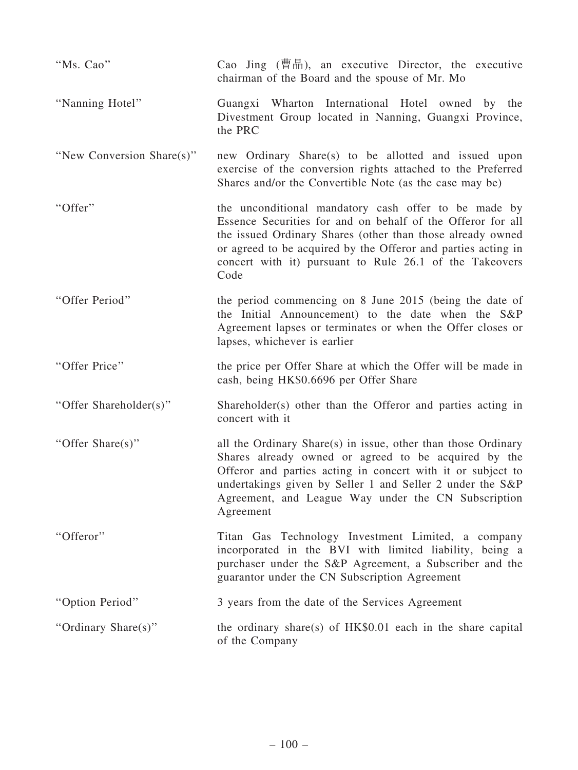| "Ms. Cao"                 | Cao Jing (曹晶), an executive Director, the executive<br>chairman of the Board and the spouse of Mr. Mo                                                                                                                                                                                                                 |
|---------------------------|-----------------------------------------------------------------------------------------------------------------------------------------------------------------------------------------------------------------------------------------------------------------------------------------------------------------------|
| "Nanning Hotel"           | Guangxi Wharton International Hotel owned by the<br>Divestment Group located in Nanning, Guangxi Province,<br>the PRC                                                                                                                                                                                                 |
| "New Conversion Share(s)" | new Ordinary Share(s) to be allotted and issued upon<br>exercise of the conversion rights attached to the Preferred<br>Shares and/or the Convertible Note (as the case may be)                                                                                                                                        |
| "Offer"                   | the unconditional mandatory cash offer to be made by<br>Essence Securities for and on behalf of the Offeror for all<br>the issued Ordinary Shares (other than those already owned<br>or agreed to be acquired by the Offeror and parties acting in<br>concert with it) pursuant to Rule 26.1 of the Takeovers<br>Code |
| "Offer Period"            | the period commencing on 8 June 2015 (being the date of<br>the Initial Announcement) to the date when the S&P<br>Agreement lapses or terminates or when the Offer closes or<br>lapses, whichever is earlier                                                                                                           |
| "Offer Price"             | the price per Offer Share at which the Offer will be made in<br>cash, being HK\$0.6696 per Offer Share                                                                                                                                                                                                                |
| "Offer Shareholder(s)"    | Shareholder(s) other than the Offeror and parties acting in<br>concert with it                                                                                                                                                                                                                                        |
| "Offer Share(s)"          | all the Ordinary Share(s) in issue, other than those Ordinary<br>Shares already owned or agreed to be acquired by the<br>Offeror and parties acting in concert with it or subject to<br>undertakings given by Seller 1 and Seller 2 under the S&P<br>Agreement, and League Way under the CN Subscription<br>Agreement |
| "Offeror"                 | Titan Gas Technology Investment Limited, a company<br>incorporated in the BVI with limited liability, being a<br>purchaser under the S&P Agreement, a Subscriber and the<br>guarantor under the CN Subscription Agreement                                                                                             |
| "Option Period"           | 3 years from the date of the Services Agreement                                                                                                                                                                                                                                                                       |
| "Ordinary Share(s)"       | the ordinary share(s) of $HK$0.01$ each in the share capital<br>of the Company                                                                                                                                                                                                                                        |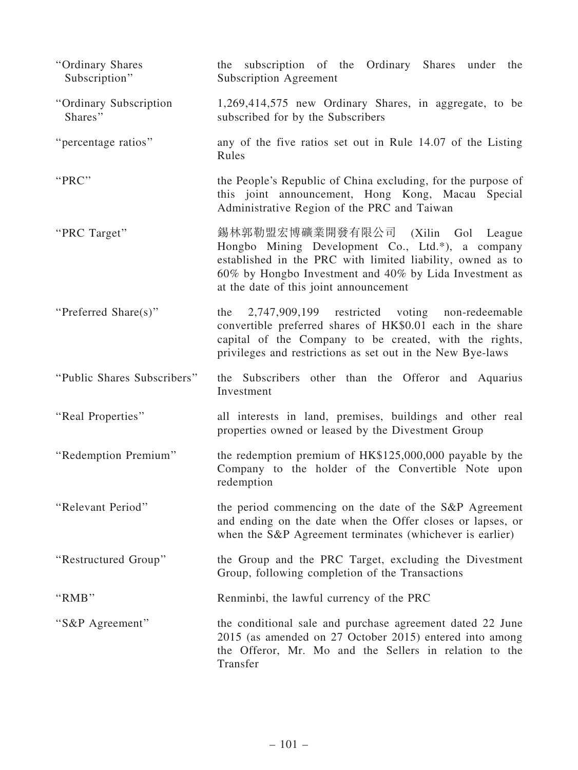| "Ordinary Shares<br>Subscription" | the subscription of the Ordinary Shares under the<br><b>Subscription Agreement</b>                                                                                                                                                                      |
|-----------------------------------|---------------------------------------------------------------------------------------------------------------------------------------------------------------------------------------------------------------------------------------------------------|
| "Ordinary Subscription<br>Shares" | 1,269,414,575 new Ordinary Shares, in aggregate, to be<br>subscribed for by the Subscribers                                                                                                                                                             |
| "percentage ratios"               | any of the five ratios set out in Rule 14.07 of the Listing<br>Rules                                                                                                                                                                                    |
| "PRC"                             | the People's Republic of China excluding, for the purpose of<br>this joint announcement, Hong Kong, Macau Special<br>Administrative Region of the PRC and Taiwan                                                                                        |
| "PRC Target"                      | 錫林郭勒盟宏博礦業開發有限公司 (Xilin Gol League<br>Hongbo Mining Development Co., Ltd.*), a company<br>established in the PRC with limited liability, owned as to<br>60% by Hongbo Investment and 40% by Lida Investment as<br>at the date of this joint announcement |
| "Preferred Share(s)"              | 2,747,909,199 restricted voting non-redeemable<br>the<br>convertible preferred shares of HK\$0.01 each in the share<br>capital of the Company to be created, with the rights,<br>privileges and restrictions as set out in the New Bye-laws             |
| "Public Shares Subscribers"       | the Subscribers other than the Offeror and Aquarius<br>Investment                                                                                                                                                                                       |
| "Real Properties"                 | all interests in land, premises, buildings and other real<br>properties owned or leased by the Divestment Group                                                                                                                                         |
| "Redemption Premium"              | the redemption premium of HK\$125,000,000 payable by the<br>Company to the holder of the Convertible Note upon<br>redemption                                                                                                                            |
| "Relevant Period"                 | the period commencing on the date of the S&P Agreement<br>and ending on the date when the Offer closes or lapses, or<br>when the S&P Agreement terminates (whichever is earlier)                                                                        |
| "Restructured Group"              | the Group and the PRC Target, excluding the Divestment<br>Group, following completion of the Transactions                                                                                                                                               |
| "RMB"                             | Renminbi, the lawful currency of the PRC                                                                                                                                                                                                                |
| "S&P Agreement"                   | the conditional sale and purchase agreement dated 22 June<br>2015 (as amended on 27 October 2015) entered into among<br>the Offeror, Mr. Mo and the Sellers in relation to the<br>Transfer                                                              |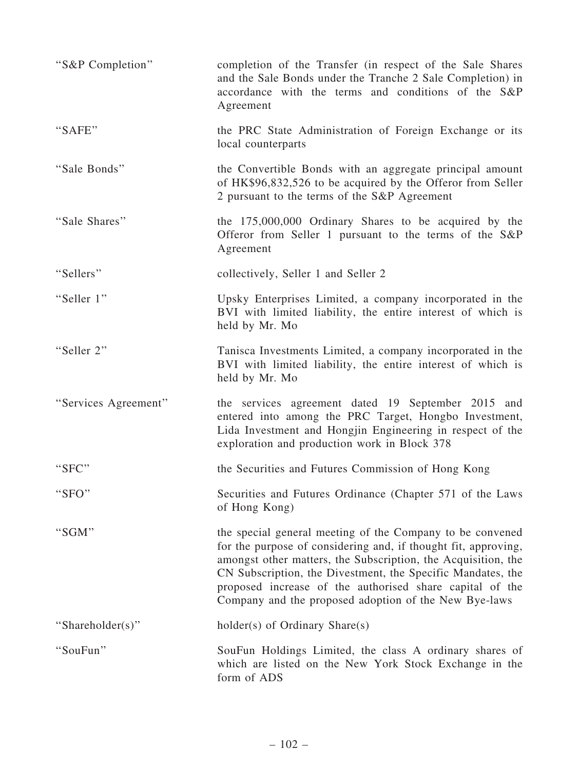| "S&P Completion"     | completion of the Transfer (in respect of the Sale Shares<br>and the Sale Bonds under the Tranche 2 Sale Completion) in<br>accordance with the terms and conditions of the S&P<br>Agreement                                                                                                                                                                                      |
|----------------------|----------------------------------------------------------------------------------------------------------------------------------------------------------------------------------------------------------------------------------------------------------------------------------------------------------------------------------------------------------------------------------|
| "SAFE"               | the PRC State Administration of Foreign Exchange or its<br>local counterparts                                                                                                                                                                                                                                                                                                    |
| "Sale Bonds"         | the Convertible Bonds with an aggregate principal amount<br>of HK\$96,832,526 to be acquired by the Offeror from Seller<br>2 pursuant to the terms of the S&P Agreement                                                                                                                                                                                                          |
| "Sale Shares"        | the 175,000,000 Ordinary Shares to be acquired by the<br>Offeror from Seller 1 pursuant to the terms of the S&P<br>Agreement                                                                                                                                                                                                                                                     |
| "Sellers"            | collectively, Seller 1 and Seller 2                                                                                                                                                                                                                                                                                                                                              |
| "Seller 1"           | Upsky Enterprises Limited, a company incorporated in the<br>BVI with limited liability, the entire interest of which is<br>held by Mr. Mo                                                                                                                                                                                                                                        |
| "Seller 2"           | Tanisca Investments Limited, a company incorporated in the<br>BVI with limited liability, the entire interest of which is<br>held by Mr. Mo                                                                                                                                                                                                                                      |
| "Services Agreement" | the services agreement dated 19 September 2015 and<br>entered into among the PRC Target, Hongbo Investment,<br>Lida Investment and Hongjin Engineering in respect of the<br>exploration and production work in Block 378                                                                                                                                                         |
| "SFC"                | the Securities and Futures Commission of Hong Kong                                                                                                                                                                                                                                                                                                                               |
| "SFO"                | Securities and Futures Ordinance (Chapter 571 of the Laws<br>of Hong Kong)                                                                                                                                                                                                                                                                                                       |
| "SGM"                | the special general meeting of the Company to be convened<br>for the purpose of considering and, if thought fit, approving,<br>amongst other matters, the Subscription, the Acquisition, the<br>CN Subscription, the Divestment, the Specific Mandates, the<br>proposed increase of the authorised share capital of the<br>Company and the proposed adoption of the New Bye-laws |
| "Shareholder(s)"     | holder(s) of Ordinary Share(s)                                                                                                                                                                                                                                                                                                                                                   |
| "SouFun"             | SouFun Holdings Limited, the class A ordinary shares of<br>which are listed on the New York Stock Exchange in the<br>form of ADS                                                                                                                                                                                                                                                 |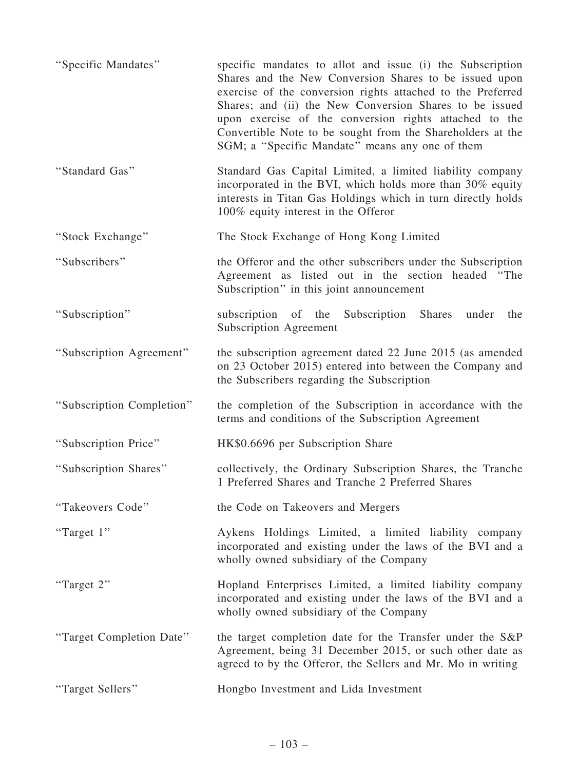| "Specific Mandates"       | specific mandates to allot and issue (i) the Subscription<br>Shares and the New Conversion Shares to be issued upon<br>exercise of the conversion rights attached to the Preferred<br>Shares; and (ii) the New Conversion Shares to be issued<br>upon exercise of the conversion rights attached to the<br>Convertible Note to be sought from the Shareholders at the<br>SGM; a "Specific Mandate" means any one of them |
|---------------------------|--------------------------------------------------------------------------------------------------------------------------------------------------------------------------------------------------------------------------------------------------------------------------------------------------------------------------------------------------------------------------------------------------------------------------|
| "Standard Gas"            | Standard Gas Capital Limited, a limited liability company<br>incorporated in the BVI, which holds more than 30% equity<br>interests in Titan Gas Holdings which in turn directly holds<br>100% equity interest in the Offeror                                                                                                                                                                                            |
| "Stock Exchange"          | The Stock Exchange of Hong Kong Limited                                                                                                                                                                                                                                                                                                                                                                                  |
| "Subscribers"             | the Offeror and the other subscribers under the Subscription<br>Agreement as listed out in the section headed<br>"The<br>Subscription" in this joint announcement                                                                                                                                                                                                                                                        |
| "Subscription"            | subscription of the Subscription<br>Shares<br>under<br>the<br><b>Subscription Agreement</b>                                                                                                                                                                                                                                                                                                                              |
| "Subscription Agreement"  | the subscription agreement dated 22 June 2015 (as amended<br>on 23 October 2015) entered into between the Company and<br>the Subscribers regarding the Subscription                                                                                                                                                                                                                                                      |
| "Subscription Completion" | the completion of the Subscription in accordance with the<br>terms and conditions of the Subscription Agreement                                                                                                                                                                                                                                                                                                          |
| "Subscription Price"      | HK\$0.6696 per Subscription Share                                                                                                                                                                                                                                                                                                                                                                                        |
| "Subscription Shares"     | collectively, the Ordinary Subscription Shares, the Tranche<br>1 Preferred Shares and Tranche 2 Preferred Shares                                                                                                                                                                                                                                                                                                         |
| "Takeovers Code"          | the Code on Takeovers and Mergers                                                                                                                                                                                                                                                                                                                                                                                        |
| "Target 1"                | Aykens Holdings Limited, a limited liability company<br>incorporated and existing under the laws of the BVI and a<br>wholly owned subsidiary of the Company                                                                                                                                                                                                                                                              |
| "Target 2"                | Hopland Enterprises Limited, a limited liability company<br>incorporated and existing under the laws of the BVI and a<br>wholly owned subsidiary of the Company                                                                                                                                                                                                                                                          |
| "Target Completion Date"  | the target completion date for the Transfer under the S&P<br>Agreement, being 31 December 2015, or such other date as<br>agreed to by the Offeror, the Sellers and Mr. Mo in writing                                                                                                                                                                                                                                     |
| "Target Sellers"          | Hongbo Investment and Lida Investment                                                                                                                                                                                                                                                                                                                                                                                    |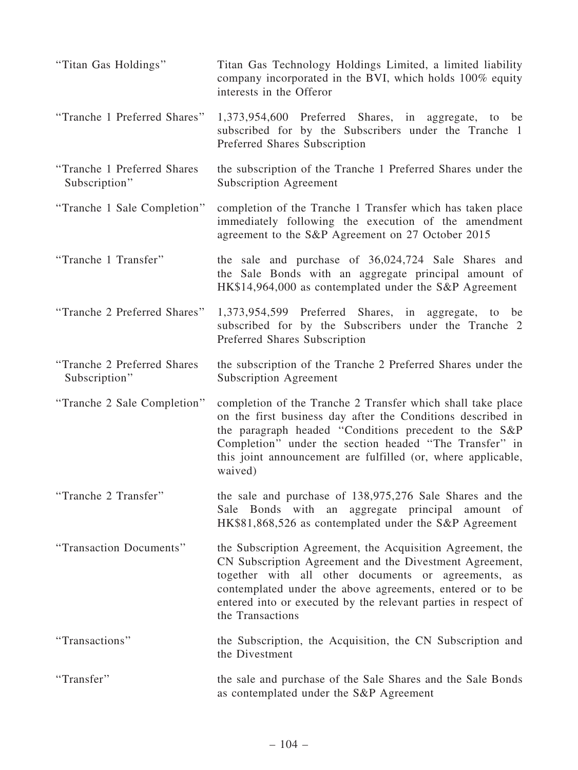| "Titan Gas Holdings"                          | Titan Gas Technology Holdings Limited, a limited liability<br>company incorporated in the BVI, which holds 100% equity<br>interests in the Offeror                                                                                                                                                                              |
|-----------------------------------------------|---------------------------------------------------------------------------------------------------------------------------------------------------------------------------------------------------------------------------------------------------------------------------------------------------------------------------------|
| "Tranche 1 Preferred Shares"                  | 1,373,954,600 Preferred Shares, in aggregate, to be<br>subscribed for by the Subscribers under the Tranche 1<br>Preferred Shares Subscription                                                                                                                                                                                   |
| "Tranche 1 Preferred Shares"<br>Subscription" | the subscription of the Tranche 1 Preferred Shares under the<br><b>Subscription Agreement</b>                                                                                                                                                                                                                                   |
| "Tranche 1 Sale Completion"                   | completion of the Tranche 1 Transfer which has taken place<br>immediately following the execution of the amendment<br>agreement to the S&P Agreement on 27 October 2015                                                                                                                                                         |
| "Tranche 1 Transfer"                          | the sale and purchase of 36,024,724 Sale Shares and<br>the Sale Bonds with an aggregate principal amount of<br>HK\$14,964,000 as contemplated under the S&P Agreement                                                                                                                                                           |
| "Tranche 2 Preferred Shares"                  | 1,373,954,599 Preferred Shares, in aggregate, to<br>be<br>subscribed for by the Subscribers under the Tranche 2<br>Preferred Shares Subscription                                                                                                                                                                                |
| "Tranche 2 Preferred Shares<br>Subscription"  | the subscription of the Tranche 2 Preferred Shares under the<br><b>Subscription Agreement</b>                                                                                                                                                                                                                                   |
| "Tranche 2 Sale Completion"                   | completion of the Tranche 2 Transfer which shall take place<br>on the first business day after the Conditions described in<br>the paragraph headed "Conditions precedent to the S&P<br>Completion" under the section headed "The Transfer" in<br>this joint announcement are fulfilled (or, where applicable,<br>waived)        |
| "Tranche 2 Transfer"                          | the sale and purchase of 138,975,276 Sale Shares and the<br>Sale Bonds with an aggregate principal amount of<br>HK\$81,868,526 as contemplated under the S&P Agreement                                                                                                                                                          |
| "Transaction Documents"                       | the Subscription Agreement, the Acquisition Agreement, the<br>CN Subscription Agreement and the Divestment Agreement,<br>together with all other documents or agreements, as<br>contemplated under the above agreements, entered or to be<br>entered into or executed by the relevant parties in respect of<br>the Transactions |
| "Transactions"                                | the Subscription, the Acquisition, the CN Subscription and<br>the Divestment                                                                                                                                                                                                                                                    |
| "Transfer"                                    | the sale and purchase of the Sale Shares and the Sale Bonds<br>as contemplated under the S&P Agreement                                                                                                                                                                                                                          |